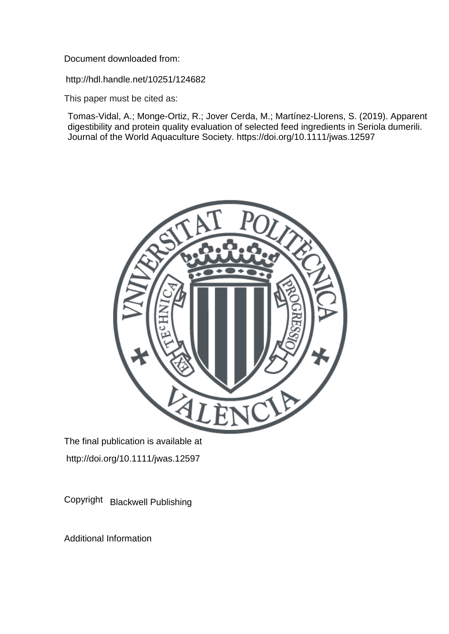Document downloaded from:

http://hdl.handle.net/10251/124682

This paper must be cited as:

Tomas-Vidal, A.; Monge-Ortiz, R.; Jover Cerda, M.; Martínez-Llorens, S. (2019). Apparent digestibility and protein quality evaluation of selected feed ingredients in Seriola dumerili. Journal of the World Aquaculture Society. https://doi.org/10.1111/jwas.12597



The final publication is available at http://doi.org/10.1111/jwas.12597

Copyright Blackwell Publishing

Additional Information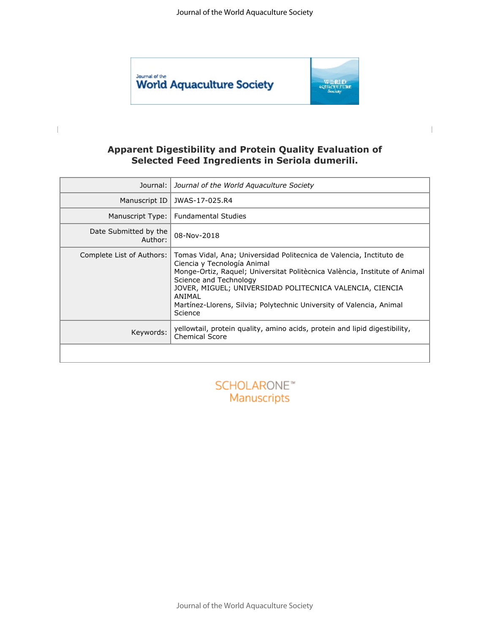

 $\begin{array}{c} \hline \end{array}$ 



### **Apparent Digestibility and Protein Quality Evaluation of Selected Feed Ingredients in Seriola dumerili.**

| Journal:                                      | Journal of the World Aquaculture Society                                                                                                                                                                                                                                                                                                                            |  |
|-----------------------------------------------|---------------------------------------------------------------------------------------------------------------------------------------------------------------------------------------------------------------------------------------------------------------------------------------------------------------------------------------------------------------------|--|
| Manuscript ID                                 | JWAS-17-025.R4                                                                                                                                                                                                                                                                                                                                                      |  |
| Manuscript Type:                              | <b>Fundamental Studies</b>                                                                                                                                                                                                                                                                                                                                          |  |
| Date Submitted by the<br>Author:              | 08-Nov-2018                                                                                                                                                                                                                                                                                                                                                         |  |
| Complete List of Authors:                     | Tomas Vidal, Ana; Universidad Politecnica de Valencia, Inctituto de<br>Ciencia y Tecnología Animal<br>Monge-Ortiz, Raquel; Universitat Politècnica València, Institute of Animal<br>Science and Technology<br>JOVER, MIGUEL; UNIVERSIDAD POLITECNICA VALENCIA, CIENCIA<br>ANIMAI<br>Martínez-Llorens, Silvia; Polytechnic University of Valencia, Animal<br>Science |  |
| Keywords:                                     | yellowtail, protein quality, amino acids, protein and lipid digestibility,<br><b>Chemical Score</b>                                                                                                                                                                                                                                                                 |  |
|                                               |                                                                                                                                                                                                                                                                                                                                                                     |  |
| SCHOLARONE <sup>*</sup><br><b>Manuscripts</b> |                                                                                                                                                                                                                                                                                                                                                                     |  |

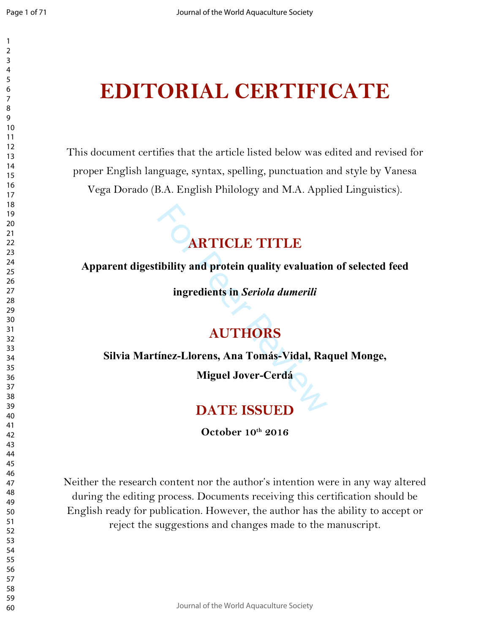# **EDITORIAL CERTIFICATE**

This document certifies that the article listed below was edited and revised for proper English language, syntax, spelling, punctuation and style by Vanesa Vega Dorado (B.A. English Philology and M.A. Applied Linguistics).

# **CARTICLE TITLE**<br>
ibility and protein quality evaluation<br>
ingredients in *Seriola dumerili*<br> **AUTHORS**<br>
finez-Llorens, Ana Tomás-Vidal, Rac<br>
Miguel Jover-Cerdá<br>
DATE ISSUED **ARTICLE TITLE**

**Apparent digestibility and protein quality evaluation of selected feed** 

**ingredients in** *Seriola dumerili*

## **AUTHORS**

**Silvia Martínez -Llorens, Ana Tomás -Vidal, Raquel Monge,** 

**Miguel Jover -Cerdá**

## **DATE ISSUED**

**October 10th 2016**

Neither the research content nor the author's intention were in any way altered during the editing process. Documents receiving this certification should be English ready for publication. However, the author has the ability to accept or reject the suggestions and changes made to the manuscript.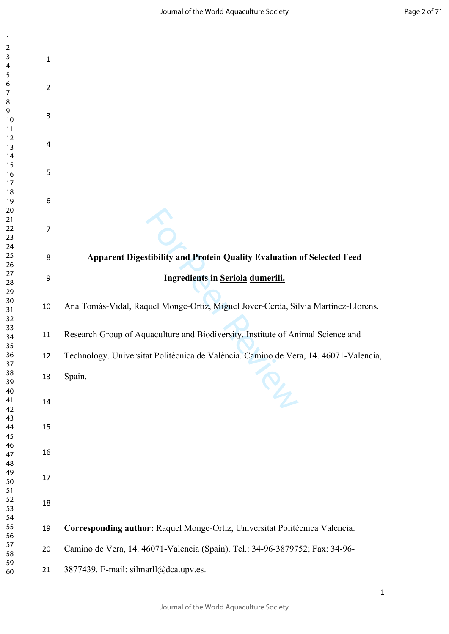| $\mathbf{1}$   |                |                                                                                      |
|----------------|----------------|--------------------------------------------------------------------------------------|
| $\overline{2}$ |                |                                                                                      |
| 3              | $\mathbf 1$    |                                                                                      |
| 4              |                |                                                                                      |
| 5              |                |                                                                                      |
| 6              |                |                                                                                      |
|                | $\overline{2}$ |                                                                                      |
| $\overline{7}$ |                |                                                                                      |
| 8              |                |                                                                                      |
| 9              |                |                                                                                      |
| 10             | $\mathsf 3$    |                                                                                      |
| 11             |                |                                                                                      |
| 12             |                |                                                                                      |
| 13             | 4              |                                                                                      |
| 14             |                |                                                                                      |
|                |                |                                                                                      |
| 15             | $\mathsf S$    |                                                                                      |
| 16             |                |                                                                                      |
| 17             |                |                                                                                      |
| 18             |                |                                                                                      |
| 19             | 6              |                                                                                      |
| 20             |                |                                                                                      |
| 21             |                |                                                                                      |
| 22             | $\overline{7}$ |                                                                                      |
| 23             |                |                                                                                      |
|                |                |                                                                                      |
| 24             |                |                                                                                      |
| 25             | 8              | Apparent Digestibility and Protein Quality Evaluation of Selected Feed               |
| 26             |                |                                                                                      |
| 27             | 9              | Ingredients in Seriola dumerili.                                                     |
| 28             |                |                                                                                      |
| 29             |                |                                                                                      |
| 30             |                |                                                                                      |
| 31             | 10             | Ana Tomás-Vidal, Raquel Monge-Ortiz, Miguel Jover-Cerdá, Silvia Martínez-Llorens.    |
| 32             |                |                                                                                      |
| 33             |                |                                                                                      |
| 34             | 11             | Research Group of Aquaculture and Biodiversity. Institute of Animal Science and      |
|                |                |                                                                                      |
| 35             |                |                                                                                      |
| 36             | 12             | Technology. Universitat Politècnica de València. Camino de Vera, 14. 46071-Valencia, |
| 37             |                |                                                                                      |
| 38             | 13             | Spain.                                                                               |
| 39             |                |                                                                                      |
| 40             |                | $\mathcal{P}_{\mathcal{L}}$                                                          |
| 41             | 14             |                                                                                      |
| 42             |                |                                                                                      |
| 43             |                |                                                                                      |
|                | 15             |                                                                                      |
| 44             |                |                                                                                      |
| 45             |                |                                                                                      |
| 46             |                |                                                                                      |
| 47             | 16             |                                                                                      |
| 48             |                |                                                                                      |
| 49             |                |                                                                                      |
| 50             | 17             |                                                                                      |
| 51             |                |                                                                                      |
| 52             |                |                                                                                      |
| 53             | 18             |                                                                                      |
| 54             |                |                                                                                      |
|                |                |                                                                                      |
| 55             | 19             | Corresponding author: Raquel Monge-Ortiz, Universitat Politècnica València.          |
| 56             |                |                                                                                      |
| 57             | 20             | Camino de Vera, 14. 46071-Valencia (Spain). Tel.: 34-96-3879752; Fax: 34-96-         |
| 58             |                |                                                                                      |
| 59             |                |                                                                                      |
| 60             | 21             | 3877439. E-mail: silmarll@dca.upv.es.                                                |
|                |                |                                                                                      |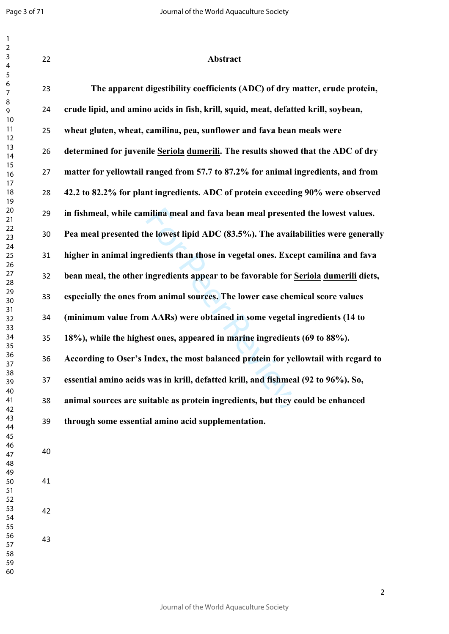| $\overline{1}$<br>$\overline{2}$<br>$\mathsf{3}$<br>$\overline{\mathbf{4}}$ | 22 | Abstract                                                                            |
|-----------------------------------------------------------------------------|----|-------------------------------------------------------------------------------------|
| $\sqrt{5}$<br>$\boldsymbol{6}$<br>$\overline{7}$                            | 23 | The apparent digestibility coefficients (ADC) of dry matter, crude protein,         |
| $\,8\,$<br>9                                                                | 24 | crude lipid, and amino acids in fish, krill, squid, meat, defatted krill, soybean,  |
| 10<br>11<br>12                                                              | 25 | wheat gluten, wheat, camilina, pea, sunflower and fava bean meals were              |
| 13<br>14                                                                    | 26 | determined for juvenile Seriola dumerili. The results showed that the ADC of dry    |
| 15<br>16<br>17                                                              | 27 | matter for yellowtail ranged from 57.7 to 87.2% for animal ingredients, and from    |
| 18<br>19                                                                    | 28 | 42.2 to 82.2% for plant ingredients. ADC of protein exceeding 90% were observed     |
| 20<br>21                                                                    | 29 | in fishmeal, while camilina meal and fava bean meal presented the lowest values.    |
| 22<br>23                                                                    | 30 | Pea meal presented the lowest lipid ADC (83.5%). The availabilities were generally  |
| 24<br>25<br>26                                                              | 31 | higher in animal ingredients than those in vegetal ones. Except camilina and fava   |
| 27<br>28                                                                    | 32 | bean meal, the other ingredients appear to be favorable for Seriola dumerili diets, |
| 29<br>30<br>31                                                              | 33 | especially the ones from animal sources. The lower case chemical score values       |
| 32<br>33                                                                    | 34 | (minimum value from AARs) were obtained in some vegetal ingredients (14 to          |
| 34<br>35                                                                    | 35 | 18%), while the highest ones, appeared in marine ingredients (69 to 88%).           |
| 36<br>37                                                                    | 36 | According to Oser's Index, the most balanced protein for yellowtail with regard to  |
| 38<br>39<br>40                                                              | 37 | essential amino acids was in krill, defatted krill, and fishmeal (92 to 96%). So,   |
| 41<br>42                                                                    | 38 | animal sources are suitable as protein ingredients, but they could be enhanced      |
| 43<br>44                                                                    | 39 | through some essential amino acid supplementation.                                  |
| 45<br>46<br>47<br>48                                                        | 40 |                                                                                     |
| 49<br>50<br>51<br>52                                                        | 41 |                                                                                     |
| 53<br>54<br>55                                                              | 42 |                                                                                     |
| 56<br>57<br>58                                                              | 43 |                                                                                     |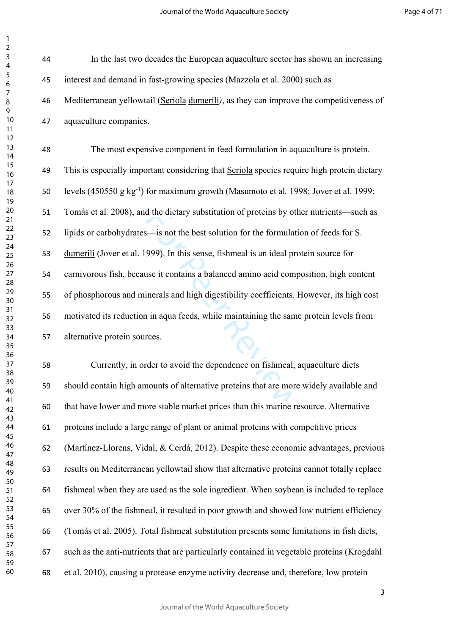Journal of the World Aquaculture Society

Page 4 of 71

| 3                    |  |
|----------------------|--|
| 4                    |  |
| 5<br>ŗ               |  |
| 6                    |  |
| 1                    |  |
| 8                    |  |
| 9                    |  |
| 10                   |  |
| 1<br>1               |  |
| 1<br>2               |  |
| 3<br>1               |  |
| 1<br>4               |  |
| 15                   |  |
| 16                   |  |
| $\overline{17}$      |  |
| 18                   |  |
| 19                   |  |
| 20                   |  |
| $\overline{21}$      |  |
| $\overline{2}$<br>23 |  |
| 24                   |  |
| 25                   |  |
| 26                   |  |
| 27                   |  |
| 28                   |  |
| 29                   |  |
| 30                   |  |
| 31                   |  |
| 32                   |  |
| 33                   |  |
| 34                   |  |
| 35                   |  |
| 36                   |  |
| 37<br>:              |  |
| $\frac{1}{2}$<br>38  |  |
| 39<br>ׇ֚֓֡֡֡֡֡֡      |  |
| ŀ<br>ĺ               |  |
| 41                   |  |
| 4.<br>7              |  |
| $\overline{4}$<br>ξ  |  |
| 44                   |  |
| 45                   |  |
| 46                   |  |
| 47                   |  |
| 48<br>ξ              |  |
| 49                   |  |
| 50                   |  |
| 51                   |  |
| 5<br>,               |  |
| 5:<br>ξ              |  |
| 54                   |  |
| 55                   |  |
| 56                   |  |
| 57                   |  |
| 58<br>ξ              |  |
| 59                   |  |
| 60                   |  |

 

> In the last two decades the European aquaculture sector has shown an increasing interest and demand in fast-growing species (Mazzola et al. 2000) such as Mediterranean yellowtail (Seriola dumerili*)*, as they can improve the competitiveness of aquaculture companies.

> For Peer Review The most expensive component in feed formulation in aquaculture is protein. This is especially important considering that Seriola species require high protein dietary levels (450550 g kg-1) for maximum growth (Masumoto et al*.* 1998; Jover et al*.* 1999; Tomás et al*.* 2008), and the dietary substitution of proteins by other nutrients—such as lipids or carbohydrates—is not the best solution for the formulation of feeds for S. dumerili (Jover et al. 1999). In this sense, fishmeal is an ideal protein source for carnivorous fish, because it contains a balanced amino acid composition, high content of phosphorous and minerals and high digestibility coefficients. However, its high cost motivated its reduction in aqua feeds, while maintaining the same protein levels from alternative protein sources.

> Currently, in order to avoid the dependence on fishmeal, aquaculture diets should contain high amounts of alternative proteins that are more widely available and that have lower and more stable market prices than this marine resource. Alternative proteins include a large range of plant or animal proteins with competitive prices (Martínez-Llorens, Vidal, & Cerdá, 2012). Despite these economic advantages, previous results on Mediterranean yellowtail show that alternative proteins cannot totally replace fishmeal when they are used as the sole ingredient. When soybean is included to replace over 30% of the fishmeal, it resulted in poor growth and showed low nutrient efficiency (Tomás et al. 2005). Total fishmeal substitution presents some limitations in fish diets, such as the anti-nutrients that are particularly contained in vegetable proteins (Krogdahl et al. 2010), causing a protease enzyme activity decrease and, therefore, low protein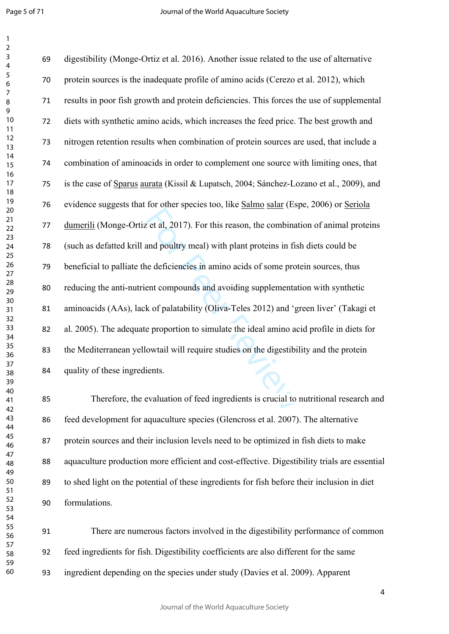$\mathbf{1}$ 

Exercise of this reason, the combinated and poultry meal) with plant proteins in fist<br>and poultry meal) with plant proteins in fist<br>be deficiencies in amino acids of some prot<br>ent compounds and avoiding supplementat<br>k of digestibility (Monge-Ortiz et al. 2016). Another issue related to the use of alternative protein sources is the inadequate profile of amino acids (Cerezo et al. 2012), which results in poor fish growth and protein deficiencies. This forces the use of supplemental diets with synthetic amino acids, which increases the feed price. The best growth and nitrogen retention results when combination of protein sources are used, that include a combination of aminoacids in order to complement one source with limiting ones, that is the case of Sparus aurata (Kissil & Lupatsch, 2004; Sánchez-Lozano et al., 2009), and evidence suggests that for other species too, like Salmo salar (Espe, 2006) or Seriola dumerili (Monge-Ortiz et al, 2017). For this reason, the combination of animal proteins (such as defatted krill and poultry meal) with plant proteins in fish diets could be beneficial to palliate the deficiencies in amino acids of some protein sources, thus reducing the anti-nutrient compounds and avoiding supplementation with synthetic aminoacids (AAs), lack of palatability (Oliva-Teles 2012) and 'green liver' (Takagi et al. 2005). The adequate proportion to simulate the ideal amino acid profile in diets for the Mediterranean yellowtail will require studies on the digestibility and the protein quality of these ingredients.

 Therefore, the evaluation of feed ingredients is crucial to nutritional research and feed development for aquaculture species (Glencross et al. 2007). The alternative protein sources and their inclusion levels need to be optimized in fish diets to make aquaculture production more efficient and cost-effective. Digestibility trials are essential to shed light on the potential of these ingredients for fish before their inclusion in diet formulations.

 There are numerous factors involved in the digestibility performance of common feed ingredients for fish. Digestibility coefficients are also different for the same ingredient depending on the species under study (Davies et al. 2009). Apparent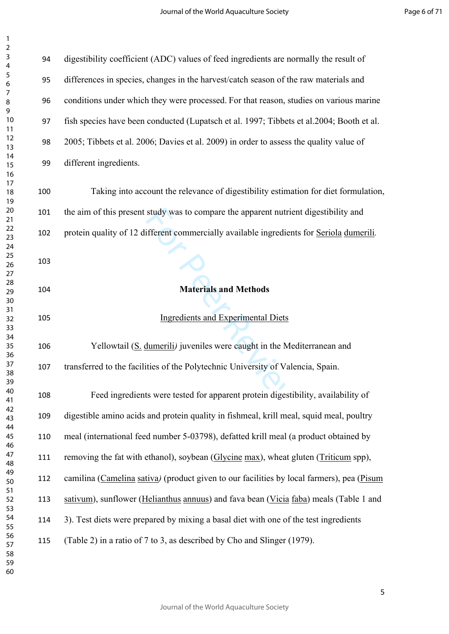| 3                               |  |
|---------------------------------|--|
| 4                               |  |
|                                 |  |
|                                 |  |
| 5<br>6 7 8<br>9 10              |  |
|                                 |  |
|                                 |  |
|                                 |  |
|                                 |  |
| 1<br>1                          |  |
|                                 |  |
|                                 |  |
|                                 |  |
|                                 |  |
|                                 |  |
|                                 |  |
|                                 |  |
|                                 |  |
|                                 |  |
|                                 |  |
| $12$ 13 14 15 16 17 18 19 20 21 |  |
| 4 2 2 2 3 4 5 6 7 7 8 2 9 .     |  |
|                                 |  |
|                                 |  |
|                                 |  |
|                                 |  |
|                                 |  |
|                                 |  |
|                                 |  |
|                                 |  |
| $\overline{30}$                 |  |
| $\overline{\mathbf{3}}$         |  |
| $\overline{32}$                 |  |
|                                 |  |
|                                 |  |
|                                 |  |
|                                 |  |
| 36<br>37<br>38                  |  |
|                                 |  |
| 39                              |  |
| 1 <sup>C</sup>                  |  |
|                                 |  |
| 41<br>42                        |  |
|                                 |  |
| 43                              |  |
| 44                              |  |
| 45                              |  |
| 46                              |  |
| $\overline{4}$                  |  |
| 48                              |  |
| 49                              |  |
| 50                              |  |
| 51                              |  |
| 52                              |  |
| 53                              |  |
|                                 |  |
| 54                              |  |
| 55                              |  |
| 56                              |  |
| 5                               |  |
| 58                              |  |
| 59                              |  |
| 60                              |  |

| 94  | digestibility coefficient (ADC) values of feed ingredients are normally the result of     |
|-----|-------------------------------------------------------------------------------------------|
| 95  | differences in species, changes in the harvest/catch season of the raw materials and      |
| 96  | conditions under which they were processed. For that reason, studies on various marine    |
| 97  | fish species have been conducted (Lupatsch et al. 1997; Tibbets et al. 2004; Booth et al. |
| 98  | 2005; Tibbets et al. 2006; Davies et al. 2009) in order to assess the quality value of    |
| 99  | different ingredients.                                                                    |
| 100 | Taking into account the relevance of digestibility estimation for diet formulation,       |
| 101 | the aim of this present study was to compare the apparent nutrient digestibility and      |
| 102 | protein quality of 12 different commercially available ingredients for Seriola dumerili.  |
| 103 |                                                                                           |
| 104 | <b>Materials and Methods</b>                                                              |
| 105 | <b>Ingredients and Experimental Diets</b>                                                 |
| 106 | Yellowtail (S. dumerili) juveniles were caught in the Mediterranean and                   |
| 107 | transferred to the facilities of the Polytechnic University of Valencia, Spain.           |
| 108 | Feed ingredients were tested for apparent protein digestibility, availability of          |
| 109 | digestible amino acids and protein quality in fishmeal, krill meal, squid meal, poultry   |
| 110 | meal (international feed number 5-03798), defatted krill meal (a product obtained by      |
| 111 | removing the fat with ethanol), soybean (Glycine max), wheat gluten (Triticum spp),       |
| 112 |                                                                                           |
|     | camilina (Camelina sativa) (product given to our facilities by local farmers), pea (Pisum |
| 113 | sativum), sunflower (Helianthus annuus) and fava bean (Vicia faba) meals (Table 1 and     |

3). Test diets were prepared by mixing a basal diet with one of the test ingredients

(Table 2) in a ratio of 7 to 3, as described by [Cho and Slinger \(1979\)](http://www.sciencedirect.com/science/article/pii/S0044848697001774#BIB12).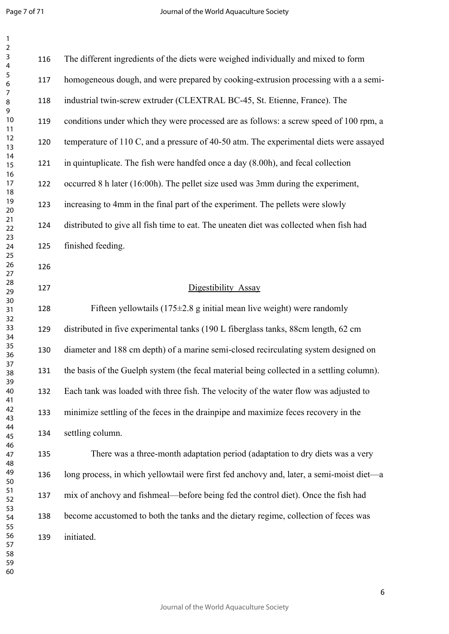Page 7 of 71

 $\mathbf{1}$ 

 $\frac{1}{2}$ <br>
For the prototom problem is the set of prototom problem<br>  $\frac{1}{2}$ <br>  $\frac{1}{2}$ <br>  $\frac{1}{2}$ <br>  $\frac{1}{2}$ <br>  $\frac{1}{2}$ <br>  $\frac{1}{2}$ <br>  $\frac{1}{2}$ <br>  $\frac{1}{2}$ <br>  $\frac{1}{2}$ <br>  $\frac{1}{2}$ <br>  $\frac{1}{2}$ <br>  $\frac{1}{2}$ <br>  $\frac{1}{2}$ <br>  $\frac{1}{2}$ <br> The different ingredients of the diets were weighed individually and mixed to form homogeneous dough, and were prepared by cooking-extrusion processing with a a semi- industrial twin-screw extruder (CLEXTRAL BC-45, St. Etienne, France). The conditions under which they were processed are as follows: a screw speed of 100 rpm, a temperature of 110 C, and a pressure of 40-50 atm. The experimental diets were assayed in quintuplicate. The fish were handfed once a day (8.00h), and fecal collection occurred 8 h later (16:00h). The pellet size used was 3mm during the experiment, increasing to 4mm in the final part of the experiment. The pellets were slowly distributed to give all fish time to eat. The uneaten diet was collected when fish had finished feeding. Digestibility Assay Fifteen yellowtails (175±2.8 g initial mean live weight) were randomly distributed in five experimental tanks (190 L fiberglass tanks, 88cm length, 62 cm diameter and 188 cm depth) of a marine semi-closed recirculating system designed on the basis of the Guelph system (the fecal material being collected in a settling column). Each tank was loaded with three fish. The velocity of the water flow was adjusted to minimize settling of the feces in the drainpipe and maximize feces recovery in the settling column. There was a three-month adaptation period (adaptation to dry diets was a very long process, in which yellowtail were first fed anchovy and, later, a semi-moist diet—a mix of anchovy and fishmeal—before being fed the control diet). Once the fish had become accustomed to both the tanks and the dietary regime, collection of feces was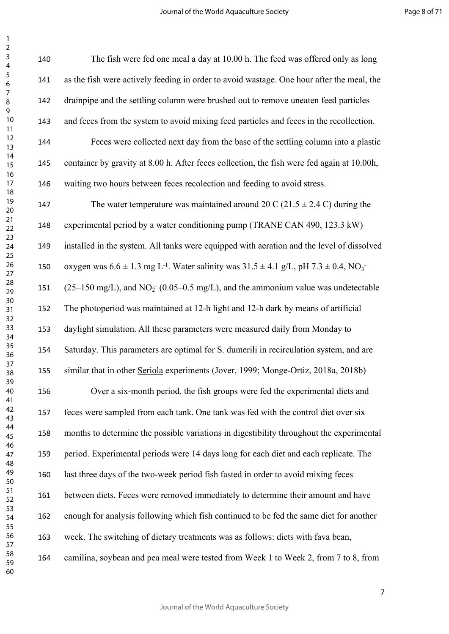| 140 | The fish were fed one meal a day at 10.00 h. The feed was offered only as long                                          |
|-----|-------------------------------------------------------------------------------------------------------------------------|
| 141 | as the fish were actively feeding in order to avoid wastage. One hour after the meal, the                               |
| 142 | drainpipe and the settling column were brushed out to remove uneaten feed particles                                     |
| 143 | and feces from the system to avoid mixing feed particles and feces in the recollection.                                 |
| 144 | Feces were collected next day from the base of the settling column into a plastic                                       |
| 145 | container by gravity at 8.00 h. After feces collection, the fish were fed again at 10.00h,                              |
| 146 | waiting two hours between feces recolection and feeding to avoid stress.                                                |
| 147 | The water temperature was maintained around 20 C (21.5 $\pm$ 2.4 C) during the                                          |
| 148 | experimental period by a water conditioning pump (TRANE CAN 490, 123.3 kW)                                              |
| 149 | installed in the system. All tanks were equipped with aeration and the level of dissolved                               |
| 150 | oxygen was $6.6 \pm 1.3$ mg L <sup>-1</sup> . Water salinity was $31.5 \pm 4.1$ g/L, pH $7.3 \pm 0.4$ , NO <sub>3</sub> |
| 151 | $(25-150 \text{ mg/L})$ , and NO <sub>2</sub> (0.05–0.5 mg/L), and the ammonium value was undetectable                  |
| 152 | The photoperiod was maintained at 12-h light and 12-h dark by means of artificial                                       |
| 153 | daylight simulation. All these parameters were measured daily from Monday to                                            |
| 154 | Saturday. This parameters are optimal for S. dumerili in recirculation system, and are                                  |
| 155 | similar that in other Seriola experiments (Jover, 1999; Monge-Ortiz, 2018a, 2018b)                                      |
| 156 | Over a six-month period, the fish groups were fed the experimental diets and                                            |
| 157 | feces were sampled from each tank. One tank was fed with the control diet over six                                      |
| 158 | months to determine the possible variations in digestibility throughout the experimental                                |
| 159 | period. Experimental periods were 14 days long for each diet and each replicate. The                                    |
| 160 | last three days of the two-week period fish fasted in order to avoid mixing feces                                       |
| 161 | between diets. Feces were removed immediately to determine their amount and have                                        |
| 162 | enough for analysis following which fish continued to be fed the same diet for another                                  |
| 163 | week. The switching of dietary treatments was as follows: diets with fava bean,                                         |
| 164 | camilina, soybean and pea meal were tested from Week 1 to Week 2, from 7 to 8, from                                     |
|     |                                                                                                                         |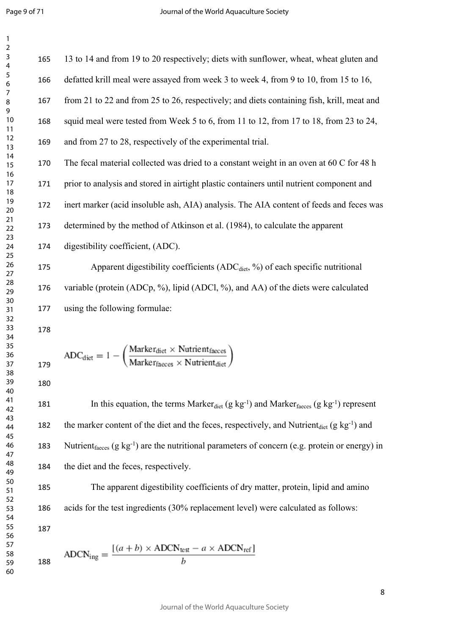$\mathbf{1}$  $\overline{2}$ 

hod of Atkinson et al. (1984), to calculate<br>t, (ADC).<br>tibility coefficients (ADC<sub>diet</sub>, %) of each sp<br>Cp, %), lipid (ADCl, %), and AA) of the direction<br>translation coefficients.<br> $ker_{\text{dict}} \times \text{Nutrientfaces}$ <br> $ker_{\text{faces}} \times \text{Nutrient_{\text{dict$  13 to 14 and from 19 to 20 respectively; diets with sunflower, wheat, wheat gluten and defatted krill meal were assayed from week 3 to week 4, from 9 to 10, from 15 to 16, from 21 to 22 and from 25 to 26, respectively; and diets containing fish, krill, meat and squid meal were tested from Week 5 to 6, from 11 to 12, from 17 to 18, from 23 to 24, and from 27 to 28, respectively of the experimental trial. The fecal material collected was dried to a constant weight in an oven at 60 C for 48 h prior to analysis and stored in airtight plastic containers until nutrient component and inert marker (acid insoluble ash, AIA) analysis. The AIA content of feeds and feces was determined by the method of Atkinson et al. (1984), to calculate the apparent digestibility coefficient, (ADC). 175 Apparent digestibility coefficients  $(ADC<sub>dict</sub>, %)$  of each specific nutritional variable (protein (ADCp, %), lipid (ADCl, %), and AA) of the diets were calculated using the following formulae:

$$
ADC_{\text{dict}} = 1 - \left(\frac{\text{Market}_{\text{dict}} \times \text{Nutrient}_{\text{faces}}}{\text{Market}_{\text{faces}} \times \text{Nutrient}_{\text{dict}}}\right)
$$

181 In this equation, the terms Marker<sub>diet</sub> (g kg<sup>-1</sup>) and Marker<sub>faeces</sub> (g kg<sup>-1</sup>) represent 182 the marker content of the diet and the feces, respectively, and Nutrient<sub>diet</sub>  $(g \ kg^{-1})$  and 183 Nutrient<sub>faeces</sub>  $(g \ kg^{-1})$  are the nutritional parameters of concern (e.g. protein or energy) in the diet and the feces, respectively.

 The apparent digestibility coefficients of dry matter, protein, lipid and amino acids for the test ingredients (30% replacement level) were calculated as follows: 

$$
ADCN_{\text{ing}} = \frac{[(a+b) \times ADCN_{\text{test}} - a \times ADCN_{\text{ref}}]}{b}
$$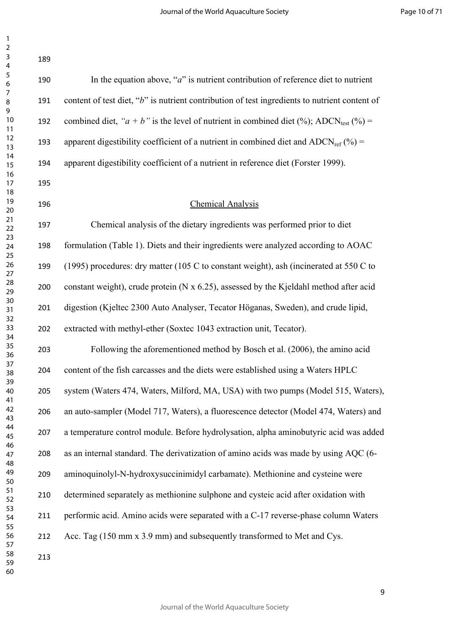| 189 |                                                                                                      |
|-----|------------------------------------------------------------------------------------------------------|
| 190 | In the equation above, " $a$ " is nutrient contribution of reference diet to nutrient                |
| 191 | content of test diet, "b" is nutrient contribution of test ingredients to nutrient content of        |
| 192 | combined diet, " $a + b$ " is the level of nutrient in combined diet (%); ADCN <sub>test</sub> (%) = |
| 193 | apparent digestibility coefficient of a nutrient in combined diet and ADCN <sub>ref</sub> $(\%)$ =   |
| 194 | apparent digestibility coefficient of a nutrient in reference diet (Forster 1999).                   |
| 195 |                                                                                                      |
| 196 | <b>Chemical Analysis</b>                                                                             |
| 197 | Chemical analysis of the dietary ingredients was performed prior to diet                             |
| 198 | formulation (Table 1). Diets and their ingredients were analyzed according to AOAC                   |
| 199 | (1995) procedures: dry matter (105 C to constant weight), ash (incinerated at 550 C to               |
| 200 | constant weight), crude protein (N x 6.25), assessed by the Kjeldahl method after acid               |
| 201 | digestion (Kjeltec 2300 Auto Analyser, Tecator Höganas, Sweden), and crude lipid,                    |
| 202 | extracted with methyl-ether (Soxtec 1043 extraction unit, Tecator).                                  |
| 203 | Following the aforementioned method by Bosch et al. (2006), the amino acid                           |
| 204 | content of the fish carcasses and the diets were established using a Waters HPLC                     |
| 205 | system (Waters 474, Waters, Milford, MA, USA) with two pumps (Model 515, Waters),                    |
| 206 | an auto-sampler (Model 717, Waters), a fluorescence detector (Model 474, Waters) and                 |
| 207 | a temperature control module. Before hydrolysation, alpha aminobutyric acid was added                |
| 208 | as an internal standard. The derivatization of amino acids was made by using AQC (6-                 |
| 209 | aminoquinolyl-N-hydroxysuccinimidyl carbamate). Methionine and cysteine were                         |
| 210 | determined separately as methionine sulphone and cysteic acid after oxidation with                   |
| 211 | performic acid. Amino acids were separated with a C-17 reverse-phase column Waters                   |
| 212 | Acc. Tag (150 mm x 3.9 mm) and subsequently transformed to Met and Cys.                              |
| 213 |                                                                                                      |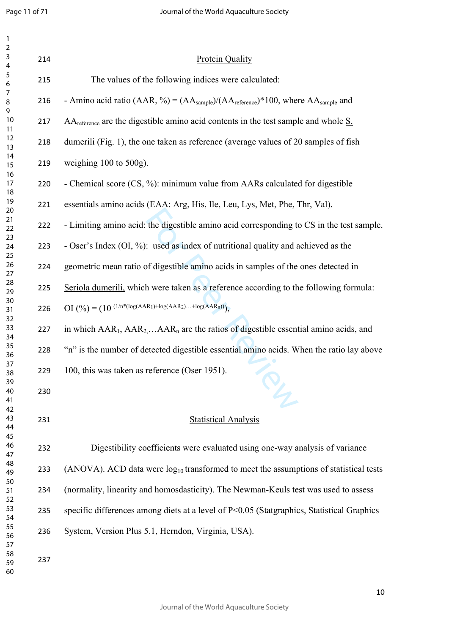| $\overline{1}$<br>$\overline{2}$        |     |                                                                                                                    |
|-----------------------------------------|-----|--------------------------------------------------------------------------------------------------------------------|
| $\mathbf{3}$<br>$\overline{\mathbf{4}}$ | 214 | <b>Protein Quality</b>                                                                                             |
| $\sqrt{5}$<br>$\boldsymbol{6}$          | 215 | The values of the following indices were calculated:                                                               |
| $\overline{7}$<br>$\, 8$<br>9           | 216 | - Amino acid ratio (AAR, %) = $(AA_{\text{sample}})/(AA_{\text{reference}})^*100$ , where $AA_{\text{sample}}$ and |
| 10<br>11                                | 217 | $AA$ <sub>reference</sub> are the digestible amino acid contents in the test sample and whole $\underline{S}$ .    |
| 12<br>13                                | 218 | dumerili (Fig. 1), the one taken as reference (average values of 20 samples of fish                                |
| 14<br>15                                | 219 | weighing $100$ to $500$ g).                                                                                        |
| 16<br>17<br>18                          | 220 | - Chemical score (CS, %): minimum value from AARs calculated for digestible                                        |
| 19<br>20                                | 221 | essentials amino acids (EAA: Arg, His, Ile, Leu, Lys, Met, Phe, Thr, Val).                                         |
| 21<br>22                                | 222 | - Limiting amino acid: the digestible amino acid corresponding to CS in the test sample.                           |
| 23<br>24                                | 223 | - Oser's Index (OI, %): used as index of nutritional quality and achieved as the                                   |
| 25<br>26<br>27                          | 224 | geometric mean ratio of digestible amino acids in samples of the ones detected in                                  |
| 28<br>29                                | 225 | Seriola dumerili, which were taken as a reference according to the following formula:                              |
| 30<br>31                                | 226 | OI $(\frac{9}{6}) = (10 \frac{(1/n*(log(AAR1)+log(AAR2)+log(AARn))}{n})$                                           |
| 32<br>33<br>34                          | 227 | in which $AAR_1$ , $AAR_2$ $AAR_n$ are the ratios of digestible essential amino acids, and                         |
| 35<br>36                                | 228 | "n" is the number of detected digestible essential amino acids. When the ratio lay above                           |
| 37<br>38                                | 229 | 100, this was taken as reference (Oser 1951).                                                                      |
| 39<br>40<br>41                          | 230 |                                                                                                                    |
| 42<br>43                                | 231 | <b>Statistical Analysis</b>                                                                                        |
| 44<br>45                                |     |                                                                                                                    |
| 46<br>47                                | 232 | Digestibility coefficients were evaluated using one-way analysis of variance                                       |
| 48<br>49                                | 233 | (ANOVA). ACD data were $log_{10}$ transformed to meet the assumptions of statistical tests                         |
| 50<br>51<br>52                          | 234 | (normality, linearity and homosdasticity). The Newman-Keuls test was used to assess                                |
| 53<br>54                                | 235 | specific differences among diets at a level of P<0.05 (Statgraphics, Statistical Graphics                          |
| 55<br>56                                | 236 | System, Version Plus 5.1, Herndon, Virginia, USA).                                                                 |
| 57<br>58<br>59<br>60                    | 237 |                                                                                                                    |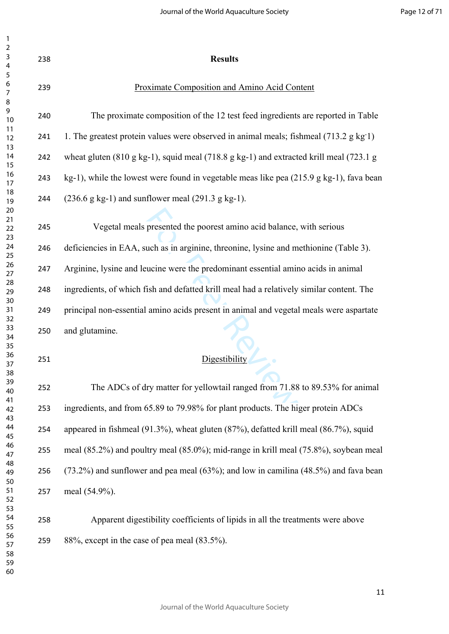| 238 | <b>Results</b>                                                                                                         |
|-----|------------------------------------------------------------------------------------------------------------------------|
| 239 | <b>Proximate Composition and Amino Acid Content</b>                                                                    |
| 240 | The proximate composition of the 12 test feed ingredients are reported in Table                                        |
| 241 | 1. The greatest protein values were observed in animal meals; fishmeal (713.2 g kg 1)                                  |
| 242 | wheat gluten $(810 \text{ g kg-1})$ , squid meal $(718.8 \text{ g kg-1})$ and extracted krill meal $(723.1 \text{ g})$ |
| 243 | kg-1), while the lowest were found in vegetable meas like pea (215.9 g kg-1), fava bean                                |
| 244 | $(236.6 \text{ g kg-1})$ and sunflower meal $(291.3 \text{ g kg-1})$ .                                                 |
| 245 | Vegetal meals presented the poorest amino acid balance, with serious                                                   |
| 246 | deficiencies in EAA, such as in arginine, threonine, lysine and methionine (Table 3).                                  |
| 247 | Arginine, lysine and leucine were the predominant essential amino acids in animal                                      |
| 248 | ingredients, of which fish and defatted krill meal had a relatively similar content. The                               |
| 249 | principal non-essential amino acids present in animal and vegetal meals were aspartate                                 |
| 250 | and glutamine.                                                                                                         |
| 251 | Digestibility                                                                                                          |
| 252 | The ADCs of dry matter for yellowtail ranged from 71.88 to 89.53% for animal                                           |
| 253 | ingredients, and from 65.89 to 79.98% for plant products. The higer protein ADCs                                       |
| 254 | appeared in fishmeal (91.3%), wheat gluten (87%), defatted krill meal (86.7%), squid                                   |
| 255 | meal (85.2%) and poultry meal (85.0%); mid-range in krill meal (75.8%), soybean meal                                   |
| 256 | $(73.2%)$ and sunflower and pea meal $(63%)$ ; and low in camilina $(48.5%)$ and fava bean                             |
| 257 | meal (54.9%).                                                                                                          |
| 258 | Apparent digestibility coefficients of lipids in all the treatments were above                                         |
| 259 | $88\%$ , except in the case of pea meal $(83.5\%)$ .                                                                   |
|     |                                                                                                                        |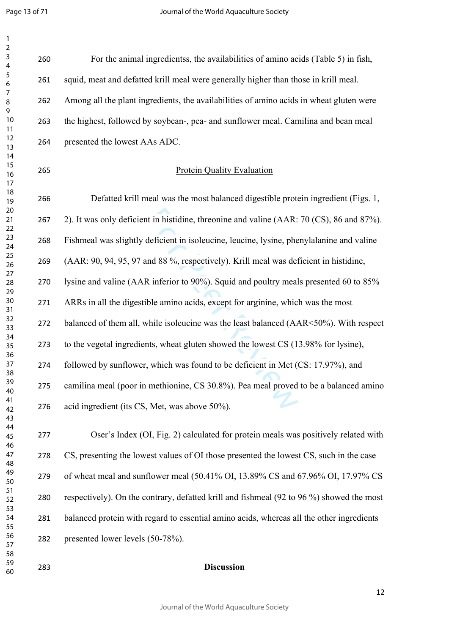Page 13 of 71

 $\mathbf{1}$  $\overline{2}$  $\overline{3}$ 

| 260 | For the animal ingredientss, the availabilities of amino acids (Table 5) in fish,        |
|-----|------------------------------------------------------------------------------------------|
| 261 | squid, meat and defatted krill meal were generally higher than those in krill meal.      |
| 262 | Among all the plant ingredients, the availabilities of amino acids in wheat gluten were  |
| 263 | the highest, followed by soybean-, pea- and sunflower meal. Camilina and bean meal       |
| 264 | presented the lowest AAs ADC.                                                            |
| 265 | <b>Protein Quality Evaluation</b>                                                        |
| 266 | Defatted krill meal was the most balanced digestible protein ingredient (Figs. 1,        |
| 267 | 2). It was only deficient in histidine, threonine and valine (AAR: 70 (CS), 86 and 87%). |
| 268 | Fishmeal was slightly deficient in isoleucine, leucine, lysine, phenylalanine and valine |
| 269 | (AAR: 90, 94, 95, 97 and 88 %, respectively). Krill meal was deficient in histidine,     |
| 270 | lysine and valine (AAR inferior to 90%). Squid and poultry meals presented 60 to 85%     |
| 271 | ARRs in all the digestible amino acids, except for arginine, which was the most          |
| 272 | balanced of them all, while isoleucine was the least balanced (AAR<50%). With respect    |
| 273 | to the vegetal ingredients, wheat gluten showed the lowest CS (13.98% for lysine),       |
| 274 | followed by sunflower, which was found to be deficient in Met (CS: 17.97%), and          |
| 275 | camilina meal (poor in methionine, CS 30.8%). Pea meal proved to be a balanced amino     |
| 276 | acid ingredient (its CS, Met, was above 50%).                                            |
| 277 | Oser's Index (OI, Fig. 2) calculated for protein meals was positively related with       |
| 278 | CS, presenting the lowest values of OI those presented the lowest CS, such in the case   |
| 279 | of wheat meal and sunflower meal (50.41% OI, 13.89% CS and 67.96% OI, 17.97% CS          |
| 280 | respectively). On the contrary, defatted krill and fishmeal (92 to 96 %) showed the most |
| 281 | balanced protein with regard to essential amino acids, whereas all the other ingredients |
| 282 | presented lower levels (50-78%).                                                         |
| 283 | <b>Discussion</b>                                                                        |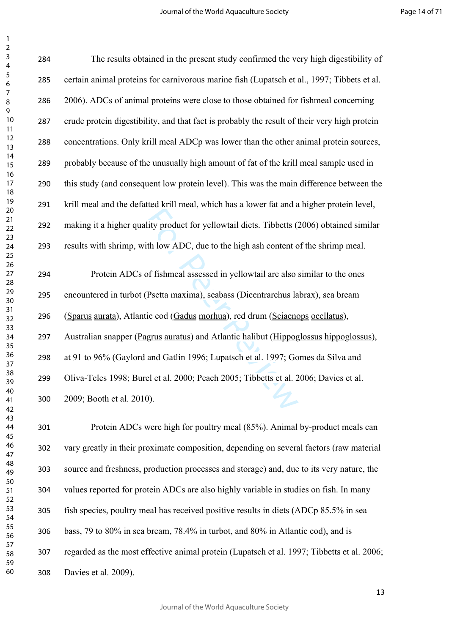lity product for yellowtail diets. Tibbetts (<br>ith low ADC, due to the high ash content c<br>of fishmeal assessed in yellowtail are also<br>Psetta maxima), seabass (Dicentrarchus la<br>ic cod (Gadus morhua), red drum (Sciaeno<br>grus a The results obtained in the present study confirmed the very high digestibility of certain animal proteins for carnivorous marine fish (Lupatsch et al., 1997; Tibbets et al. 2006). ADCs of animal proteins were close to those obtained for fishmeal concerning crude protein digestibility, and that fact is probably the result of their very high protein concentrations. Only krill meal ADCp was lower than the other animal protein sources, probably because of the unusually high amount of fat of the krill meal sample used in this study (and consequent low protein level). This was the main difference between the krill meal and the defatted krill meal, which has a lower fat and a higher protein level, making it a higher quality product for yellowtail diets. Tibbetts (2006) obtained similar results with shrimp, with low ADC, due to the high ash content of the shrimp meal. Protein ADCs of fishmeal assessed in yellowtail are also similar to the ones encountered in turbot (Psetta maxima), seabass (Dicentrarchus labrax), sea bream (Sparus aurata), Atlantic cod (Gadus morhua), red drum (Sciaenops ocellatus), Australian snapper (Pagrus auratus) and Atlantic halibut (Hippoglossus hippoglossus), at 91 to 96% (Gaylord and Gatlin 1996; Lupatsch et al. 1997; Gomes da Silva and Oliva-Teles 1998; Burel et al. 2000; Peach 2005; Tibbetts et al. 2006; Davies et al. 2009; Booth et al. 2010). Protein ADCs were high for poultry meal (85%). Animal by-product meals can

 vary greatly in their proximate composition, depending on several factors (raw material source and freshness, production processes and storage) and, due to its very nature, the values reported for protein ADCs are also highly variable in studies on fish. In many fish species, poultry meal has received positive results in diets (ADCp 85.5% in sea bass, 79 to 80% in sea bream, 78.4% in turbot, and 80% in Atlantic cod), and is regarded as the most effective animal protein (Lupatsch et al. 1997; Tibbetts et al. 2006; Davies et al. 2009).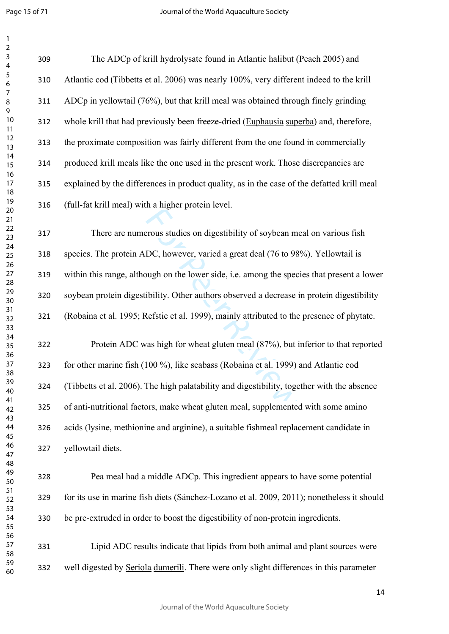| 1               |  |
|-----------------|--|
| 2               |  |
| 3               |  |
| 4               |  |
| 5               |  |
|                 |  |
| 6               |  |
|                 |  |
| 8               |  |
| 9               |  |
| 10              |  |
| 11              |  |
|                 |  |
| $\overline{12}$ |  |
| 1<br>3          |  |
| 14              |  |
| 15              |  |
| 16              |  |
| 17              |  |
| 18              |  |
|                 |  |
| 19              |  |
| 20              |  |
| $\overline{21}$ |  |
| $\overline{22}$ |  |
| 23              |  |
| 24              |  |
| 25              |  |
|                 |  |
| 26              |  |
| $^{27}$         |  |
| 28              |  |
| 29              |  |
| 30              |  |
| 31              |  |
| 32              |  |
|                 |  |
| 33              |  |
| 34              |  |
| 35              |  |
| 36              |  |
| 37              |  |
| ξŔ              |  |
|                 |  |
| 39              |  |
| 40              |  |
| 41              |  |
| 42              |  |
| 43              |  |
| 44              |  |
| 45              |  |
|                 |  |
| 46              |  |
| 47              |  |
| 48              |  |
| 49              |  |
| 50              |  |
| 51              |  |
| 52              |  |
| 53              |  |
|                 |  |
| 54              |  |
| 55              |  |
| 56              |  |
| 57              |  |
| 58              |  |
| 59<br>€         |  |
|                 |  |

 The ADCp of krill hydrolysate found in Atlantic halibut (Peach 2005) and Atlantic cod (Tibbetts et al. 2006) was nearly 100%, very different indeed to the krill ADCp in yellowtail (76%), but that krill meal was obtained through finely grinding whole krill that had previously been freeze-dried (Euphausia superba) and, therefore, the proximate composition was fairly different from the one found in commercially produced krill meals like the one used in the present work. Those discrepancies are explained by the differences in product quality, as in the case of the defatted krill meal (full-fat krill meal) with a higher protein level.

From studies on digestibility of soybean m<br>DC, however, varied a great deal (76 to 98<br>ough on the lower side, i.e. among the spec<br>ibility. Other authors observed a decrease<br>Refstie et al. 1999), mainly attributed to the<br>va There are numerous studies on digestibility of soybean meal on various fish species. The protein ADC, however, varied a great deal (76 to 98%). Yellowtail is within this range, although on the lower side, i.e. among the species that present a lower soybean protein digestibility. Other authors observed a decrease in protein digestibility (Robaina et al. 1995; Refstie et al. 1999), mainly attributed to the presence of phytate.

 Protein ADC was high for wheat gluten meal (87%), but inferior to that reported for other marine fish (100 %), like seabass (Robaina et al. 1999) and Atlantic cod (Tibbetts et al. 2006). The high palatability and digestibility, together with the absence of anti-nutritional factors, make wheat gluten meal, supplemented with some amino acids (lysine, methionine and arginine), a suitable fishmeal replacement candidate in yellowtail diets.

 Pea meal had a middle ADCp. This ingredient appears to have some potential for its use in marine fish diets (Sánchez-Lozano et al. 2009, 2011); nonetheless it should be pre-extruded in order to boost the digestibility of non-protein ingredients.

 Lipid ADC results indicate that lipids from both animal and plant sources were well digested by Seriola dumerili. There were only slight differences in this parameter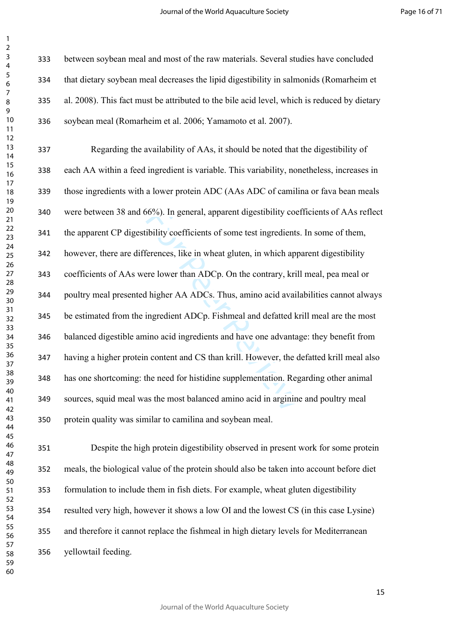between soybean meal and most of the raw materials. Several studies have concluded that dietary soybean meal decreases the lipid digestibility in salmonids (Romarheim et al. 2008). This fact must be attributed to the bile acid level, which is reduced by dietary soybean meal (Romarheim et al. 2006; Yamamoto et al. 2007).

66%). In general, apparent digestibility coefficients of some test ingredients<br>ferences, like in wheat gluten, in which app<br>ere lower than ADCp. On the contrary, kril<br>1 higher AA ADCs. Thus, amino acid avail<br>ingredient ADC Regarding the availability of AAs, it should be noted that the digestibility of each AA within a feed ingredient is variable. This variability, nonetheless, increases in those ingredients with a lower protein ADC (AAs ADC of camilina or fava bean meals were between 38 and 66%). In general, apparent digestibility coefficients of AAs reflect the apparent CP digestibility coefficients of some test ingredients. In some of them, however, there are differences, like in wheat gluten, in which apparent digestibility coefficients of AAs were lower than ADCp. On the contrary, krill meal, pea meal or poultry meal presented higher AA ADCs. Thus, amino acid availabilities cannot always be estimated from the ingredient ADCp. Fishmeal and defatted krill meal are the most balanced digestible amino acid ingredients and have one advantage: they benefit from having a higher protein content and CS than krill. However, the defatted krill meal also has one shortcoming: the need for histidine supplementation. Regarding other animal sources, squid meal was the most balanced amino acid in arginine and poultry meal protein quality was similar to camilina and soybean meal.

 Despite the high protein digestibility observed in present work for some protein meals, the biological value of the protein should also be taken into account before diet formulation to include them in fish diets. For example, wheat gluten digestibility resulted very high, however it shows a low OI and the lowest CS (in this case Lysine) and therefore it cannot replace the fishmeal in high dietary levels for Mediterranean yellowtail feeding.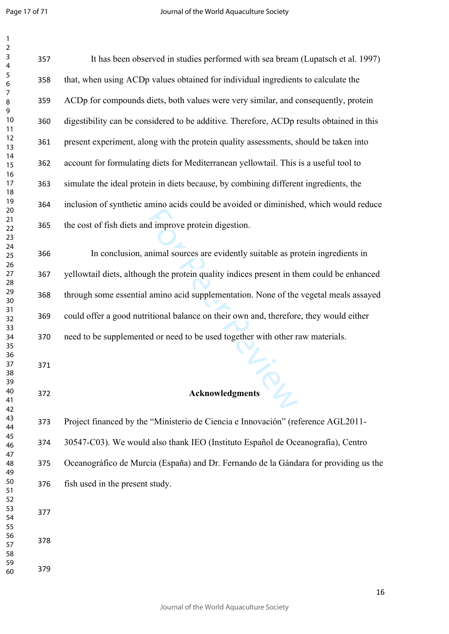Page 17 of 71

 $\mathbf{1}$ 

| $\mathbf{1}$                      |     |                                                                                          |
|-----------------------------------|-----|------------------------------------------------------------------------------------------|
| $\overline{\mathbf{c}}$<br>3<br>4 | 357 | It has been observed in studies performed with sea bream (Lupatsch et al. 1997)          |
| 5<br>6                            | 358 | that, when using ACDp values obtained for individual ingredients to calculate the        |
| $\boldsymbol{7}$<br>$\bf 8$<br>9  | 359 | ACDp for compounds diets, both values were very similar, and consequently, protein       |
| 10<br>11                          | 360 | digestibility can be considered to be additive. Therefore, ACDp results obtained in this |
| 12<br>13                          | 361 | present experiment, along with the protein quality assessments, should be taken into     |
| 14<br>15                          | 362 | account for formulating diets for Mediterranean yellowtail. This is a useful tool to     |
| 16<br>17<br>18                    | 363 | simulate the ideal protein in diets because, by combining different ingredients, the     |
| 19<br>20                          | 364 | inclusion of synthetic amino acids could be avoided or diminished, which would reduce    |
| 21<br>22<br>23                    | 365 | the cost of fish diets and improve protein digestion.                                    |
| 24<br>25                          | 366 | In conclusion, animal sources are evidently suitable as protein ingredients in           |
| 26<br>27<br>28                    | 367 | yellowtail diets, although the protein quality indices present in them could be enhanced |
| 29<br>30                          | 368 | through some essential amino acid supplementation. None of the vegetal meals assayed     |
| 31<br>32                          | 369 | could offer a good nutritional balance on their own and, therefore, they would either    |
| 33<br>34<br>35                    | 370 | need to be supplemented or need to be used together with other raw materials.            |
| 36<br>37                          | 371 |                                                                                          |
| 38<br>39                          |     |                                                                                          |
| 40<br>41                          | 372 | <b>Acknowledgments</b>                                                                   |
| 42<br>43<br>44                    | 373 | Project financed by the "Ministerio de Ciencia e Innovación" (reference AGL2011-         |
| 45<br>46                          | 374 | 30547-C03). We would also thank IEO (Instituto Español de Oceanografía), Centro          |
| 47<br>48                          | 375 | Oceanográfico de Murcia (España) and Dr. Fernando de la Gándara for providing us the     |
| 49<br>50                          | 376 | fish used in the present study.                                                          |
| 51<br>52<br>53                    |     |                                                                                          |
| 54<br>55                          | 377 |                                                                                          |
| 56<br>57                          | 378 |                                                                                          |
| 58<br>59<br>60                    | 379 |                                                                                          |
|                                   |     |                                                                                          |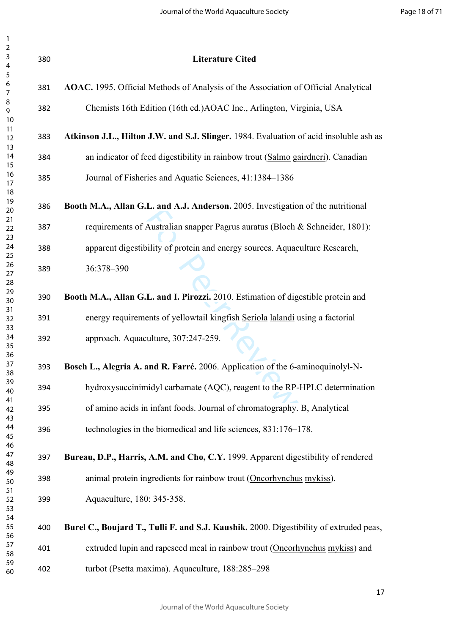| $\mathbf 2$<br>$\ensuremath{\mathsf{3}}$ | 380 | <b>Literature Cited</b>                                                                |
|------------------------------------------|-----|----------------------------------------------------------------------------------------|
| $\overline{4}$<br>5                      |     |                                                                                        |
| 6<br>$\overline{7}$                      | 381 | AOAC. 1995. Official Methods of Analysis of the Association of Official Analytical     |
| 8<br>9<br>10                             | 382 | Chemists 16th Edition (16th ed.) AOAC Inc., Arlington, Virginia, USA                   |
| 11<br>12                                 | 383 | Atkinson J.L., Hilton J.W. and S.J. Slinger. 1984. Evaluation of acid insoluble ash as |
| 13<br>14<br>15                           | 384 | an indicator of feed digestibility in rainbow trout (Salmo gairdneri). Canadian        |
| 16<br>17                                 | 385 | Journal of Fisheries and Aquatic Sciences, 41:1384-1386                                |
| 18<br>19<br>20                           | 386 | Booth M.A., Allan G.L. and A.J. Anderson. 2005. Investigation of the nutritional       |
| 21<br>22                                 | 387 | requirements of Australian snapper Pagrus auratus (Bloch & Schneider, 1801):           |
| 23<br>24<br>25                           | 388 | apparent digestibility of protein and energy sources. Aquaculture Research,            |
| 26<br>27                                 | 389 | 36:378-390                                                                             |
| 28<br>29<br>30                           | 390 | Booth M.A., Allan G.L. and I. Pirozzi. 2010. Estimation of digestible protein and      |
| 31<br>32                                 | 391 | energy requirements of yellowtail kingfish Seriola lalandi using a factorial           |
| 33<br>34<br>35                           | 392 | approach. Aquaculture, 307:247-259.                                                    |
| 36<br>37<br>38                           | 393 | Bosch L., Alegria A. and R. Farré. 2006. Application of the 6-aminoquinolyl-N-         |
| 39<br>40                                 | 394 | hydroxysuccinimidyl carbamate (AQC), reagent to the RP-HPLC determination              |
| 41<br>42<br>43                           | 395 | of amino acids in infant foods. Journal of chromatography. B, Analytical               |
| 44<br>45                                 | 396 | technologies in the biomedical and life sciences, 831:176-178.                         |
| 46<br>47<br>48                           | 397 | Bureau, D.P., Harris, A.M. and Cho, C.Y. 1999. Apparent digestibility of rendered      |
| 49<br>50                                 | 398 | animal protein ingredients for rainbow trout (Oncorhynchus mykiss).                    |
| 51<br>52<br>53                           | 399 | Aquaculture, 180: 345-358.                                                             |
| 54<br>55<br>56                           | 400 | Burel C., Boujard T., Tulli F. and S.J. Kaushik. 2000. Digestibility of extruded peas, |
| 57<br>58                                 | 401 | extruded lupin and rapeseed meal in rainbow trout (Oncorhynchus mykiss) and            |
| 59<br>60                                 | 402 | turbot (Psetta maxima). Aquaculture, 188:285-298                                       |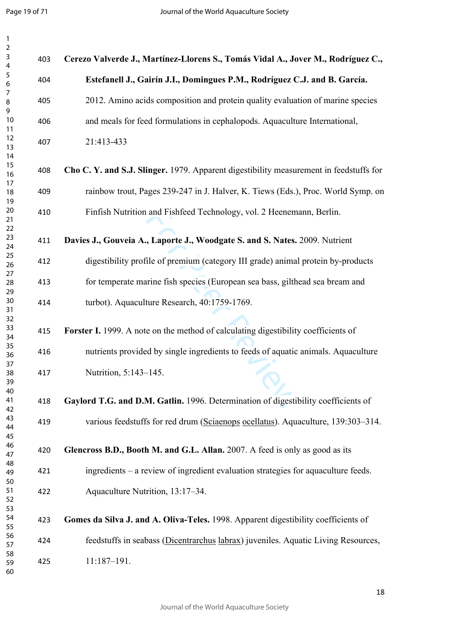$\mathbf{1}$ 

| $\mathbf{1}$                        |     |                                                                                        |
|-------------------------------------|-----|----------------------------------------------------------------------------------------|
| $\overline{c}$<br>$\mathsf{3}$<br>4 | 403 | Cerezo Valverde J., Martínez-Llorens S., Tomás Vidal A., Jover M., Rodríguez C.,       |
| $\sqrt{5}$<br>6                     | 404 | Estefanell J., Gairín J.I., Domingues P.M., Rodríguez C.J. and B. García.              |
| $\overline{7}$<br>8<br>9            | 405 | 2012. Amino acids composition and protein quality evaluation of marine species         |
| 10<br>11                            | 406 | and meals for feed formulations in cephalopods. Aquaculture International,             |
| 12<br>13<br>14                      | 407 | 21:413-433                                                                             |
| 15<br>16                            | 408 | Cho C. Y. and S.J. Slinger. 1979. Apparent digestibility measurement in feedstuffs for |
| 17<br>18<br>19                      | 409 | rainbow trout, Pages 239-247 in J. Halver, K. Tiews (Eds.), Proc. World Symp. on       |
| 20<br>21                            | 410 | Finfish Nutrition and Fishfeed Technology, vol. 2 Heenemann, Berlin.                   |
| 22<br>23<br>24                      | 411 | Davies J., Gouveia A., Laporte J., Woodgate S. and S. Nates. 2009. Nutrient            |
| 25<br>26                            | 412 | digestibility profile of premium (category III grade) animal protein by-products       |
| 27<br>28<br>29                      | 413 | for temperate marine fish species (European sea bass, gilthead sea bream and           |
| 30<br>31                            | 414 | turbot). Aquaculture Research, 40:1759-1769.                                           |
| 32<br>33<br>34                      | 415 | Forster I. 1999. A note on the method of calculating digestibility coefficients of     |
| 35<br>36                            | 416 | nutrients provided by single ingredients to feeds of aquatic animals. Aquaculture      |
| 37<br>38<br>39                      | 417 | Nutrition, 5:143-145.                                                                  |
| 40<br>41<br>42                      | 418 | Gaylord T.G. and D.M. Gatlin. 1996. Determination of digestibility coefficients of     |
| 43<br>44<br>45                      | 419 | various feedstuffs for red drum (Sciaenops ocellatus). Aquaculture, 139:303-314.       |
| 46<br>47                            | 420 | Glencross B.D., Booth M. and G.L. Allan. 2007. A feed is only as good as its           |
| 48<br>49                            | 421 | ingredients – a review of ingredient evaluation strategies for aquaculture feeds.      |
| 50<br>51<br>52                      | 422 | Aquaculture Nutrition, 13:17-34.                                                       |
| 53<br>54<br>55                      | 423 | Gomes da Silva J. and A. Oliva-Teles. 1998. Apparent digestibility coefficients of     |
| 56<br>57                            | 424 | feedstuffs in seabass (Dicentrarchus labrax) juveniles. Aquatic Living Resources,      |
| 58<br>59<br>60                      | 425 | 11:187-191.                                                                            |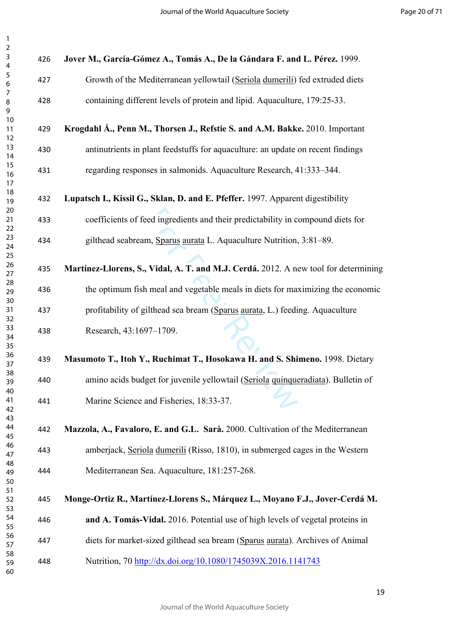| 3                                      |  |
|----------------------------------------|--|
|                                        |  |
|                                        |  |
|                                        |  |
|                                        |  |
|                                        |  |
|                                        |  |
|                                        |  |
|                                        |  |
|                                        |  |
|                                        |  |
|                                        |  |
|                                        |  |
|                                        |  |
|                                        |  |
|                                        |  |
|                                        |  |
|                                        |  |
|                                        |  |
|                                        |  |
| 456789111111111122222222223333336      |  |
|                                        |  |
|                                        |  |
|                                        |  |
|                                        |  |
|                                        |  |
|                                        |  |
|                                        |  |
|                                        |  |
|                                        |  |
| 31<br>32<br>33<br>34<br>35<br>36<br>37 |  |
|                                        |  |
|                                        |  |
|                                        |  |
|                                        |  |
|                                        |  |
|                                        |  |
|                                        |  |
| 39                                     |  |
| 40                                     |  |
| 41                                     |  |
| 4<br>$\overline{\mathbf{c}}$           |  |
| 43                                     |  |
| 44                                     |  |
| 45                                     |  |
| 46                                     |  |
| 4                                      |  |
| 48                                     |  |
| 49                                     |  |
| 50                                     |  |
| 51                                     |  |
| 52                                     |  |
| 53                                     |  |
| 54                                     |  |
| 55                                     |  |
| 56                                     |  |
| 5.                                     |  |
| 58                                     |  |
| 59                                     |  |
|                                        |  |
| 60                                     |  |

| 426 | Jover M., García-Gómez A., Tomás A., De la Gándara F. and L. Pérez. 1999.           |
|-----|-------------------------------------------------------------------------------------|
| 427 | Growth of the Mediterranean yellowtail (Seriola dumerili) fed extruded diets        |
| 428 | containing different levels of protein and lipid. Aquaculture, 179:25-33.           |
| 429 | Krogdahl Å., Penn M., Thorsen J., Refstie S. and A.M. Bakke. 2010. Important        |
| 430 | antinutrients in plant feedstuffs for aquaculture: an update on recent findings     |
| 431 | regarding responses in salmonids. Aquaculture Research, 41:333–344.                 |
| 432 | Lupatsch I., Kissil G., Sklan, D. and E. Pfeffer. 1997. Apparent digestibility      |
| 433 | coefficients of feed ingredients and their predictability in compound diets for     |
| 434 | gilthead seabream, Sparus aurata L. Aquaculture Nutrition, 3:81-89.                 |
| 435 | Martínez-Llorens, S., Vidal, A. T. and M.J. Cerdá. 2012. A new tool for determining |
| 436 | the optimum fish meal and vegetable meals in diets for maximizing the economic      |
| 437 | profitability of gilthead sea bream (Sparus aurata, L.) feeding. Aquaculture        |
| 438 | Research, 43:1697-1709.                                                             |
| 439 | Masumoto T., Itoh Y., Ruchimat T., Hosokawa H. and S. Shimeno. 1998. Dietary        |
| 440 | amino acids budget for juvenile yellowtail (Seriola quinqueradiata). Bulletin of    |
| 441 | Marine Science and Fisheries, 18:33-37.                                             |
| 442 | Mazzola, A., Favaloro, E. and G.L. Sarà. 2000. Cultivation of the Mediterranean     |
| 443 | amberjack, Seriola dumerili (Risso, 1810), in submerged cages in the Western        |
| 444 | Mediterranean Sea. Aquaculture, 181:257-268.                                        |
| 445 | Monge-Ortiz R., Martínez-Llorens S., Márquez L., Moyano F.J., Jover-Cerdá M.        |
| 446 | and A. Tomás-Vidal. 2016. Potential use of high levels of vegetal proteins in       |
| 447 | diets for market-sized gilthead sea bream (Sparus aurata). Archives of Animal       |
| 448 | Nutrition, 70 http://dx.doi.org/10.1080/1745039X.2016.1141743                       |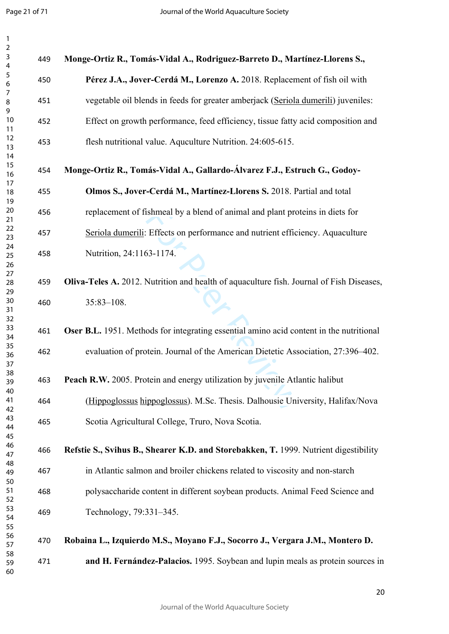$\mathbf{1}$ 

| $\mathbf{1}$             |     |                                                                                          |
|--------------------------|-----|------------------------------------------------------------------------------------------|
| $\overline{2}$<br>3<br>4 | 449 | Monge-Ortiz R., Tomás-Vidal A., Rodriguez-Barreto D., Martínez-Llorens S.,               |
| 5<br>6                   | 450 | Pérez J.A., Jover-Cerdá M., Lorenzo A. 2018. Replacement of fish oil with                |
| 7<br>8                   | 451 | vegetable oil blends in feeds for greater amberjack (Seriola dumerili) juveniles:        |
| 9<br>10<br>11            | 452 | Effect on growth performance, feed efficiency, tissue fatty acid composition and         |
| 12<br>13<br>14           | 453 | flesh nutritional value. Aqualiture Nutrition. 24:605-615.                               |
| 15<br>16                 | 454 | Monge-Ortiz R., Tomás-Vidal A., Gallardo-Álvarez F.J., Estruch G., Godoy-                |
| 17<br>18<br>19           | 455 | Olmos S., Jover-Cerdá M., Martínez-Llorens S. 2018. Partial and total                    |
| 20<br>21                 | 456 | replacement of fishmeal by a blend of animal and plant proteins in diets for             |
| 22<br>23                 | 457 | Seriola dumerili: Effects on performance and nutrient efficiency. Aquaculture            |
| 24<br>25<br>26           | 458 | Nutrition, 24:1163-1174.                                                                 |
| 27<br>28                 | 459 | Oliva-Teles A. 2012. Nutrition and health of aquaculture fish. Journal of Fish Diseases, |
| 29<br>30<br>31           | 460 | $35:83 - 108$ .                                                                          |
| 32<br>33<br>34           | 461 | Oser B.L. 1951. Methods for integrating essential amino acid content in the nutritional  |
| 35<br>36<br>37           | 462 | evaluation of protein. Journal of the American Dietetic Association, 27:396-402.         |
| 38<br>39                 | 463 | Peach R.W. 2005. Protein and energy utilization by juvenile Atlantic halibut             |
| 40<br>41                 | 464 | (Hippoglossus hippoglossus). M.Sc. Thesis. Dalhousie University, Halifax/Nova            |
| 42<br>43<br>44           | 465 | Scotia Agricultural College, Truro, Nova Scotia.                                         |
| 45<br>46<br>47           | 466 | Refstie S., Svihus B., Shearer K.D. and Storebakken, T. 1999. Nutrient digestibility     |
| 48<br>49                 | 467 | in Atlantic salmon and broiler chickens related to viscosity and non-starch              |
| 50<br>51<br>52           | 468 | polysaccharide content in different soybean products. Animal Feed Science and            |
| 53<br>54                 | 469 | Technology, 79:331-345.                                                                  |
| 55<br>56<br>57           | 470 | Robaina L., Izquierdo M.S., Moyano F.J., Socorro J., Vergara J.M., Montero D.            |
| 58<br>59<br>60           | 471 | and H. Fernández-Palacios. 1995. Soybean and lupin meals as protein sources in           |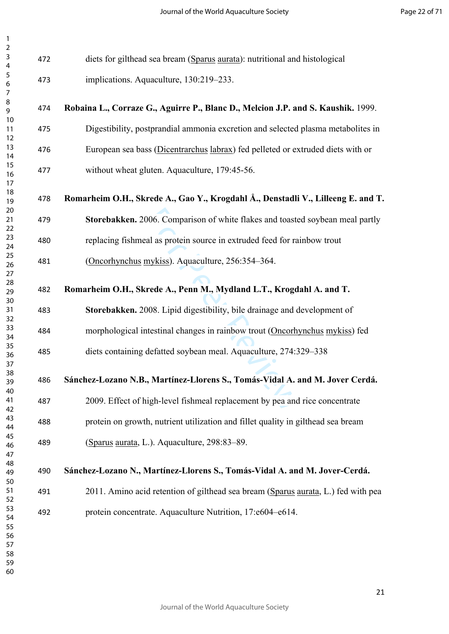| 3                                  |  |
|------------------------------------|--|
| 4                                  |  |
| 5                                  |  |
|                                    |  |
|                                    |  |
|                                    |  |
|                                    |  |
|                                    |  |
|                                    |  |
|                                    |  |
|                                    |  |
|                                    |  |
|                                    |  |
|                                    |  |
|                                    |  |
|                                    |  |
|                                    |  |
|                                    |  |
| 6789111111111122222222223333333333 |  |
|                                    |  |
|                                    |  |
|                                    |  |
|                                    |  |
|                                    |  |
|                                    |  |
|                                    |  |
|                                    |  |
|                                    |  |
|                                    |  |
|                                    |  |
|                                    |  |
|                                    |  |
|                                    |  |
|                                    |  |
|                                    |  |
|                                    |  |
|                                    |  |
|                                    |  |
|                                    |  |
| 39                                 |  |
| 10                                 |  |
|                                    |  |
| 41                                 |  |
| 42                                 |  |
| 43                                 |  |
| 44                                 |  |
| 45                                 |  |
| 46                                 |  |
| 47                                 |  |
| 48                                 |  |
| 49                                 |  |
| 50                                 |  |
| 51                                 |  |
| 52                                 |  |
|                                    |  |
| 53                                 |  |
| 54                                 |  |
| 55                                 |  |
| 56                                 |  |
| 57                                 |  |
| 58                                 |  |
| 59                                 |  |
| 60                                 |  |
|                                    |  |

006. Comparison of white flakes and toaste<br>al as protein source in extruded feed for ra<br>mykiss). Aquaculture, 256:354–364.<br>**rede A., Penn M., Mydland L.T., Krogd**<br>008. Lipid digestibility, bile drainage and c<br>ntestinal cha diets for gilthead sea bream (Sparus aurata): nutritional and histological implications. Aquaculture, 130:219–233. **Robaina L., Corraze G., Aguirre P., Blanc D., Melcion J.P. and S. Kaushik.** 1999. Digestibility, postprandial ammonia excretion and selected plasma metabolites in European sea bass (Dicentrarchus labrax) fed pelleted or extruded diets with or without wheat gluten. Aquaculture, 179:45-56. **Romarheim O.H., Skrede A., Gao Y., Krogdahl Å., Denstadli V., Lilleeng E. and T. Storebakken.** 2006. Comparison of white flakes and toasted soybean meal partly replacing fishmeal as protein source in extruded feed for rainbow trout (Oncorhynchus mykiss). Aquaculture, 256:354–364. **[Romarheim](http://www.sciencedirect.com/science/article/pii/S0044848607010897) O.H., Skrede A., Penn M., Mydland L.T., Krogdahl A. and T. Storebakken.** 2008. Lipid digestibility, bile drainage and development of morphological intestinal changes in rainbow trout (Oncorhynchus mykiss) fed diets containing defatted soybean meal. Aquaculture, 274:329–338 **Sánchez-Lozano N.B., Martínez-Llorens S., Tomás-Vidal A. and M. Jover Cerdá.** 2009. Effect of high-level fishmeal replacement by pea and rice concentrate protein on growth, nutrient utilization and fillet quality in gilthead sea bream (Sparus aurata, L.). Aquaculture, 298:83–89. **Sánchez-Lozano N., Martínez-Llorens S., Tomás-Vidal A. and M. Jover-Cerdá.** 2011. Amino acid retention of gilthead sea bream (Sparus aurata, L.) fed with pea protein concentrate. Aquaculture Nutrition, 17:e604–e614.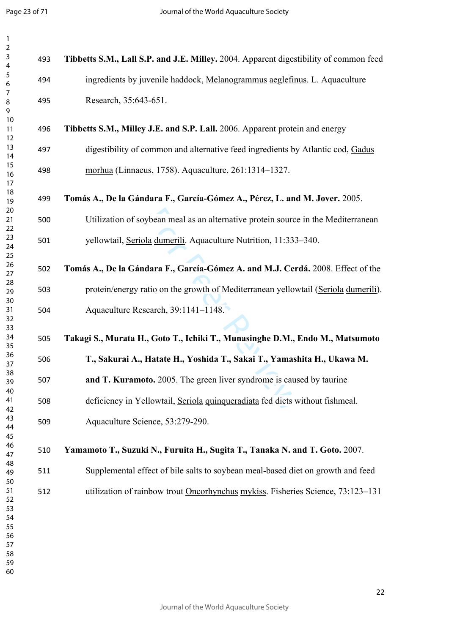$\mathbf{1}$ 

| $\mathbf{1}$                                             |     |                                                                                       |
|----------------------------------------------------------|-----|---------------------------------------------------------------------------------------|
| $\overline{2}$<br>$\mathsf{3}$<br>4                      | 493 | Tibbetts S.M., Lall S.P. and J.E. Milley. 2004. Apparent digestibility of common feed |
| 5<br>6                                                   | 494 | ingredients by juvenile haddock, Melanogrammus aeglefinus. L. Aquaculture             |
| 7<br>8<br>9                                              | 495 | Research, 35:643-651.                                                                 |
| 10<br>11<br>12                                           | 496 | Tibbetts S.M., Milley J.E. and S.P. Lall. 2006. Apparent protein and energy           |
| 13<br>14                                                 | 497 | digestibility of common and alternative feed ingredients by Atlantic cod, Gadus       |
| 15<br>16<br>17                                           | 498 | morhua (Linnaeus, 1758). Aquaculture, 261:1314–1327.                                  |
| 18<br>19                                                 | 499 | Tomás A., De la Gándara F., García-Gómez A., Pérez, L. and M. Jover. 2005.            |
| 20<br>21<br>22                                           | 500 | Utilization of soybean meal as an alternative protein source in the Mediterranean     |
| 23<br>24<br>25                                           | 501 | yellowtail, Seriola dumerili. Aquaculture Nutrition, 11:333-340.                      |
| 26<br>27                                                 | 502 | Tomás A., De la Gándara F., García-Gómez A. and M.J. Cerdá. 2008. Effect of the       |
| 28<br>29<br>30                                           | 503 | protein/energy ratio on the growth of Mediterranean yellowtail (Seriola dumerili).    |
| 31<br>32                                                 | 504 | Aquaculture Research, 39:1141-1148.                                                   |
| 33<br>34<br>35                                           | 505 | Takagi S., Murata H., Goto T., Ichiki T., Munasinghe D.M., Endo M., Matsumoto         |
| 36<br>37                                                 | 506 | T., Sakurai A., Hatate H., Yoshida T., Sakai T., Yamashita H., Ukawa M.               |
| 38<br>39<br>40                                           | 507 | and T. Kuramoto. 2005. The green liver syndrome is caused by taurine                  |
| 41<br>42                                                 | 508 | deficiency in Yellowtail, Seriola quinqueradiata fed diets without fishmeal.          |
| 43<br>44<br>45                                           | 509 | Aquaculture Science, 53:279-290.                                                      |
| 46<br>47                                                 | 510 | Yamamoto T., Suzuki N., Furuita H., Sugita T., Tanaka N. and T. Goto. 2007.           |
| 48<br>49<br>50                                           | 511 | Supplemental effect of bile salts to soybean meal-based diet on growth and feed       |
| 51<br>52<br>53<br>54<br>55<br>56<br>57<br>58<br>59<br>60 | 512 | utilization of rainbow trout Oncorhynchus mykiss. Fisheries Science, 73:123-131       |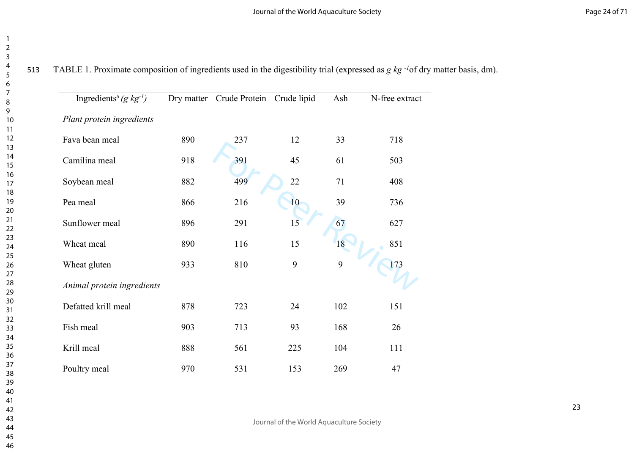TABLE 1. Proximate composition of ingredients used in the digestibility trial (expressed as *g kg -1*of dry matter basis, dm).

| Ingredients <sup>a</sup> (g $kg^{-1}$ ) | Dry matter | Crude Protein Crude lipid |     | Ash | N-free extract |
|-----------------------------------------|------------|---------------------------|-----|-----|----------------|
| Plant protein ingredients               |            |                           |     |     |                |
| Fava bean meal                          | 890        | 237                       | 12  | 33  | 718            |
| Camilina meal                           | 918        | 391                       | 45  | 61  | 503            |
| Soybean meal                            | 882        | 499                       | 22  | 71  | 408            |
| Pea meal                                | 866        | 216                       | 10  | 39  | 736            |
| Sunflower meal                          | 896        | 291                       | 15  | 67  | 627            |
| Wheat meal                              | 890        | 116                       | 15  | 18  | 851            |
| Wheat gluten                            | 933        | 810                       | 9   | 9   | 173            |
| Animal protein ingredients              |            |                           |     |     |                |
| Defatted krill meal                     | 878        | 723                       | 24  | 102 | 151            |
| Fish meal                               | 903        | 713                       | 93  | 168 | 26             |
| Krill meal                              | 888        | 561                       | 225 | 104 | 111            |
| Poultry meal                            | 970        | 531                       | 153 | 269 | 47             |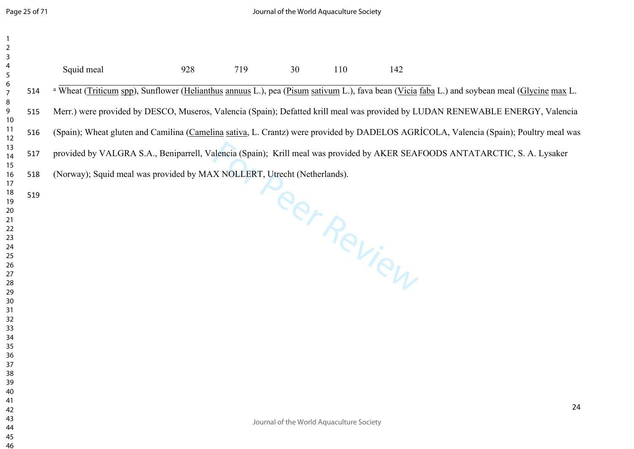| $\mathbf{1}$<br>$\begin{array}{c} 2 \\ 3 \end{array}$ |     |                                                                                                                                                         |     |     |    |                                          |            |    |
|-------------------------------------------------------|-----|---------------------------------------------------------------------------------------------------------------------------------------------------------|-----|-----|----|------------------------------------------|------------|----|
| 4<br>5<br>6<br>7                                      |     | Squid meal                                                                                                                                              | 928 | 719 | 30 | 110                                      | 142        |    |
|                                                       | 514 | <sup>a</sup> Wheat (Triticum spp), Sunflower (Helianthus annuus L.), pea (Pisum sativum L.), fava bean (Vicia faba L.) and soybean meal (Glycine max L. |     |     |    |                                          |            |    |
| 8<br>9<br>10                                          | 515 | Merr.) were provided by DESCO, Museros, Valencia (Spain); Defatted krill meal was provided by LUDAN RENEWABLE ENERGY, Valencia                          |     |     |    |                                          |            |    |
| 11<br>12                                              | 516 | (Spain); Wheat gluten and Camilina (Camelina sativa, L. Crantz) were provided by DADELOS AGRÍCOLA, Valencia (Spain); Poultry meal was                   |     |     |    |                                          |            |    |
| 13<br>14                                              | 517 | provided by VALGRA S.A., Beniparrell, Valencia (Spain); Krill meal was provided by AKER SEAFOODS ANTATARCTIC, S. A. Lysaker                             |     |     |    |                                          |            |    |
| 15<br>$16$                                            | 518 | (Norway); Squid meal was provided by MAX NOLLERT, Utrecht (Netherlands).                                                                                |     |     |    |                                          |            |    |
| 17<br>18                                              | 519 |                                                                                                                                                         |     |     |    |                                          |            |    |
| 19<br>20                                              |     |                                                                                                                                                         |     |     |    |                                          | Per Review |    |
| 21<br>22                                              |     |                                                                                                                                                         |     |     |    |                                          |            |    |
| 23<br>24                                              |     |                                                                                                                                                         |     |     |    |                                          |            |    |
| 25<br>26                                              |     |                                                                                                                                                         |     |     |    |                                          |            |    |
| 27<br>28                                              |     |                                                                                                                                                         |     |     |    |                                          |            |    |
| 29<br>30                                              |     |                                                                                                                                                         |     |     |    |                                          |            |    |
| 31                                                    |     |                                                                                                                                                         |     |     |    |                                          |            |    |
| 32<br>33                                              |     |                                                                                                                                                         |     |     |    |                                          |            |    |
| 34<br>35                                              |     |                                                                                                                                                         |     |     |    |                                          |            |    |
| 36<br>37                                              |     |                                                                                                                                                         |     |     |    |                                          |            |    |
| 38<br>39                                              |     |                                                                                                                                                         |     |     |    |                                          |            |    |
| 40<br>41                                              |     |                                                                                                                                                         |     |     |    |                                          |            |    |
| 42<br>43                                              |     |                                                                                                                                                         |     |     |    |                                          |            | 24 |
| 44<br>45                                              |     |                                                                                                                                                         |     |     |    | Journal of the World Aquaculture Society |            |    |
|                                                       |     |                                                                                                                                                         |     |     |    |                                          |            |    |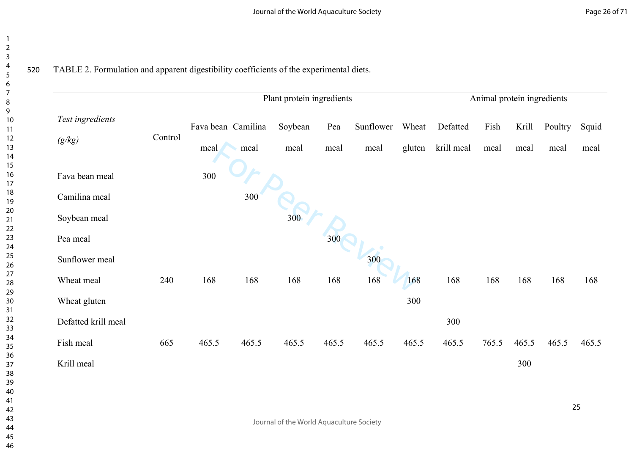|                            |         |                    |       | Plant protein ingredients |       |           |        |            | Animal protein ingredients |       |         |       |
|----------------------------|---------|--------------------|-------|---------------------------|-------|-----------|--------|------------|----------------------------|-------|---------|-------|
| Test ingredients<br>(g/kg) | Control | Fava bean Camilina |       | Soybean                   | Pea   | Sunflower | Wheat  | Defatted   | Fish                       | Krill | Poultry | Squid |
|                            |         | meal               | meal  | meal                      | meal  | meal      | gluten | krill meal | meal                       | meal  | meal    | meal  |
| Fava bean meal             |         | 300                |       |                           |       |           |        |            |                            |       |         |       |
| Camilina meal              |         |                    | 300   |                           |       |           |        |            |                            |       |         |       |
| Soybean meal               |         |                    |       | 300                       |       |           |        |            |                            |       |         |       |
| Pea meal                   |         |                    |       |                           | 300   |           |        |            |                            |       |         |       |
| Sunflower meal             |         |                    |       |                           |       | 300       |        |            |                            |       |         |       |
| Wheat meal                 | 240     | 168                | 168   | 168                       | 168   | 168       | 168    | 168        | 168                        | 168   | 168     | 168   |
| Wheat gluten               |         |                    |       |                           |       |           | 300    |            |                            |       |         |       |
| Defatted krill meal        |         |                    |       |                           |       |           |        | 300        |                            |       |         |       |
| Fish meal                  | 665     | 465.5              | 465.5 | 465.5                     | 465.5 | 465.5     | 465.5  | 465.5      | 765.5                      | 465.5 | 465.5   | 465.5 |
|                            |         |                    |       |                           |       |           |        |            |                            | 300   |         |       |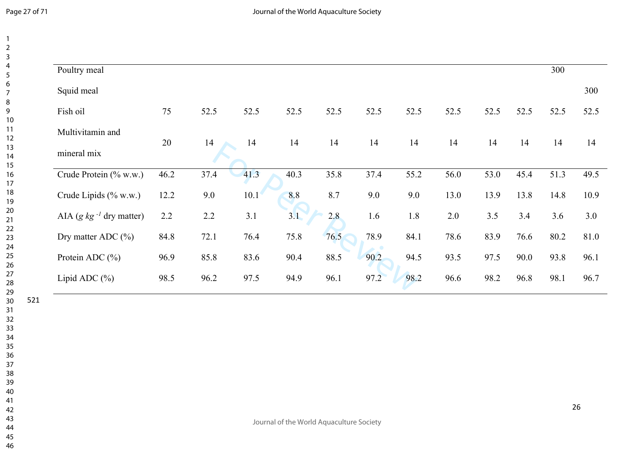$\overline{4}$  $\overline{5}$  $\overline{7}$  $\overline{9}$ 

 $\overline{\phantom{a}}$  $\overline{2}$  $\overline{\mathbf{3}}$ 

| Poultry meal                 |        |      |      |      |      |      |      |      |      |      | 300  |      |
|------------------------------|--------|------|------|------|------|------|------|------|------|------|------|------|
| Squid meal                   |        |      |      |      |      |      |      |      |      |      |      | 300  |
| Fish oil                     | 75     | 52.5 | 52.5 | 52.5 | 52.5 | 52.5 | 52.5 | 52.5 | 52.5 | 52.5 | 52.5 | 52.5 |
| Multivitamin and             | $20\,$ | 14   | 14   | 14   | 14   | 14   | 14   | 14   | 14   | 14   | 14   | 14   |
| mineral mix                  |        |      |      |      |      |      |      |      |      |      |      |      |
| Crude Protein (% w.w.)       | 46.2   | 37.4 | 41.3 | 40.3 | 35.8 | 37.4 | 55.2 | 56.0 | 53.0 | 45.4 | 51.3 | 49.5 |
| Crude Lipids (% w.w.)        | 12.2   | 9.0  | 10.1 | 8.8  | 8.7  | 9.0  | 9.0  | 13.0 | 13.9 | 13.8 | 14.8 | 10.9 |
| AIA (g $kg^{-1}$ dry matter) | 2.2    | 2.2  | 3.1  | 3.1  | 2.8  | 1.6  | 1.8  | 2.0  | 3.5  | 3.4  | 3.6  | 3.0  |
| Dry matter ADC $(\% )$       | 84.8   | 72.1 | 76.4 | 75.8 | 76.5 | 78.9 | 84.1 | 78.6 | 83.9 | 76.6 | 80.2 | 81.0 |
| Protein ADC $(\% )$          | 96.9   | 85.8 | 83.6 | 90.4 | 88.5 | 90.2 | 94.5 | 93.5 | 97.5 | 90.0 | 93.8 | 96.1 |
| Lipid ADC $(\% )$            | 98.5   | 96.2 | 97.5 | 94.9 | 96.1 | 97.2 | 98.2 | 96.6 | 98.2 | 96.8 | 98.1 | 96.7 |

Journal of the World Aquaculture Society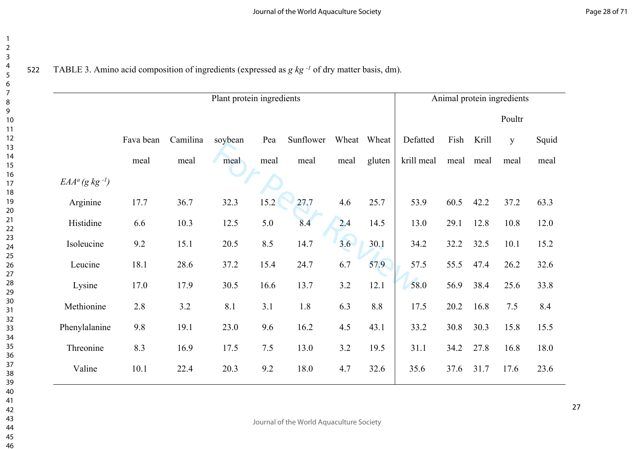522 TABLE 3. Amino acid composition of ingredients (expressed as *g kg -1* of dry matter basis, dm).

|                               | Animal protein ingredients |          |         |       |           |      |             |            |      |       |        |       |
|-------------------------------|----------------------------|----------|---------|-------|-----------|------|-------------|------------|------|-------|--------|-------|
|                               |                            |          |         |       |           |      |             |            |      |       | Poultr |       |
|                               | Fava bean                  | Camilina | soybean | Pea   | Sunflower |      | Wheat Wheat | Defatted   | Fish | Krill | y      | Squid |
|                               | meal                       | meal     | meal    | meal  | meal      | meal | gluten      | krill meal | meal | meal  | meal   | meal  |
| $EAA^a$ (g kg <sup>-1</sup> ) |                            |          |         |       |           |      |             |            |      |       |        |       |
| Arginine                      | 17.7                       | 36.7     | 32.3    | 15.2  | 27.7      | 4.6  | 25.7        | 53.9       | 60.5 | 42.2  | 37.2   | 63.3  |
| Histidine                     | 6.6                        | 10.3     | 12.5    | 5.0   | 8.4       | 2.4  | 14.5        | 13.0       | 29.1 | 12.8  | 10.8   | 12.0  |
| Isoleucine                    | 9.2                        | 15.1     | 20.5    | 8.5   | 14.7      | 3.6  | 30.1        | 34.2       | 32.2 | 32.5  | 10.1   | 15.2  |
| Leucine                       | 18.1                       | 28.6     | 37.2    | 15.4  | 24.7      | 6.7  | 57.9        | 57.5       | 55.5 | 47.4  | 26.2   | 32.6  |
| Lysine                        | 17.0                       | 17.9     | 30.5    | 16.6  | 13.7      | 3.2  | 12.1        | 58.0       | 56.9 | 38.4  | 25.6   | 33.8  |
| Methionine                    | 2.8                        | 3.2      | 8.1     | 3.1   | 1.8       | 6.3  | 8.8         | 17.5       | 20.2 | 16.8  | 7.5    | 8.4   |
| Phenylalanine                 | 9.8                        | 19.1     | 23.0    | 9.6   | 16.2      | 4.5  | 43.1        | 33.2       | 30.8 | 30.3  | 15.8   | 15.5  |
| Threonine                     | 8.3                        | 16.9     | 17.5    | $7.5$ | 13.0      | 3.2  | 19.5        | 31.1       | 34.2 | 27.8  | 16.8   | 18.0  |
| Valine                        | 10.1                       | 22.4     | 20.3    | 9.2   | 18.0      | 4.7  | 32.6        | 35.6       | 37.6 | 31.7  | 17.6   | 23.6  |
|                               |                            |          |         |       |           |      |             |            |      |       |        |       |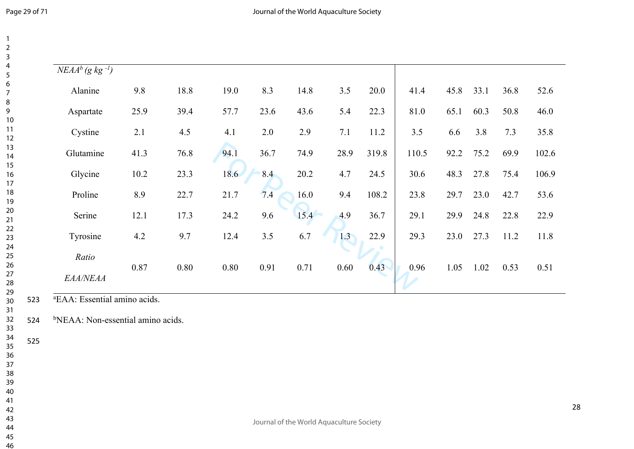| $\sqrt{NEAA^b}$ (g kg <sup>-1</sup> ) |      |      |      |      |      |      |       |       |      |      |      |       |
|---------------------------------------|------|------|------|------|------|------|-------|-------|------|------|------|-------|
| Alanine                               | 9.8  | 18.8 | 19.0 | 8.3  | 14.8 | 3.5  | 20.0  | 41.4  | 45.8 | 33.1 | 36.8 | 52.6  |
| Aspartate                             | 25.9 | 39.4 | 57.7 | 23.6 | 43.6 | 5.4  | 22.3  | 81.0  | 65.1 | 60.3 | 50.8 | 46.0  |
| Cystine                               | 2.1  | 4.5  | 4.1  | 2.0  | 2.9  | 7.1  | 11.2  | 3.5   | 6.6  | 3.8  | 7.3  | 35.8  |
| Glutamine                             | 41.3 | 76.8 | 94.1 | 36.7 | 74.9 | 28.9 | 319.8 | 110.5 | 92.2 | 75.2 | 69.9 | 102.6 |
| Glycine                               | 10.2 | 23.3 | 18.6 | 8.4  | 20.2 | 4.7  | 24.5  | 30.6  | 48.3 | 27.8 | 75.4 | 106.9 |
| Proline                               | 8.9  | 22.7 | 21.7 | 7.4  | 16.0 | 9.4  | 108.2 | 23.8  | 29.7 | 23.0 | 42.7 | 53.6  |
| Serine                                | 12.1 | 17.3 | 24.2 | 9.6  | 15.4 | 4.9  | 36.7  | 29.1  | 29.9 | 24.8 | 22.8 | 22.9  |
| Tyrosine                              | 4.2  | 9.7  | 12.4 | 3.5  | 6.7  | 1.3  | 22.9  | 29.3  | 23.0 | 27.3 | 11.2 | 11.8  |
| Ratio                                 | 0.87 | 0.80 | 0.80 |      | 0.71 |      | 0.43  | 0.96  | 1.05 | 1.02 |      | 0.51  |
| EAA/NEAA                              |      |      |      | 0.91 |      | 0.60 |       |       |      |      | 0.53 |       |

<sup>a</sup>EAA: Essential amino acids.

<sup>b</sup>NEAA: Non-essential amino acids.

Journal of the World Aquaculture Society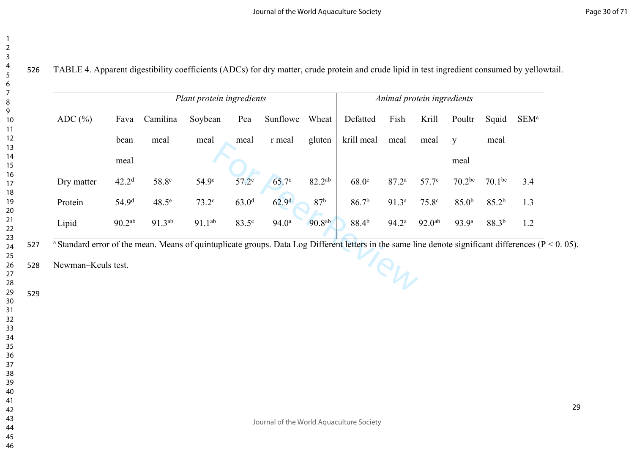| $\overline{2}$                |  |
|-------------------------------|--|
| ś                             |  |
|                               |  |
| ŗ                             |  |
| 6                             |  |
|                               |  |
| 8                             |  |
| 9                             |  |
| 10                            |  |
| 1<br>1                        |  |
| 1<br>2                        |  |
| 1<br>3                        |  |
| 4                             |  |
| 1<br>1<br>5                   |  |
| $\frac{16}{2}$                |  |
| 1<br>$\overline{\phantom{a}}$ |  |
| 18                            |  |
| 19                            |  |
| 20                            |  |
| $\overline{21}$               |  |
| $\overline{2}$<br>2           |  |
| 23                            |  |
| $\overline{24}$               |  |
| 25                            |  |
| 26                            |  |
| $^{27}$                       |  |
| 28                            |  |
| 29                            |  |
| 30                            |  |
| $\overline{\phantom{0}}$      |  |
| $^{32}$                       |  |
| 33                            |  |
| $\frac{34}{5}$                |  |
| 35                            |  |
| 36                            |  |
| $\frac{1}{37}$                |  |
| 38                            |  |
| ì,                            |  |
| 40                            |  |
| 41                            |  |
| 42                            |  |
| 43                            |  |
| 44                            |  |
| 45                            |  |
| 46                            |  |

529

526 TABLE 4. Apparent digestibility coefficients (ADCs) for dry matter, crude protein and crude lipid in test ingredient consumed by yellowtail.

| Camilina<br>Fava<br>bean<br>meal       | Soybean<br>meal   | Pea                 | Sunflowe          | Wheat           | Defatted          | Fish              | Krill              | Poultr             | Squid             | SEM <sup>a</sup>                                                                                                                             |
|----------------------------------------|-------------------|---------------------|-------------------|-----------------|-------------------|-------------------|--------------------|--------------------|-------------------|----------------------------------------------------------------------------------------------------------------------------------------------|
|                                        |                   |                     |                   |                 |                   |                   |                    |                    |                   |                                                                                                                                              |
|                                        |                   | meal                | r meal            | gluten          | krill meal        | meal              | meal               | y                  | meal              |                                                                                                                                              |
| meal                                   |                   |                     |                   |                 |                   |                   |                    | meal               |                   |                                                                                                                                              |
| 42.2 <sup>d</sup><br>58.8c             | 54.9 <sup>c</sup> | $57.2$ <sup>c</sup> | 65.7c             | 82.2ab          | 68.0 <sup>c</sup> | 87.2 <sup>a</sup> | 57.7 <sup>c</sup>  | 70.2 <sup>bc</sup> | $70.1^{bc}$       | 3.4                                                                                                                                          |
| 48.5 <sup>e</sup><br>54.9 <sup>d</sup> | 73.2 <sup>c</sup> | 63.0 <sup>d</sup>   | 62.9 <sup>d</sup> | 87 <sup>b</sup> | 86.7 <sup>b</sup> | 91.3 <sup>a</sup> | 75.8c              | 85.0 <sup>b</sup>  | 85.2 <sup>b</sup> | 1.3                                                                                                                                          |
| 90.2 <sup>ab</sup><br>91.3ab           | $91.1^{ab}$       | 83.5 <sup>c</sup>   | 94.0 <sup>a</sup> | 90.8ab          | 88.4 <sup>b</sup> | 94.2 <sup>a</sup> | 92.0 <sup>ab</sup> | 93.9 <sup>a</sup>  | $88.3^{b}$        | 1.2                                                                                                                                          |
|                                        |                   |                     |                   |                 |                   |                   |                    |                    |                   | a Standard error of the mean. Means of quintuplicate groups. Data Log Different letters in the same line denote significant differences (P < |

527 a Standard error of the mean. Means of quintuplicate groups. Data Log Different letters in the same line denote significant differences ( $P < 0.05$ ).

528 Newman–Keuls test.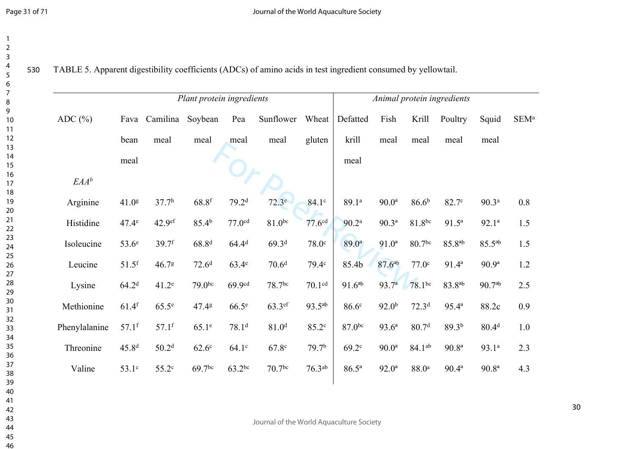| 1<br>$\overline{c}$ |     |
|---------------------|-----|
| 3<br>4              |     |
| 5                   | 530 |
| 6                   |     |
| 7                   |     |
| 8                   |     |
| 9                   |     |
| 10<br>11            |     |
| $\overline{12}$     |     |
| 13                  |     |
| 14                  |     |
| 15                  |     |
| 16                  |     |
| 17                  |     |
| 18<br>19            |     |
| 20                  |     |
| $\overline{21}$     |     |
| 22                  |     |
| 23                  |     |
| 24                  |     |
| 25                  |     |
| 26<br>27            |     |
| 28                  |     |
| 29                  |     |
| 30                  |     |
| 31                  |     |
| 32                  |     |
| 33                  |     |
| 34<br>35            |     |
| 36                  |     |
| 37                  |     |
| ٩R                  |     |
| 39                  |     |
| 40                  |     |
| 41                  |     |
| 42<br>43            |     |
| 44                  |     |
| 45                  |     |

TABLE 5. Apparent digestibility coefficients (ADCs) of amino acids in test ingredient consumed by yellowtail.

|               |                     |                     | Plant protein ingredients |                    |                    | Animal protein ingredients |                   |                   |                    |                    |                   |                  |
|---------------|---------------------|---------------------|---------------------------|--------------------|--------------------|----------------------------|-------------------|-------------------|--------------------|--------------------|-------------------|------------------|
| ADC $(\% )$   | Fava                | Camilina            | Soybean                   | Pea                | Sunflower Wheat    |                            | Defatted          | Fish              | Krill              | Poultry            | Squid             | SEM <sup>a</sup> |
|               | bean                | meal                | meal                      | meal               | meal               | gluten                     | krill             | meal              | meal               | meal               | meal              |                  |
|               | meal                |                     |                           |                    |                    |                            | meal              |                   |                    |                    |                   |                  |
| $EAA^b$       |                     |                     |                           |                    |                    |                            |                   |                   |                    |                    |                   |                  |
| Arginine      | 41.0g               | 37.7 <sup>h</sup>   | $68.8$ f                  | 79.2 <sup>d</sup>  | 72.3 <sup>e</sup>  | 84.1 <sup>c</sup>          | 89.1ª             | $90.0^{\rm a}$    | 86.6 <sup>b</sup>  | 82.7c              | 90.3 <sup>a</sup> | 0.8              |
| Histidine     | $47.4^\circ$        | 42.9 <sup>ef</sup>  | 85.4 <sup>b</sup>         | 77.0 <sup>cd</sup> | $81.0^{bc}$        | 77.6 <sup>cd</sup>         | 90.2 <sup>a</sup> | $90.3^{\rm a}$    | 81.8bc             | $91.5^{\circ}$     | $92.1^a$          | 1.5              |
| Isoleucine    | $53.6^\circ$        | $39.7$ <sup>f</sup> | $68.8^{d}$                | $64.4^{d}$         | 69.3 <sup>d</sup>  | 78.0 <sup>c</sup>          | $89.0^{\circ}$    | $91.0^a$          | 80.7 <sup>bc</sup> | 85.8 <sup>ab</sup> | $85.5^{ab}$       | 1.5              |
| Leucine       | $51.5$ <sup>f</sup> | 46.78               | 72.6 <sup>d</sup>         | 63.4 <sup>e</sup>  | 70.6 <sup>d</sup>  | 79.4c                      | 85.4b             | $87.6^{ab}$       | 77.0 <sup>c</sup>  | $91.4^a$           | $90.9^{\rm a}$    | 1.2              |
| Lysine        | 64.2 <sup>d</sup>   | 41.2 <sup>e</sup>   | 79.0 <sup>bc</sup>        | 69.9cd             | 78.7 <sup>bc</sup> | 70.1 <sup>cd</sup>         | $91.6^{ab}$       | $93.7^{a}$        | 78.1bc             | 83.8 <sup>ab</sup> | $90.7^{ab}$       | 2.5              |
| Methionine    | $61.4$ <sup>f</sup> | $65.5^e$            | 47.48                     | $66.5^e$           | $63.3$ ef          | $93.5^{ab}$                | 86.6 <sup>c</sup> | 92.0 <sup>b</sup> | 72.3 <sup>d</sup>  | $95.4^{\rm a}$     | 88.2c             | 0.9              |
| Phenylalanine | $57.1$ f            | $57.1$ f            | 65.1 <sup>e</sup>         | 78.1 <sup>d</sup>  | 81.0 <sup>d</sup>  | 85.2c                      | 87.0bc            | $93.6^{\rm a}$    | 80.7 <sup>d</sup>  | 89.3 <sup>b</sup>  | 80.4 <sup>d</sup> | 1.0              |
| Threonine     | 45.8 <sup>d</sup>   | 50.2 <sup>d</sup>   | 62.6 <sup>c</sup>         | $64.1^\circ$       | 67.8 <sup>c</sup>  | 79.7 <sup>b</sup>          | 69.2 <sup>c</sup> | $90.0^{\rm a}$    | 84.1 <sup>ab</sup> | 90.8 <sup>a</sup>  | 93.1a             | 2.3              |
| Valine        | 53.1c               | 55.2c               | 69.7 <sup>bc</sup>        | $63.2^{bc}$        | 70.7 <sup>bc</sup> | 76.3 <sup>ab</sup>         | $86.5^{\rm a}$    | $92.0^{\rm a}$    | 88.0 <sup>a</sup>  | $90.4^{\rm a}$     | 90.8 <sup>a</sup> | 4.3              |
|               |                     |                     |                           |                    |                    |                            |                   |                   |                    |                    |                   |                  |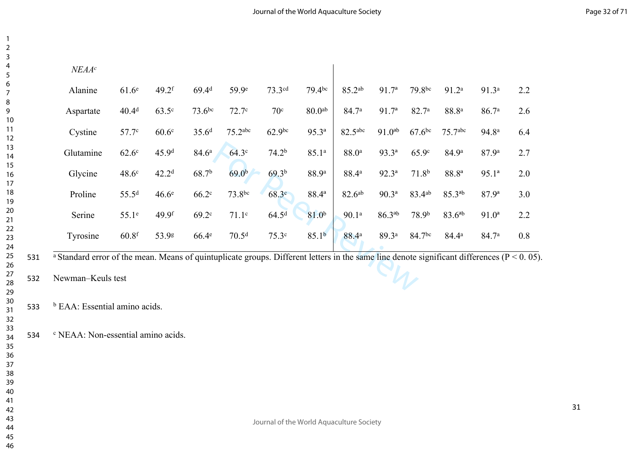| NEAA <sup>c</sup>                                                                                                                                                             |                   |                   |                   |                   |                   |                    |                     |                   |                    |                     |                   |     |
|-------------------------------------------------------------------------------------------------------------------------------------------------------------------------------|-------------------|-------------------|-------------------|-------------------|-------------------|--------------------|---------------------|-------------------|--------------------|---------------------|-------------------|-----|
| Alanine                                                                                                                                                                       | 61.6 <sup>e</sup> | $49.2$ f          | 69.4 <sup>d</sup> | 59.9 <sup>e</sup> | 73.3cd            | $79.4$ bc          | 85.2ab              | 91.7 <sup>a</sup> | 79.8bc             | 91.2 <sup>a</sup>   | 91.3 <sup>a</sup> | 2.2 |
| Aspartate                                                                                                                                                                     | 40.4 <sup>d</sup> | $63.5^\circ$      | $73.6^{bc}$       | 72.7 <sup>c</sup> | 70 <sup>c</sup>   | 80.0 <sup>ab</sup> | 84.7 <sup>a</sup>   | 91.7 <sup>a</sup> | 82.7 <sup>a</sup>  | 88.8 <sup>a</sup>   | 86.7 <sup>a</sup> | 2.6 |
| Cystine                                                                                                                                                                       | 57.7 <sup>c</sup> | 60.6 <sup>c</sup> | 35.6 <sup>d</sup> | $75.2$ abc        | $62.9^{bc}$       | $95.3^{a}$         | 82.5 <sup>abc</sup> | $91.0^{ab}$       | $67.6$ bc          | 75.7 <sup>abc</sup> | 94.8 <sup>a</sup> | 6.4 |
| Glutamine                                                                                                                                                                     | $62.6^\circ$      | 45.9d             | 84.6 <sup>a</sup> | 64.3 <sup>c</sup> | 74.2 <sup>b</sup> | 85.1a              | 88.0 <sup>a</sup>   | $93.3^{a}$        | 65.9c              | 84.9a               | 87.9a             | 2.7 |
| Glycine                                                                                                                                                                       | 48.6 <sup>c</sup> | 42.2 <sup>d</sup> | 68.7 <sup>b</sup> | 69.0 <sup>b</sup> | 69.3 <sup>b</sup> | 88.9ª              | 88.4 <sup>a</sup>   | $92.3^{\rm a}$    | 71.8 <sup>b</sup>  | 88.8 <sup>a</sup>   | $95.1^{a}$        | 2.0 |
| Proline                                                                                                                                                                       | 55.5 <sup>d</sup> | 46.6 <sup>e</sup> | 66.2 <sup>c</sup> | 73.8bc            | 68.3 <sup>c</sup> | $88.4^{a}$         | 82.6ab              | $90.3^{\rm a}$    | 83.4ab             | $85.3^{ab}$         | $87.9^{a}$        | 3.0 |
| Serine                                                                                                                                                                        | $55.1^\circ$      | 49.9 <sup>f</sup> | $69.2^{\circ}$    | 71.1 <sup>c</sup> | 64.5 <sup>d</sup> | 81.0 <sup>b</sup>  | 90.1 <sup>a</sup>   | $86.3^{ab}$       | 78.9 <sup>b</sup>  | $83.6^{ab}$         | $91.0^a$          | 2.2 |
| Tyrosine                                                                                                                                                                      | 60.8 <sup>f</sup> | 53.98             | $66.4^e$          | 70.5 <sup>d</sup> | 75.3 <sup>c</sup> | 85.1 <sup>b</sup>  | 88.4 <sup>a</sup>   | 89.3 <sup>a</sup> | 84.7 <sup>bc</sup> | $84.4^{\rm a}$      | 84.7 <sup>a</sup> | 0.8 |
| <sup>a</sup> Standard error of the mean. Means of quintuplicate groups. Different letters in the same line denote significant differences ( $P < 0$ . 0)<br>Newman-Keuls test |                   |                   |                   |                   |                   |                    |                     |                   |                    |                     |                   |     |

531 a Standard error of the mean. Means of quintuplicate groups. Different letters in the same line denote significant differences ( $P < 0.05$ ).<br>532 Newman–Keuls test

Newman–Keuls test

 <sup>b</sup> EAA: Essential amino acids.

NEAA: Non-essential amino acids.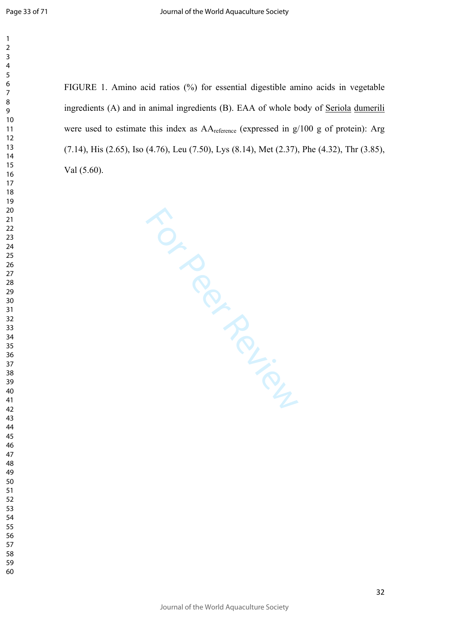$\mathbf{1}$  $\overline{2}$  $\overline{3}$  $\overline{4}$ 

FIGURE 1. Amino acid ratios (%) for essential digestible amino acids in vegetable ingredients (A) and in animal ingredients (B). EAA of whole body of Seriola dumerili were used to estimate this index as  $AA_{reference}$  (expressed in  $g/100$  g of protein): Arg (7.14), His (2.65), Iso (4.76), Leu (7.50), Lys (8.14), Met (2.37), Phe (4.32), Thr (3.85), Val (5.60).

For Per Review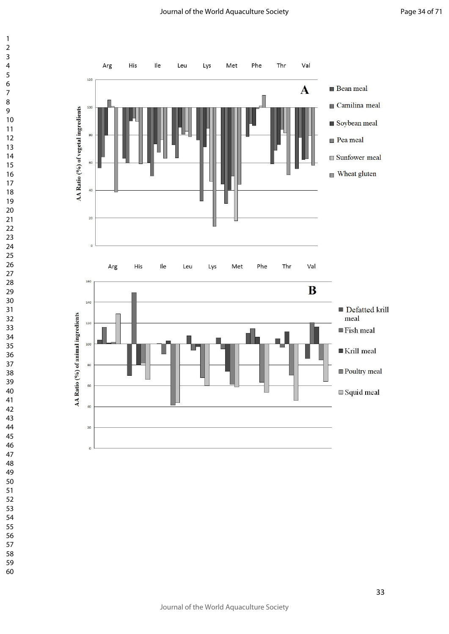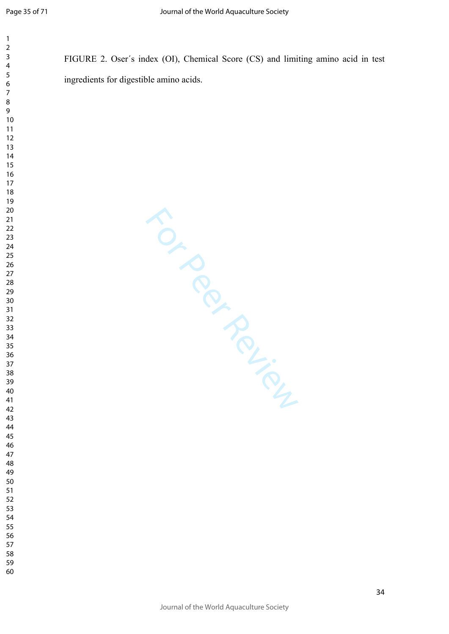$\mathbf{1}$  $\overline{2}$ 

FIGURE 2. Oser´s index (OI), Chemical Score (CS) and limiting amino acid in test ingredients for digestible amino acids.

For Perince Review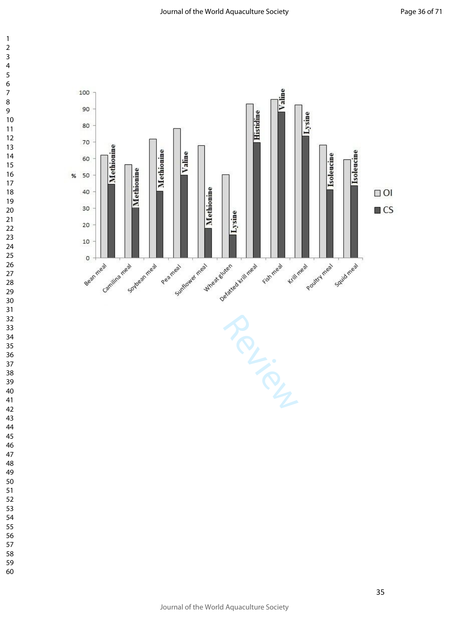

 $\mathbf{1}$ 

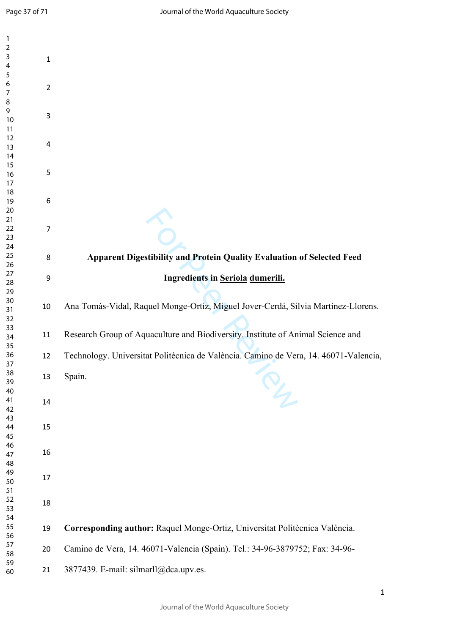| $\mathbf{1}$   |                  |                                                                                      |
|----------------|------------------|--------------------------------------------------------------------------------------|
| $\mathbf 2$    |                  |                                                                                      |
| $\mathsf 3$    | 1                |                                                                                      |
| $\overline{4}$ |                  |                                                                                      |
| 5              |                  |                                                                                      |
| 6              |                  |                                                                                      |
| $\overline{7}$ | $\overline{2}$   |                                                                                      |
| $\, 8$         |                  |                                                                                      |
| 9              |                  |                                                                                      |
| 10             | 3                |                                                                                      |
| 11             |                  |                                                                                      |
|                |                  |                                                                                      |
| 12             | 4                |                                                                                      |
| 13             |                  |                                                                                      |
| 14             |                  |                                                                                      |
| 15             | 5                |                                                                                      |
| 16             |                  |                                                                                      |
| 17             |                  |                                                                                      |
| 18             |                  |                                                                                      |
| 19             | $\boldsymbol{6}$ |                                                                                      |
| 20             |                  |                                                                                      |
| 21             |                  |                                                                                      |
| 22             | $\overline{7}$   |                                                                                      |
| 23             |                  |                                                                                      |
| 24             |                  |                                                                                      |
| 25             | 8                | Apparent Digestibility and Protein Quality Evaluation of Selected Feed               |
| 26             |                  |                                                                                      |
| 27             | $\boldsymbol{9}$ | Ingredients in Seriola dumerili.                                                     |
| 28             |                  |                                                                                      |
| 29             |                  |                                                                                      |
| 30             |                  |                                                                                      |
| 31             | 10               | Ana Tomás-Vidal, Raquel Monge-Ortiz, Miguel Jover-Cerdá, Silvia Martínez-Llorens.    |
| 32             |                  |                                                                                      |
| 33             |                  |                                                                                      |
| 34             | 11               | Research Group of Aquaculture and Biodiversity. Institute of Animal Science and      |
| 35             |                  |                                                                                      |
| 36             | 12               | Technology. Universitat Politècnica de València. Camino de Vera, 14. 46071-Valencia, |
| 37             |                  |                                                                                      |
| 38             |                  |                                                                                      |
| 39             | 13               | Spain.                                                                               |
| 40             |                  | $\frac{1}{2}$                                                                        |
| 41             | 14               |                                                                                      |
| 42             |                  |                                                                                      |
| 43             |                  |                                                                                      |
| 44             | 15               |                                                                                      |
| 45             |                  |                                                                                      |
| 46             |                  |                                                                                      |
| 47             | 16               |                                                                                      |
| 48             |                  |                                                                                      |
| 49             |                  |                                                                                      |
| 50             | 17               |                                                                                      |
| 51             |                  |                                                                                      |
| 52             |                  |                                                                                      |
|                | 18               |                                                                                      |
| 53             |                  |                                                                                      |
| 54             |                  |                                                                                      |
| 55             | 19               | Corresponding author: Raquel Monge-Ortiz, Universitat Politècnica València.          |
| 56             |                  |                                                                                      |
| 57             | 20               | Camino de Vera, 14. 46071-Valencia (Spain). Tel.: 34-96-3879752; Fax: 34-96-         |
| 58             |                  |                                                                                      |
| 59             | 21               | 3877439. E-mail: silmarll@dca.upv.es.                                                |
| 60             |                  |                                                                                      |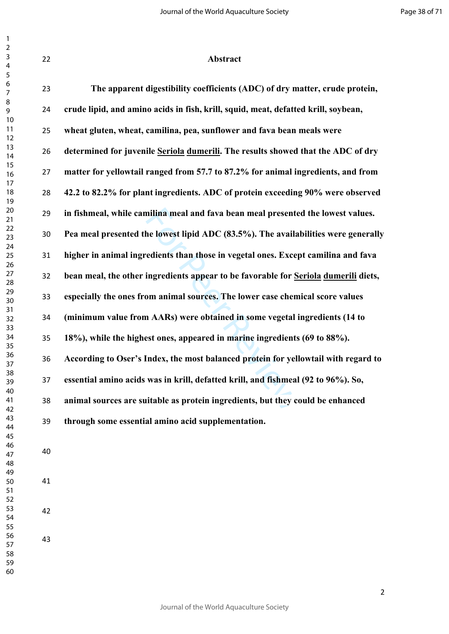| 22 | Abstract                                                                            |
|----|-------------------------------------------------------------------------------------|
| 23 | The apparent digestibility coefficients (ADC) of dry matter, crude protein,         |
| 24 | crude lipid, and amino acids in fish, krill, squid, meat, defatted krill, soybean,  |
| 25 | wheat gluten, wheat, camilina, pea, sunflower and fava bean meals were              |
| 26 | determined for juvenile Seriola dumerili. The results showed that the ADC of dry    |
| 27 | matter for yellowtail ranged from 57.7 to 87.2% for animal ingredients, and from    |
| 28 | 42.2 to 82.2% for plant ingredients. ADC of protein exceeding 90% were observed     |
| 29 | in fishmeal, while camilina meal and fava bean meal presented the lowest values.    |
| 30 | Pea meal presented the lowest lipid ADC (83.5%). The availabilities were generally  |
| 31 | higher in animal ingredients than those in vegetal ones. Except camilina and fava   |
| 32 | bean meal, the other ingredients appear to be favorable for Seriola dumerili diets, |
| 33 | especially the ones from animal sources. The lower case chemical score values       |
| 34 | (minimum value from AARs) were obtained in some vegetal ingredients (14 to          |
| 35 | 18%), while the highest ones, appeared in marine ingredients (69 to 88%).           |
| 36 | According to Oser's Index, the most balanced protein for yellowtail with regard to  |
| 37 | essential amino acids was in krill, defatted krill, and fishmeal (92 to 96%). So,   |
| 38 | animal sources are suitable as protein ingredients, but they could be enhanced      |
| 39 | through some essential amino acid supplementation.                                  |
| 40 |                                                                                     |
| 41 |                                                                                     |
| 42 |                                                                                     |
| 43 |                                                                                     |
|    |                                                                                     |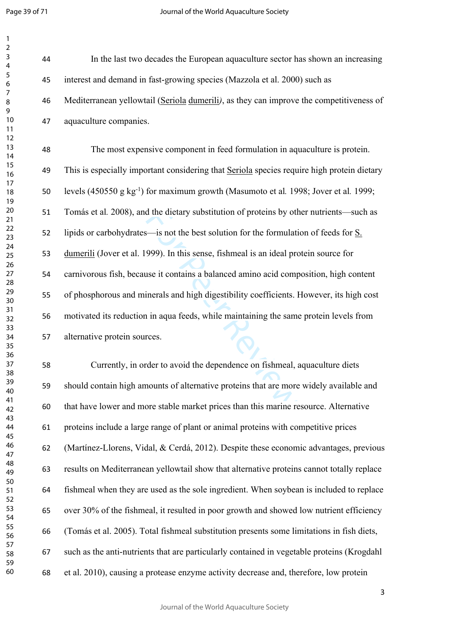| 1                                        |  |
|------------------------------------------|--|
| 2                                        |  |
| 3                                        |  |
| 4                                        |  |
| 5                                        |  |
| 6                                        |  |
|                                          |  |
| 8                                        |  |
| 9                                        |  |
| 10                                       |  |
| 1<br>$\mathbf{1}$<br>1<br>$\overline{c}$ |  |
| 3<br>1                                   |  |
| 14                                       |  |
| 15                                       |  |
| 16                                       |  |
| 1                                        |  |
| 18                                       |  |
| 19                                       |  |
| 20                                       |  |
| $\overline{21}$                          |  |
| $^{22}$                                  |  |
| 23                                       |  |
| $^{24}$                                  |  |
| 25                                       |  |
| 26                                       |  |
| 27                                       |  |
| 28                                       |  |
| 29                                       |  |
| 30                                       |  |
| 31                                       |  |
| 32                                       |  |
| 33                                       |  |
| 34                                       |  |
| 35                                       |  |
| 36                                       |  |
| 37                                       |  |
| 88                                       |  |
| 39                                       |  |
| 40                                       |  |
| 41                                       |  |
| 42                                       |  |
| 43                                       |  |
| 44                                       |  |
| 45                                       |  |
| 46<br>47                                 |  |
| 48                                       |  |
| 49                                       |  |
| 50                                       |  |
| 51                                       |  |
| 5<br>$\overline{c}$                      |  |
| 53                                       |  |
| 54                                       |  |
| 55                                       |  |
| 56                                       |  |
| 57                                       |  |
| 58                                       |  |
| 59                                       |  |
| 60                                       |  |

 In the last two decades the European aquaculture sector has shown an increasing interest and demand in fast-growing species (Mazzola et al. 2000) such as Mediterranean yellowtail (Seriola dumerili*)*, as they can improve the competitiveness of aquaculture companies.

For Peer Review The most expensive component in feed formulation in aquaculture is protein. This is especially important considering that Seriola species require high protein dietary levels (450550 g kg-1) for maximum growth (Masumoto et al*.* 1998; Jover et al*.* 1999; Tomás et al*.* 2008), and the dietary substitution of proteins by other nutrients—such as lipids or carbohydrates—is not the best solution for the formulation of feeds for S. dumerili (Jover et al. 1999). In this sense, fishmeal is an ideal protein source for carnivorous fish, because it contains a balanced amino acid composition, high content of phosphorous and minerals and high digestibility coefficients. However, its high cost motivated its reduction in aqua feeds, while maintaining the same protein levels from alternative protein sources.

 Currently, in order to avoid the dependence on fishmeal, aquaculture diets should contain high amounts of alternative proteins that are more widely available and that have lower and more stable market prices than this marine resource. Alternative proteins include a large range of plant or animal proteins with competitive prices (Martínez-Llorens, Vidal, & Cerdá, 2012). Despite these economic advantages, previous results on Mediterranean yellowtail show that alternative proteins cannot totally replace fishmeal when they are used as the sole ingredient. When soybean is included to replace over 30% of the fishmeal, it resulted in poor growth and showed low nutrient efficiency (Tomás et al. 2005). Total fishmeal substitution presents some limitations in fish diets, such as the anti-nutrients that are particularly contained in vegetable proteins (Krogdahl et al. 2010), causing a protease enzyme activity decrease and, therefore, low protein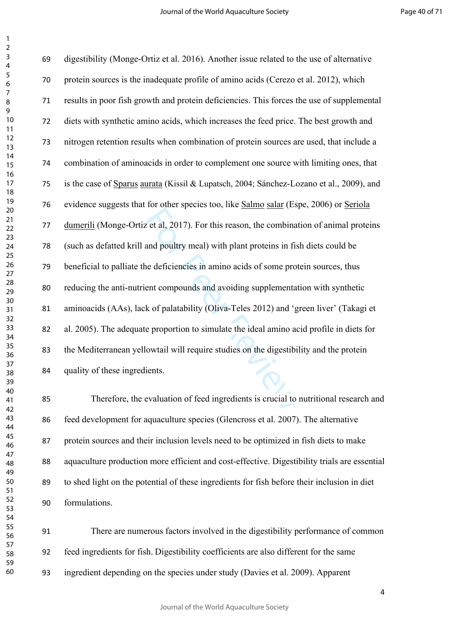Exercise of this reason, the combinated and poultry meal) with plant proteins in fist<br>and poultry meal) with plant proteins in fist<br>be deficiencies in amino acids of some prot<br>ent compounds and avoiding supplementat<br>k of digestibility (Monge-Ortiz et al. 2016). Another issue related to the use of alternative protein sources is the inadequate profile of amino acids (Cerezo et al. 2012), which results in poor fish growth and protein deficiencies. This forces the use of supplemental diets with synthetic amino acids, which increases the feed price. The best growth and nitrogen retention results when combination of protein sources are used, that include a combination of aminoacids in order to complement one source with limiting ones, that is the case of Sparus aurata (Kissil & Lupatsch, 2004; Sánchez-Lozano et al., 2009), and evidence suggests that for other species too, like Salmo salar (Espe, 2006) or Seriola dumerili (Monge-Ortiz et al, 2017). For this reason, the combination of animal proteins (such as defatted krill and poultry meal) with plant proteins in fish diets could be beneficial to palliate the deficiencies in amino acids of some protein sources, thus reducing the anti-nutrient compounds and avoiding supplementation with synthetic aminoacids (AAs), lack of palatability (Oliva-Teles 2012) and 'green liver' (Takagi et al. 2005). The adequate proportion to simulate the ideal amino acid profile in diets for the Mediterranean yellowtail will require studies on the digestibility and the protein quality of these ingredients.

 Therefore, the evaluation of feed ingredients is crucial to nutritional research and feed development for aquaculture species (Glencross et al. 2007). The alternative protein sources and their inclusion levels need to be optimized in fish diets to make aquaculture production more efficient and cost-effective. Digestibility trials are essential to shed light on the potential of these ingredients for fish before their inclusion in diet formulations.

 There are numerous factors involved in the digestibility performance of common feed ingredients for fish. Digestibility coefficients are also different for the same ingredient depending on the species under study (Davies et al. 2009). Apparent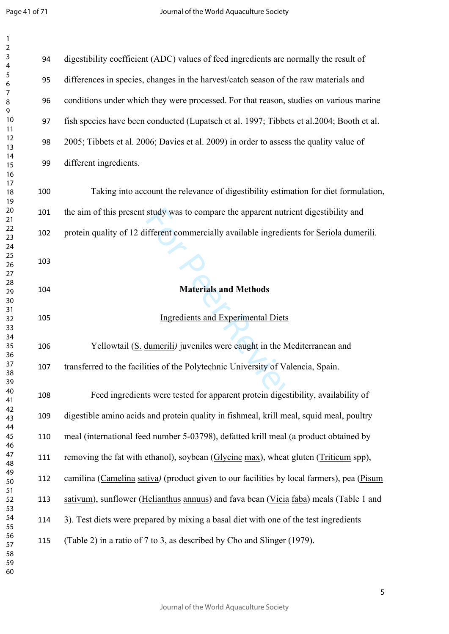| 1               |  |
|-----------------|--|
| $\overline{c}$  |  |
| 3               |  |
| 4               |  |
| 5               |  |
|                 |  |
| 6<br>7          |  |
|                 |  |
| 8               |  |
| 9               |  |
| 10              |  |
| $\overline{11}$ |  |
| $\overline{12}$ |  |
| $\overline{13}$ |  |
| $\overline{14}$ |  |
| $\overline{15}$ |  |
| $\frac{16}{2}$  |  |
| $\overline{17}$ |  |
|                 |  |
| 18              |  |
| 19              |  |
| $\frac{20}{1}$  |  |
| - 21<br>22<br>- |  |
|                 |  |
| $\frac{1}{2}$   |  |
| 24              |  |
| 25              |  |
| 26              |  |
| 27              |  |
| 28              |  |
| 29              |  |
|                 |  |
| 30              |  |
| 31              |  |
| 32              |  |
| 33              |  |
| 34              |  |
| 35              |  |
| 36              |  |
| 37              |  |
| 38              |  |
| 39              |  |
| 40              |  |
| 41              |  |
| 42              |  |
|                 |  |
| 43              |  |
| 44              |  |
| 45              |  |
| 46              |  |
| 47              |  |
| 48              |  |
| 49              |  |
| 50              |  |
| 51              |  |
| 52              |  |
| 53              |  |
| 54              |  |
| 55              |  |
|                 |  |
| 56              |  |
| 57              |  |
| 58              |  |
| 59              |  |

| 94  | digestibility coefficient (ADC) values of feed ingredients are normally the result of     |
|-----|-------------------------------------------------------------------------------------------|
| 95  | differences in species, changes in the harvest/catch season of the raw materials and      |
| 96  | conditions under which they were processed. For that reason, studies on various marine    |
| 97  | fish species have been conducted (Lupatsch et al. 1997; Tibbets et al. 2004; Booth et al. |
| 98  | 2005; Tibbets et al. 2006; Davies et al. 2009) in order to assess the quality value of    |
| 99  | different ingredients.                                                                    |
| 100 | Taking into account the relevance of digestibility estimation for diet formulation,       |
| 101 | the aim of this present study was to compare the apparent nutrient digestibility and      |
| 102 | protein quality of 12 different commercially available ingredients for Seriola dumerili.  |
| 103 |                                                                                           |
| 104 | <b>Materials and Methods</b>                                                              |
|     |                                                                                           |
| 105 | <b>Ingredients and Experimental Diets</b>                                                 |
| 106 | Yellowtail (S. dumerili) juveniles were caught in the Mediterranean and                   |
| 107 | transferred to the facilities of the Polytechnic University of Valencia, Spain.           |
| 108 | Feed ingredients were tested for apparent protein digestibility, availability of          |
| 109 | digestible amino acids and protein quality in fishmeal, krill meal, squid meal, poultry   |
| 110 | meal (international feed number 5-03798), defatted krill meal (a product obtained by      |
| 111 | removing the fat with ethanol), soybean (Glycine max), wheat gluten (Triticum spp),       |
| 112 | camilina (Camelina sativa) (product given to our facilities by local farmers), pea (Pisum |
| 113 | sativum), sunflower (Helianthus annuus) and fava bean (Vicia faba) meals (Table 1 and     |
| 114 | 3). Test diets were prepared by mixing a basal diet with one of the test ingredients      |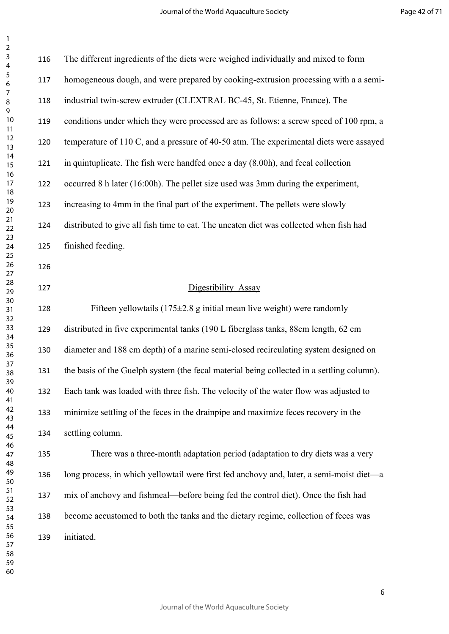| 3                                         |  |
|-------------------------------------------|--|
| 4                                         |  |
| 5                                         |  |
| 6                                         |  |
|                                           |  |
| 8                                         |  |
|                                           |  |
| 9                                         |  |
| 10                                        |  |
| 1<br>1                                    |  |
| 1<br>$\overline{2}$                       |  |
| Í<br>1<br>3                               |  |
| 1<br>4                                    |  |
| 15                                        |  |
| 16                                        |  |
| 1                                         |  |
| 18                                        |  |
| 9                                         |  |
| 1                                         |  |
| 20                                        |  |
| $\overline{21}$                           |  |
| $\overline{2}$<br>$\overline{2}$          |  |
| $\overline{2}$<br>3                       |  |
| $\frac{24}{3}$                            |  |
| 25                                        |  |
| 26                                        |  |
| $\frac{1}{2}$                             |  |
| $^{28}$                                   |  |
| 29                                        |  |
|                                           |  |
| 30                                        |  |
| $\overline{\textbf{3}}$                   |  |
| $\overline{\mathbf{3}}$<br>$\overline{2}$ |  |
| $\overline{\mathbf{3}}$<br>ξ              |  |
| $\frac{34}{3}$                            |  |
| $35^{\circ}$                              |  |
| 36                                        |  |
| 37                                        |  |
| 38                                        |  |
|                                           |  |
| 39                                        |  |
| 1ſ                                        |  |
| 41                                        |  |
| 42                                        |  |
| 43                                        |  |
| 44                                        |  |
| 45                                        |  |
| 46                                        |  |
| 47                                        |  |
| 48                                        |  |
|                                           |  |
| 49                                        |  |
| 50                                        |  |
| 51                                        |  |
| 52                                        |  |
| 53                                        |  |
| 54                                        |  |
| 55                                        |  |
| 56                                        |  |
| 57                                        |  |
| 58                                        |  |
| 59                                        |  |
|                                           |  |
| 60                                        |  |

> $\frac{1}{2}$ <br>
> For the prototom problem is the set of prototom problem<br>  $\frac{1}{2}$ <br>  $\frac{1}{2}$ <br>  $\frac{1}{2}$ <br>  $\frac{1}{2}$ <br>  $\frac{1}{2}$ <br>  $\frac{1}{2}$ <br>  $\frac{1}{2}$ <br>  $\frac{1}{2}$ <br>  $\frac{1}{2}$ <br>  $\frac{1}{2}$ <br>  $\frac{1}{2}$ <br>  $\frac{1}{2}$ <br>  $\frac{1}{2}$ <br>  $\frac{1}{2}$ <br> The different ingredients of the diets were weighed individually and mixed to form homogeneous dough, and were prepared by cooking-extrusion processing with a a semi- industrial twin-screw extruder (CLEXTRAL BC-45, St. Etienne, France). The conditions under which they were processed are as follows: a screw speed of 100 rpm, a temperature of 110 C, and a pressure of 40-50 atm. The experimental diets were assayed in quintuplicate. The fish were handfed once a day (8.00h), and fecal collection occurred 8 h later (16:00h). The pellet size used was 3mm during the experiment, increasing to 4mm in the final part of the experiment. The pellets were slowly distributed to give all fish time to eat. The uneaten diet was collected when fish had finished feeding. Digestibility Assay 128 Fifteen yellowtails  $(175\pm 2.8 \text{ g initial mean live weight})$  were randomly distributed in five experimental tanks (190 L fiberglass tanks, 88cm length, 62 cm diameter and 188 cm depth) of a marine semi-closed recirculating system designed on the basis of the Guelph system (the fecal material being collected in a settling column). Each tank was loaded with three fish. The velocity of the water flow was adjusted to minimize settling of the feces in the drainpipe and maximize feces recovery in the settling column. There was a three-month adaptation period (adaptation to dry diets was a very

> long process, in which yellowtail were first fed anchovy and, later, a semi-moist diet—a mix of anchovy and fishmeal—before being fed the control diet). Once the fish had become accustomed to both the tanks and the dietary regime, collection of feces was initiated.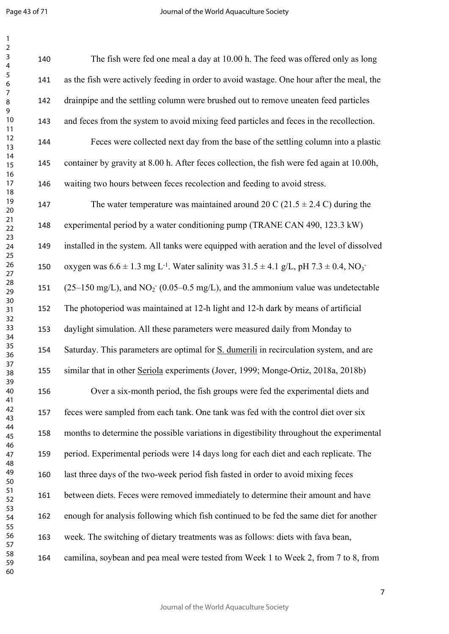Page 43 of 71

 $\mathbf{1}$ 

| $\mathbf{1}$                                       |     |                                                                                                                         |
|----------------------------------------------------|-----|-------------------------------------------------------------------------------------------------------------------------|
| $\sqrt{2}$<br>3<br>$\overline{4}$                  | 140 | The fish were fed one meal a day at 10.00 h. The feed was offered only as long                                          |
| 5<br>6                                             | 141 | as the fish were actively feeding in order to avoid wastage. One hour after the meal, the                               |
| $\overline{7}$<br>$\, 8$<br>9                      | 142 | drainpipe and the settling column were brushed out to remove uneaten feed particles                                     |
| 10<br>11                                           | 143 | and feces from the system to avoid mixing feed particles and feces in the recollection.                                 |
| 12<br>13                                           | 144 | Feces were collected next day from the base of the settling column into a plastic                                       |
| 14<br>15                                           | 145 | container by gravity at 8.00 h. After feces collection, the fish were fed again at 10.00h,                              |
| 16<br>17<br>18                                     | 146 | waiting two hours between feces recolection and feeding to avoid stress.                                                |
| 19<br>20                                           | 147 | The water temperature was maintained around 20 C (21.5 $\pm$ 2.4 C) during the                                          |
| 21<br>22                                           | 148 | experimental period by a water conditioning pump (TRANE CAN 490, 123.3 kW)                                              |
| 23<br>24<br>25<br>26<br>27<br>28<br>29<br>30<br>31 | 149 | installed in the system. All tanks were equipped with aeration and the level of dissolved                               |
|                                                    | 150 | oxygen was $6.6 \pm 1.3$ mg L <sup>-1</sup> . Water salinity was $31.5 \pm 4.1$ g/L, pH $7.3 \pm 0.4$ , NO <sub>3</sub> |
|                                                    | 151 | $(25-150 \text{ mg/L})$ , and NO <sub>2</sub> (0.05–0.5 mg/L), and the ammonium value was undetectable                  |
|                                                    | 152 | The photoperiod was maintained at 12-h light and 12-h dark by means of artificial                                       |
| 32<br>33<br>34                                     | 153 | daylight simulation. All these parameters were measured daily from Monday to                                            |
| 35<br>36                                           | 154 | Saturday. This parameters are optimal for S. dumerili in recirculation system, and are                                  |
| 37<br>38                                           | 155 | similar that in other Seriola experiments (Jover, 1999; Monge-Ortiz, 2018a, 2018b)                                      |
| 39<br>40<br>41                                     | 156 | Over a six-month period, the fish groups were fed the experimental diets and                                            |
| 42<br>43                                           | 157 | feces were sampled from each tank. One tank was fed with the control diet over six                                      |
| 44<br>45                                           | 158 | months to determine the possible variations in digestibility throughout the experimental                                |
| 46<br>47                                           | 159 | period. Experimental periods were 14 days long for each diet and each replicate. The                                    |
| 48<br>49<br>50                                     | 160 | last three days of the two-week period fish fasted in order to avoid mixing feces                                       |
| 51<br>52                                           | 161 | between diets. Feces were removed immediately to determine their amount and have                                        |
| 53<br>54<br>55                                     | 162 | enough for analysis following which fish continued to be fed the same diet for another                                  |
| 56<br>57                                           | 163 | week. The switching of dietary treatments was as follows: diets with fava bean,                                         |
| 58<br>59<br>60                                     | 164 | camilina, soybean and pea meal were tested from Week 1 to Week 2, from 7 to 8, from                                     |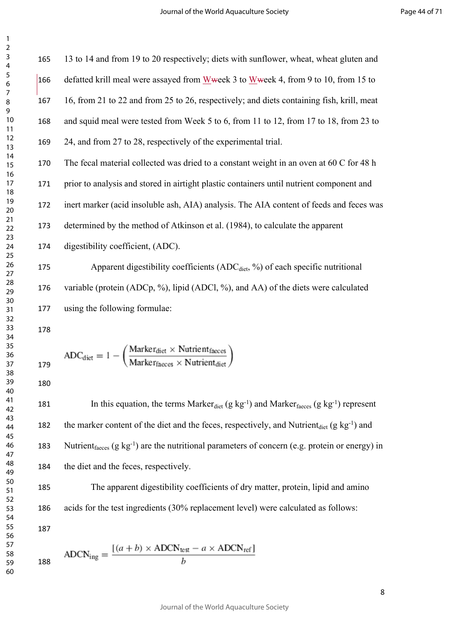13 to 14 and from 19 to 20 respectively; diets with sunflower, wheat, wheat gluten and 166 defatted krill meal were assayed from Wweek 3 to Wweek 4, from 9 to 10, from 15 to 16, from 21 to 22 and from 25 to 26, respectively; and diets containing fish, krill, meat and squid meal were tested from Week 5 to 6, from 11 to 12, from 17 to 18, from 23 to 24, and from 27 to 28, respectively of the experimental trial. The fecal material collected was dried to a constant weight in an oven at 60 C for 48 h prior to analysis and stored in airtight plastic containers until nutrient component and inert marker (acid insoluble ash, AIA) analysis. The AIA content of feeds and feces was

determined by the method of Atkinson et al. (1984), to calculate the apparent

digestibility coefficient, (ADC).

hod of Atkinson et al. (1984), to calculate<br>t, (ADC).<br>tibility coefficients (ADC<sub>diet</sub>, %) of each sp<br>Cp, %), lipid (ADCl, %), and AA) of the direction<br>translation coefficients.<br> $ker_{\text{dict}} \times \text{Nutrientfaces}$ <br> $ker_{\text{faces}} \times \text{Nutrient_{\text{dict$ 175 Apparent digestibility coefficients  $(ADC<sub>dict</sub>, %)$  of each specific nutritional variable (protein (ADCp, %), lipid (ADCl, %), and AA) of the diets were calculated using the following formulae:

$$
ADC_{\text{dict}} = 1 - \left(\frac{\text{Market}_{\text{dict}} \times \text{Nutrient}_{\text{faces}}}{\text{Market}_{\text{faces}} \times \text{Nutrient}_{\text{dict}}}\right)
$$

181 In this equation, the terms Marker<sub>diet</sub> (g kg<sup>-1</sup>) and Marker<sub>faeces</sub> (g kg<sup>-1</sup>) represent 182 the marker content of the diet and the feces, respectively, and Nutrient<sub>diet</sub>  $(g \ kg^{-1})$  and 183 Nutrient<sub>faeces</sub>  $(g \ kg^{-1})$  are the nutritional parameters of concern (e.g. protein or energy) in the diet and the feces, respectively.

 The apparent digestibility coefficients of dry matter, protein, lipid and amino acids for the test ingredients (30% replacement level) were calculated as follows: 

$$
ADCN_{\text{ing}} = \frac{[(a+b) \times ADCN_{\text{test}} - a \times ADCN_{\text{ref}}]}{b}
$$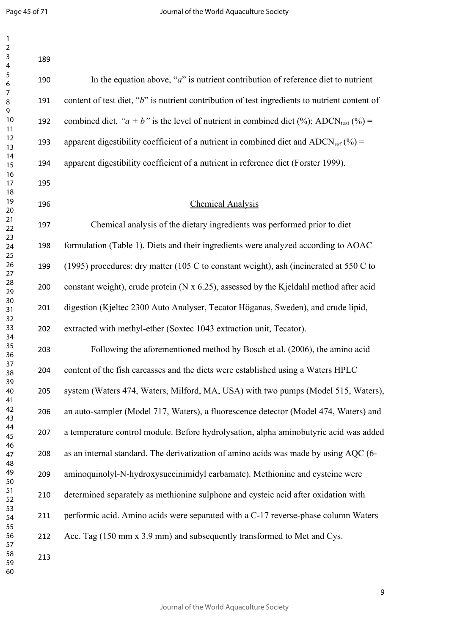| $\mathbf{1}$<br>$\sqrt{2}$             |     |                                                                                                      |
|----------------------------------------|-----|------------------------------------------------------------------------------------------------------|
| $\mathsf 3$<br>$\overline{\mathbf{4}}$ | 189 |                                                                                                      |
| $\sqrt{5}$<br>$\boldsymbol{6}$         | 190 | In the equation above, " $a$ " is nutrient contribution of reference diet to nutrient                |
| $\overline{7}$<br>$\, 8$               | 191 | content of test diet, "b" is nutrient contribution of test ingredients to nutrient content of        |
| 9<br>10<br>11                          | 192 | combined diet, " $a + b$ " is the level of nutrient in combined diet (%); ADCN <sub>test</sub> (%) = |
| 12<br>13                               | 193 | apparent digestibility coefficient of a nutrient in combined diet and ADCN <sub>ref</sub> $(\%)$ =   |
| 14<br>15                               | 194 | apparent digestibility coefficient of a nutrient in reference diet (Forster 1999).                   |
| 16<br>17                               | 195 |                                                                                                      |
| 18<br>19<br>20                         | 196 | <b>Chemical Analysis</b>                                                                             |
| 21<br>22                               | 197 | Chemical analysis of the dietary ingredients was performed prior to diet                             |
| 23<br>24                               | 198 | formulation (Table 1). Diets and their ingredients were analyzed according to AOAC                   |
| 25<br>26<br>27<br>28<br>29<br>30<br>31 | 199 | (1995) procedures: dry matter (105 C to constant weight), ash (incinerated at 550 C to               |
|                                        | 200 | constant weight), crude protein (N x 6.25), assessed by the Kjeldahl method after acid               |
|                                        | 201 | digestion (Kjeltec 2300 Auto Analyser, Tecator Höganas, Sweden), and crude lipid,                    |
| 32<br>33<br>34                         | 202 | extracted with methyl-ether (Soxtec 1043 extraction unit, Tecator).                                  |
| 35                                     | 203 | Following the aforementioned method by Bosch et al. (2006), the amino acid                           |
| 36<br>37<br>38<br>39<br>40             | 204 | content of the fish carcasses and the diets were established using a Waters HPLC                     |
|                                        | 205 | system (Waters 474, Waters, Milford, MA, USA) with two pumps (Model 515, Waters),                    |
| 41<br>42<br>43                         | 206 | an auto-sampler (Model 717, Waters), a fluorescence detector (Model 474, Waters) and                 |
| 44<br>45                               | 207 | a temperature control module. Before hydrolysation, alpha aminobutyric acid was added                |
| 46<br>47                               | 208 | as an internal standard. The derivatization of amino acids was made by using AQC (6-                 |
| 48<br>49                               | 209 | aminoquinolyl-N-hydroxysuccinimidyl carbamate). Methionine and cysteine were                         |
| 50<br>51<br>52                         | 210 | determined separately as methionine sulphone and cysteic acid after oxidation with                   |
| 53<br>54                               | 211 | performic acid. Amino acids were separated with a C-17 reverse-phase column Waters                   |
| 55<br>56                               | 212 | Acc. Tag (150 mm x 3.9 mm) and subsequently transformed to Met and Cys.                              |
| 57<br>58<br>59<br>60                   | 213 |                                                                                                      |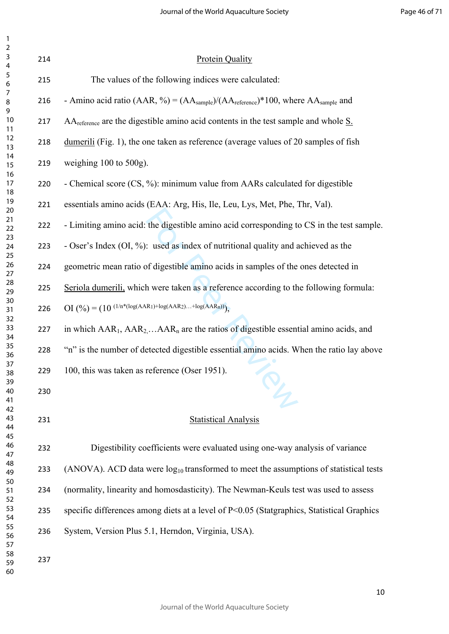| $\overline{2}$<br>$\mathsf 3$         | 214 | <b>Protein Quality</b>                                                                                             |
|---------------------------------------|-----|--------------------------------------------------------------------------------------------------------------------|
| $\overline{\mathbf{4}}$<br>$\sqrt{5}$ | 215 | The values of the following indices were calculated:                                                               |
| $\boldsymbol{6}$<br>$\overline{7}$    |     |                                                                                                                    |
| $\,8\,$<br>$\mathsf 9$                | 216 | - Amino acid ratio (AAR, %) = $(AA_{\text{sample}})/(AA_{\text{reference}})^*100$ , where $AA_{\text{sample}}$ and |
| 10<br>11                              | 217 | $AA$ <sub>reference</sub> are the digestible amino acid contents in the test sample and whole $S$ .                |
| 12<br>13                              | 218 | dumerili (Fig. 1), the one taken as reference (average values of 20 samples of fish                                |
| 14<br>15                              | 219 | weighing $100$ to $500$ g).                                                                                        |
| 16<br>17<br>18                        | 220 | - Chemical score (CS, %): minimum value from AARs calculated for digestible                                        |
| 19<br>20                              | 221 | essentials amino acids (EAA: Arg, His, Ile, Leu, Lys, Met, Phe, Thr, Val).                                         |
| 21<br>22                              | 222 | - Limiting amino acid: the digestible amino acid corresponding to CS in the test sample.                           |
| 23<br>24<br>25                        | 223 | - Oser's Index (OI, %): used as index of nutritional quality and achieved as the                                   |
| 26<br>27                              | 224 | geometric mean ratio of digestible amino acids in samples of the ones detected in                                  |
| 28<br>29                              | 225 | Seriola dumerili, which were taken as a reference according to the following formula:                              |
| 30<br>31<br>32                        | 226 | OI $(\frac{9}{6}) = (10 \frac{(1/n*(log(AAR1)+log(AAR2)+log(AARn))}{n})$                                           |
| 33<br>34                              | 227 | in which $AAR_1$ , $AAR_2$ $AAR_n$ are the ratios of digestible essential amino acids, and                         |
| 35<br>36                              | 228 | "n" is the number of detected digestible essential amino acids. When the ratio lay above                           |
| 37<br>38                              | 229 | 100, this was taken as reference (Oser 1951).                                                                      |
| 39<br>40<br>41                        | 230 |                                                                                                                    |
| 42<br>43<br>44<br>45                  | 231 | <b>Statistical Analysis</b>                                                                                        |
| 46<br>47                              | 232 | Digestibility coefficients were evaluated using one-way analysis of variance                                       |
| 48<br>49                              | 233 | (ANOVA). ACD data were $log_{10}$ transformed to meet the assumptions of statistical tests                         |
| 50<br>51<br>52                        | 234 | (normality, linearity and homosdasticity). The Newman-Keuls test was used to assess                                |
| 53<br>54                              | 235 | specific differences among diets at a level of P<0.05 (Statgraphics, Statistical Graphics                          |
| 55<br>56<br>57                        | 236 | System, Version Plus 5.1, Herndon, Virginia, USA).                                                                 |
| 58<br>59                              | 237 |                                                                                                                    |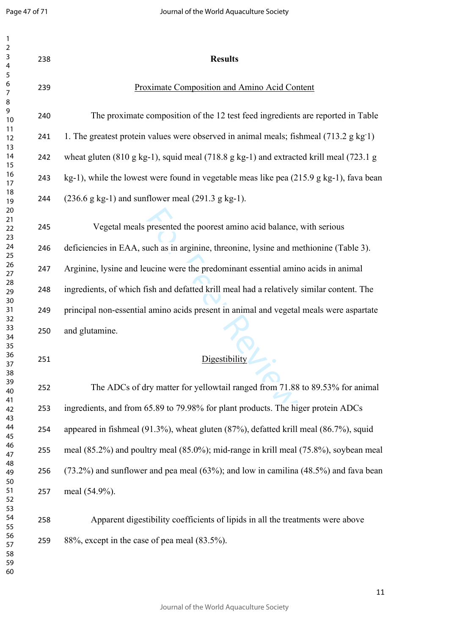| $\mathbf{1}$<br>$\mathbf 2$<br>$\mathsf 3$<br>$\overline{\mathbf{4}}$ | 238 | <b>Results</b>                                                                                                         |
|-----------------------------------------------------------------------|-----|------------------------------------------------------------------------------------------------------------------------|
| $\sqrt{5}$<br>6<br>$\overline{7}$<br>8                                | 239 | <b>Proximate Composition and Amino Acid Content</b>                                                                    |
| 9<br>10                                                               | 240 | The proximate composition of the 12 test feed ingredients are reported in Table                                        |
| 11<br>12                                                              | 241 | 1. The greatest protein values were observed in animal meals; fishmeal (713.2 g kg 1)                                  |
| 13<br>14<br>15                                                        | 242 | wheat gluten $(810 \text{ g kg-1})$ , squid meal $(718.8 \text{ g kg-1})$ and extracted krill meal $(723.1 \text{ g})$ |
| 16<br>17                                                              | 243 | $kg-1$ ), while the lowest were found in vegetable meas like pea (215.9 g kg-1), fava bean                             |
| 18<br>19                                                              | 244 | $(236.6 \text{ g kg-1})$ and sunflower meal $(291.3 \text{ g kg-1})$ .                                                 |
| 20<br>21<br>22<br>23                                                  | 245 | Vegetal meals presented the poorest amino acid balance, with serious                                                   |
| 24<br>25                                                              | 246 | deficiencies in EAA, such as in arginine, threonine, lysine and methionine (Table 3).                                  |
| 26<br>27                                                              | 247 | Arginine, lysine and leucine were the predominant essential amino acids in animal                                      |
| 28<br>29                                                              | 248 | ingredients, of which fish and defatted krill meal had a relatively similar content. The                               |
| 30<br>31<br>32<br>33<br>34<br>35<br>36<br>37<br>38<br>39<br>40        | 249 | principal non-essential amino acids present in animal and vegetal meals were aspartate                                 |
|                                                                       | 250 | and glutamine.                                                                                                         |
|                                                                       | 251 | Digestibility                                                                                                          |
|                                                                       | 252 | The ADCs of dry matter for yellowtail ranged from 71.88 to 89.53% for animal                                           |
| 41<br>42                                                              | 253 | ingredients, and from 65.89 to 79.98% for plant products. The higer protein ADCs                                       |
| 43<br>44<br>45                                                        | 254 | appeared in fishmeal (91.3%), wheat gluten (87%), defatted krill meal (86.7%), squid                                   |
| 46<br>47                                                              | 255 | meal $(85.2\%)$ and poultry meal $(85.0\%)$ ; mid-range in krill meal $(75.8\%)$ , soybean meal                        |
| 48<br>49                                                              | 256 | $(73.2%)$ and sunflower and pea meal $(63%)$ ; and low in camilina $(48.5%)$ and fava bean                             |
| 50<br>51<br>52                                                        | 257 | meal (54.9%).                                                                                                          |
| 53<br>54<br>55                                                        | 258 | Apparent digestibility coefficients of lipids in all the treatments were above                                         |
| 56<br>57<br>58<br>59                                                  | 259 | 88%, except in the case of pea meal (83.5%).                                                                           |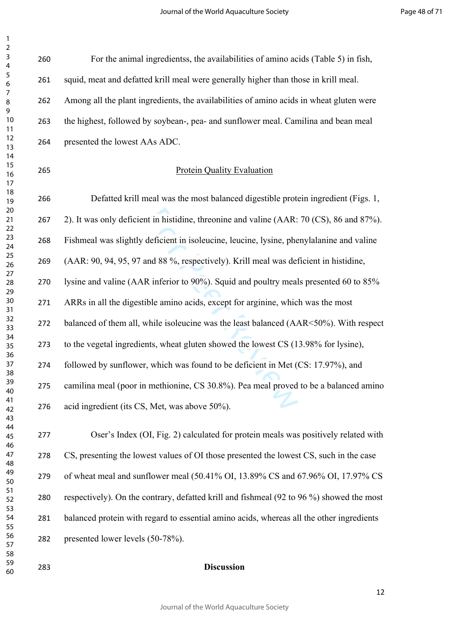| 59                   | 283 | <b>Discussion</b>                                                                        |
|----------------------|-----|------------------------------------------------------------------------------------------|
| 56<br>57<br>58       | 282 | presented lower levels (50-78%).                                                         |
| 53<br>54<br>55       | 281 | balanced protein with regard to essential amino acids, whereas all the other ingredients |
| 51<br>52             | 280 | respectively). On the contrary, defatted krill and fishmeal (92 to 96 %) showed the most |
| 49<br>50             | 279 | of wheat meal and sunflower meal (50.41% OI, 13.89% CS and 67.96% OI, 17.97% CS          |
| 47<br>48             | 278 | CS, presenting the lowest values of OI those presented the lowest CS, such in the case   |
| 44<br>45<br>46       | 277 | Oser's Index (OI, Fig. 2) calculated for protein meals was positively related with       |
| 41<br>42<br>43       | 276 | acid ingredient (its CS, Met, was above 50%).                                            |
| 39<br>40             | 275 | camilina meal (poor in methionine, CS 30.8%). Pea meal proved to be a balanced amino     |
| 37<br>38             | 274 | followed by sunflower, which was found to be deficient in Met (CS: 17.97%), and          |
| 34<br>35<br>36       | 273 | to the vegetal ingredients, wheat gluten showed the lowest CS (13.98% for lysine),       |
| 32<br>33             | 272 | balanced of them all, while isoleucine was the least balanced (AAR<50%). With respect    |
| 30<br>31             | 271 | ARRs in all the digestible amino acids, except for arginine, which was the most          |
| 27<br>28<br>29       | 270 | lysine and valine (AAR inferior to 90%). Squid and poultry meals presented 60 to 85%     |
| 25<br>26             | 269 | (AAR: 90, 94, 95, 97 and 88 %, respectively). Krill meal was deficient in histidine,     |
| 23<br>24             | 268 | Fishmeal was slightly deficient in isoleucine, leucine, lysine, phenylalanine and valine |
| 20<br>21<br>22       | 267 | 2). It was only deficient in histidine, threonine and valine (AAR: 70 (CS), 86 and 87%). |
| 18<br>19             | 266 | Defatted krill meal was the most balanced digestible protein ingredient (Figs. 1,        |
| 14<br>15<br>16<br>17 | 265 | <b>Protein Quality Evaluation</b>                                                        |
| 12<br>13             | 264 | presented the lowest AAs ADC.                                                            |
| 9<br>$10$<br>11      | 263 | the highest, followed by soybean-, pea- and sunflower meal. Camilina and bean meal       |
| 7<br>8               | 262 | Among all the plant ingredients, the availabilities of amino acids in wheat gluten were  |
| 5<br>6               | 261 | squid, meat and defatted krill meal were generally higher than those in krill meal.      |
| 3<br>4               | 260 | For the animal ingredientss, the availabilities of amino acids (Table 5) in fish,        |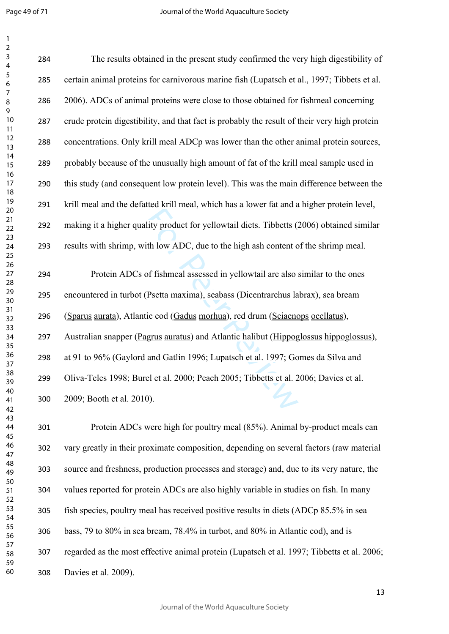Page 49 of 71

 $\mathbf{1}$  $\overline{2}$ 

| $\mathbf{1}$<br>$\overline{\mathbf{c}}$     |     |                                                                                              |
|---------------------------------------------|-----|----------------------------------------------------------------------------------------------|
| $\mathsf 3$<br>$\overline{\mathcal{A}}$     | 284 | The results obtained in the present study confirmed the very high digestibility of           |
| $\sqrt{5}$<br>6<br>$\overline{7}$<br>8<br>9 | 285 | certain animal proteins for carnivorous marine fish (Lupatsch et al., 1997; Tibbets et al.   |
|                                             | 286 | 2006). ADCs of animal proteins were close to those obtained for fishmeal concerning          |
| 10<br>11                                    | 287 | crude protein digestibility, and that fact is probably the result of their very high protein |
| 12<br>13                                    | 288 | concentrations. Only krill meal ADCp was lower than the other animal protein sources,        |
| 14<br>15                                    | 289 | probably because of the unusually high amount of fat of the krill meal sample used in        |
| 16<br>17                                    | 290 | this study (and consequent low protein level). This was the main difference between the      |
| 18<br>19<br>20                              | 291 | krill meal and the defatted krill meal, which has a lower fat and a higher protein level,    |
| 21<br>22                                    | 292 | making it a higher quality product for yellowtail diets. Tibbetts (2006) obtained similar    |
| 23<br>24<br>25                              | 293 | results with shrimp, with low ADC, due to the high ash content of the shrimp meal.           |
| 26<br>27<br>28                              | 294 | Protein ADCs of fishmeal assessed in yellowtail are also similar to the ones                 |
| 29<br>30                                    | 295 | encountered in turbot (Psetta maxima), seabass (Dicentrarchus labrax), sea bream             |
| 31<br>32                                    | 296 | (Sparus aurata), Atlantic cod (Gadus morhua), red drum (Sciaenops ocellatus),                |
| 33<br>34<br>35                              | 297 | Australian snapper (Pagrus auratus) and Atlantic halibut (Hippoglossus hippoglossus),        |
| 36<br>37                                    | 298 | at 91 to 96% (Gaylord and Gatlin 1996; Lupatsch et al. 1997; Gomes da Silva and              |
| 38<br>39<br>40<br>41                        | 299 | Oliva-Teles 1998; Burel et al. 2000; Peach 2005; Tibbetts et al. 2006; Davies et al.         |
|                                             | 300 | 2009; Booth et al. 2010).                                                                    |
| 42<br>43<br>44                              | 301 | Protein ADCs were high for poultry meal (85%). Animal by-product meals can                   |
| 45<br>46                                    |     |                                                                                              |
| 47<br>48                                    | 302 | vary greatly in their proximate composition, depending on several factors (raw material      |
| 49                                          | 303 | source and freshness, production processes and storage) and, due to its very nature, the     |
| 50<br>51<br>52                              | 304 | values reported for protein ADCs are also highly variable in studies on fish. In many        |
| 53<br>54                                    | 305 | fish species, poultry meal has received positive results in diets (ADCp 85.5% in sea         |
| 55<br>56                                    | 306 | bass, 79 to 80% in sea bream, 78.4% in turbot, and 80% in Atlantic cod), and is              |
| 57<br>58<br>59                              | 307 | regarded as the most effective animal protein (Lupatsch et al. 1997; Tibbetts et al. 2006;   |
| 60                                          | 308 | Davies et al. 2009).                                                                         |

Davies et al. 2009).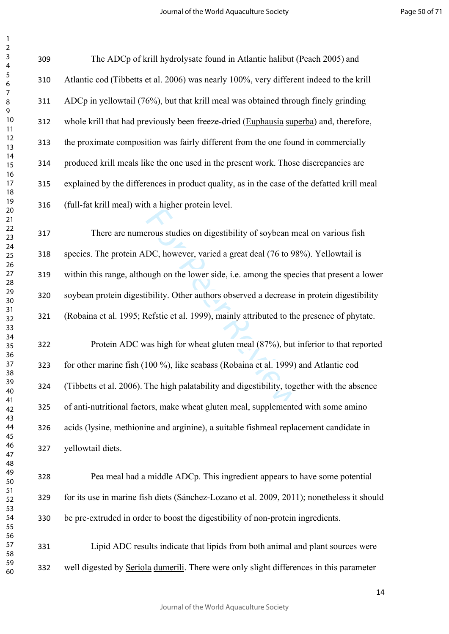The ADCp of krill hydrolysate found in Atlantic halibut (Peach 2005) and Atlantic cod (Tibbetts et al. 2006) was nearly 100%, very different indeed to the krill ADCp in yellowtail (76%), but that krill meal was obtained through finely grinding whole krill that had previously been freeze-dried (Euphausia superba) and, therefore, the proximate composition was fairly different from the one found in commercially produced krill meals like the one used in the present work. Those discrepancies are explained by the differences in product quality, as in the case of the defatted krill meal (full-fat krill meal) with a higher protein level.

From studies on digestibility of soybean m<br>DC, however, varied a great deal (76 to 98<br>ough on the lower side, i.e. among the spec<br>ibility. Other authors observed a decrease<br>Refstie et al. 1999), mainly attributed to the<br>va There are numerous studies on digestibility of soybean meal on various fish species. The protein ADC, however, varied a great deal (76 to 98%). Yellowtail is within this range, although on the lower side, i.e. among the species that present a lower soybean protein digestibility. Other authors observed a decrease in protein digestibility (Robaina et al. 1995; Refstie et al. 1999), mainly attributed to the presence of phytate.

 Protein ADC was high for wheat gluten meal (87%), but inferior to that reported for other marine fish (100 %), like seabass (Robaina et al. 1999) and Atlantic cod (Tibbetts et al. 2006). The high palatability and digestibility, together with the absence of anti-nutritional factors, make wheat gluten meal, supplemented with some amino acids (lysine, methionine and arginine), a suitable fishmeal replacement candidate in yellowtail diets.

 Pea meal had a middle ADCp. This ingredient appears to have some potential for its use in marine fish diets (Sánchez-Lozano et al. 2009, 2011); nonetheless it should be pre-extruded in order to boost the digestibility of non-protein ingredients.

 Lipid ADC results indicate that lipids from both animal and plant sources were well digested by Seriola dumerili. There were only slight differences in this parameter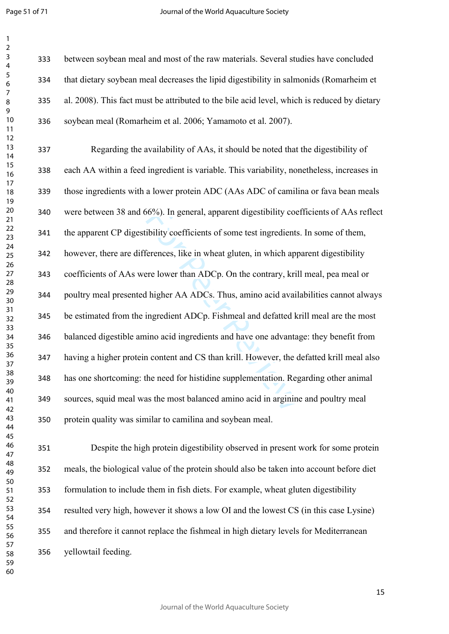$\mathbf{1}$ 

| 1                                |  |
|----------------------------------|--|
| 2                                |  |
| 3                                |  |
| 4                                |  |
| 5                                |  |
|                                  |  |
| 6                                |  |
|                                  |  |
| 8                                |  |
| 9                                |  |
| 10                               |  |
| 1<br>$\mathbf{1}$                |  |
| $\mathbf{1}$<br>$\overline{c}$   |  |
|                                  |  |
| 13                               |  |
| 1<br>4                           |  |
| 15                               |  |
| 16                               |  |
| 1                                |  |
| 18                               |  |
| 19                               |  |
| 20                               |  |
| $\overline{21}$                  |  |
|                                  |  |
| $\overline{2}$<br>$\overline{2}$ |  |
| 23                               |  |
| 24                               |  |
| 25                               |  |
| 26                               |  |
| $^{27}$                          |  |
| 28                               |  |
|                                  |  |
| 29                               |  |
| 30                               |  |
| $\overline{\textbf{3}}$          |  |
| $\overline{32}$                  |  |
| 33                               |  |
| 34                               |  |
| 35                               |  |
| 36                               |  |
|                                  |  |
| 37                               |  |
| ٩g                               |  |
| 39                               |  |
| 40                               |  |
| 41                               |  |
| 42                               |  |
| 43                               |  |
| 44                               |  |
|                                  |  |
| 45                               |  |
| 46                               |  |
| 47                               |  |
| 48                               |  |
| 49                               |  |
| 50                               |  |
| 51                               |  |
| 52                               |  |
| 53                               |  |
|                                  |  |
| 54                               |  |
| 55                               |  |
| 56                               |  |
| 57                               |  |
| 58                               |  |
| 59                               |  |

 between soybean meal and most of the raw materials. Several studies have concluded that dietary soybean meal decreases the lipid digestibility in salmonids (Romarheim et al. 2008). This fact must be attributed to the bile acid level, which is reduced by dietary soybean meal (Romarheim et al. 2006; Yamamoto et al. 2007).

66%). In general, apparent digestibility coefficients of some test ingredients<br>ferences, like in wheat gluten, in which app<br>ere lower than ADCp. On the contrary, kril<br>1 higher AA ADCs. Thus, amino acid avail<br>ingredient ADC Regarding the availability of AAs, it should be noted that the digestibility of each AA within a feed ingredient is variable. This variability, nonetheless, increases in those ingredients with a lower protein ADC (AAs ADC of camilina or fava bean meals were between 38 and 66%). In general, apparent digestibility coefficients of AAs reflect the apparent CP digestibility coefficients of some test ingredients. In some of them, however, there are differences, like in wheat gluten, in which apparent digestibility coefficients of AAs were lower than ADCp. On the contrary, krill meal, pea meal or poultry meal presented higher AA ADCs. Thus, amino acid availabilities cannot always be estimated from the ingredient ADCp. Fishmeal and defatted krill meal are the most balanced digestible amino acid ingredients and have one advantage: they benefit from having a higher protein content and CS than krill. However, the defatted krill meal also has one shortcoming: the need for histidine supplementation. Regarding other animal sources, squid meal was the most balanced amino acid in arginine and poultry meal protein quality was similar to camilina and soybean meal.

 Despite the high protein digestibility observed in present work for some protein meals, the biological value of the protein should also be taken into account before diet formulation to include them in fish diets. For example, wheat gluten digestibility resulted very high, however it shows a low OI and the lowest CS (in this case Lysine) and therefore it cannot replace the fishmeal in high dietary levels for Mediterranean yellowtail feeding.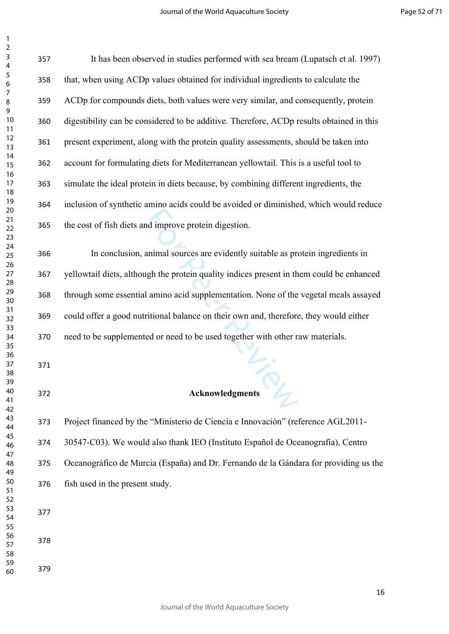| 2                   |  |
|---------------------|--|
| 3                   |  |
| 4                   |  |
| 5                   |  |
| 6                   |  |
|                     |  |
| 8                   |  |
| 9                   |  |
|                     |  |
| 10                  |  |
| 1<br>1              |  |
| 1<br>$\overline{2}$ |  |
| 3<br>1              |  |
| 1<br>4              |  |
| 1<br>5              |  |
| 16                  |  |
| 1                   |  |
| 1<br>8              |  |
| 19                  |  |
| 20                  |  |
| $\overline{21}$     |  |
| $^{22}$             |  |
| 23                  |  |
| 24                  |  |
| 25                  |  |
| 26                  |  |
| 27                  |  |
|                     |  |
| 28                  |  |
| 29                  |  |
| 30                  |  |
| $\overline{31}$     |  |
| 32                  |  |
| 33                  |  |
| 34                  |  |
| 35                  |  |
| 36                  |  |
| 37                  |  |
| 38                  |  |
| 39                  |  |
| 40                  |  |
| 41                  |  |
| 42                  |  |
| 43                  |  |
| 44                  |  |
| 45                  |  |
| 46                  |  |
| 47                  |  |
| 48                  |  |
|                     |  |
| 49                  |  |
| 50                  |  |
| 51                  |  |
| 52                  |  |
| 53                  |  |
| 54                  |  |
| 55                  |  |
| 56                  |  |
| 57                  |  |
| 58                  |  |
| 59                  |  |
| 60                  |  |

| 357 | It has been observed in studies performed with sea bream (Lupatsch et al. 1997)          |
|-----|------------------------------------------------------------------------------------------|
| 358 | that, when using ACDp values obtained for individual ingredients to calculate the        |
| 359 | ACDp for compounds diets, both values were very similar, and consequently, protein       |
| 360 | digestibility can be considered to be additive. Therefore, ACDp results obtained in this |
| 361 | present experiment, along with the protein quality assessments, should be taken into     |
| 362 | account for formulating diets for Mediterranean yellowtail. This is a useful tool to     |
| 363 | simulate the ideal protein in diets because, by combining different ingredients, the     |
| 364 | inclusion of synthetic amino acids could be avoided or diminished, which would reduce    |
| 365 | the cost of fish diets and improve protein digestion.                                    |
| 366 | In conclusion, animal sources are evidently suitable as protein ingredients in           |
| 367 | yellowtail diets, although the protein quality indices present in them could be enhanced |
| 368 | through some essential amino acid supplementation. None of the vegetal meals assayed     |
| 369 | could offer a good nutritional balance on their own and, therefore, they would either    |
| 370 | need to be supplemented or need to be used together with other raw materials.            |
| 371 | Acknowledgments                                                                          |
| 372 |                                                                                          |

 Project financed by the "Ministerio de Ciencia e Innovación" (reference AGL2011- 30547-C03). We would also thank IEO (Instituto Español de Oceanografía), Centro Oceanográfico de Murcia (España) and Dr. Fernando de la Gándara for providing us the fish used in the present study.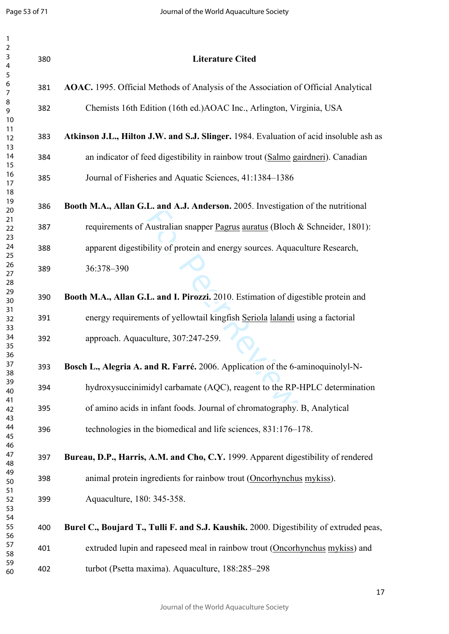| $\mathbf{1}$<br>$\overline{2}$    |                                                                                                                                                                                                                                                                                                                                                                                                                                                                                                                                                                                                                                                                                                                                                                                                                                                                                                                                                                                                                                                                                                                                                                                                                                                                                                                                                                                                                                                                                        |                                                                                        |
|-----------------------------------|----------------------------------------------------------------------------------------------------------------------------------------------------------------------------------------------------------------------------------------------------------------------------------------------------------------------------------------------------------------------------------------------------------------------------------------------------------------------------------------------------------------------------------------------------------------------------------------------------------------------------------------------------------------------------------------------------------------------------------------------------------------------------------------------------------------------------------------------------------------------------------------------------------------------------------------------------------------------------------------------------------------------------------------------------------------------------------------------------------------------------------------------------------------------------------------------------------------------------------------------------------------------------------------------------------------------------------------------------------------------------------------------------------------------------------------------------------------------------------------|----------------------------------------------------------------------------------------|
| $\mathsf{3}$<br>$\overline{4}$    | 380                                                                                                                                                                                                                                                                                                                                                                                                                                                                                                                                                                                                                                                                                                                                                                                                                                                                                                                                                                                                                                                                                                                                                                                                                                                                                                                                                                                                                                                                                    | <b>Literature Cited</b>                                                                |
| $\sqrt{5}$<br>6<br>$\overline{7}$ | AOAC. 1995. Official Methods of Analysis of the Association of Official Analytical<br>381<br>Chemists 16th Edition (16th ed.) AOAC Inc., Arlington, Virginia, USA<br>382<br>Atkinson J.L., Hilton J.W. and S.J. Slinger. 1984. Evaluation of acid insoluble ash as<br>383<br>an indicator of feed digestibility in rainbow trout (Salmo gairdneri). Canadian<br>384<br>Journal of Fisheries and Aquatic Sciences, 41:1384–1386<br>385<br>Booth M.A., Allan G.L. and A.J. Anderson. 2005. Investigation of the nutritional<br>386<br>requirements of Australian snapper Pagrus auratus (Bloch & Schneider, 1801):<br>387<br>apparent digestibility of protein and energy sources. Aquaculture Research,<br>388<br>36:378-390<br>389<br>Booth M.A., Allan G.L. and I. Pirozzi. 2010. Estimation of digestible protein and<br>390<br>energy requirements of yellowtail kingfish Seriola lalandi using a factorial<br>391<br>approach. Aquaculture, 307:247-259.<br>392<br>Bosch L., Alegria A. and R. Farré. 2006. Application of the 6-aminoquinolyl-N-<br>393<br>hydroxysuccinimidyl carbamate (AQC), reagent to the RP-HPLC determination<br>394<br>of amino acids in infant foods. Journal of chromatography. B, Analytical<br>395<br>technologies in the biomedical and life sciences, 831:176–178.<br>396<br>Bureau, D.P., Harris, A.M. and Cho, C.Y. 1999. Apparent digestibility of rendered<br>397<br>animal protein ingredients for rainbow trout (Oncorhynchus mykiss).<br>398 |                                                                                        |
| 8<br>9<br>10                      |                                                                                                                                                                                                                                                                                                                                                                                                                                                                                                                                                                                                                                                                                                                                                                                                                                                                                                                                                                                                                                                                                                                                                                                                                                                                                                                                                                                                                                                                                        |                                                                                        |
| 11<br>12                          |                                                                                                                                                                                                                                                                                                                                                                                                                                                                                                                                                                                                                                                                                                                                                                                                                                                                                                                                                                                                                                                                                                                                                                                                                                                                                                                                                                                                                                                                                        |                                                                                        |
| 13<br>14<br>15                    |                                                                                                                                                                                                                                                                                                                                                                                                                                                                                                                                                                                                                                                                                                                                                                                                                                                                                                                                                                                                                                                                                                                                                                                                                                                                                                                                                                                                                                                                                        |                                                                                        |
| 16<br>17                          |                                                                                                                                                                                                                                                                                                                                                                                                                                                                                                                                                                                                                                                                                                                                                                                                                                                                                                                                                                                                                                                                                                                                                                                                                                                                                                                                                                                                                                                                                        |                                                                                        |
| 18<br>19<br>20                    |                                                                                                                                                                                                                                                                                                                                                                                                                                                                                                                                                                                                                                                                                                                                                                                                                                                                                                                                                                                                                                                                                                                                                                                                                                                                                                                                                                                                                                                                                        |                                                                                        |
| 21<br>22                          |                                                                                                                                                                                                                                                                                                                                                                                                                                                                                                                                                                                                                                                                                                                                                                                                                                                                                                                                                                                                                                                                                                                                                                                                                                                                                                                                                                                                                                                                                        |                                                                                        |
| 23<br>24<br>25                    |                                                                                                                                                                                                                                                                                                                                                                                                                                                                                                                                                                                                                                                                                                                                                                                                                                                                                                                                                                                                                                                                                                                                                                                                                                                                                                                                                                                                                                                                                        |                                                                                        |
| 26<br>27                          |                                                                                                                                                                                                                                                                                                                                                                                                                                                                                                                                                                                                                                                                                                                                                                                                                                                                                                                                                                                                                                                                                                                                                                                                                                                                                                                                                                                                                                                                                        |                                                                                        |
| 28<br>29<br>30                    |                                                                                                                                                                                                                                                                                                                                                                                                                                                                                                                                                                                                                                                                                                                                                                                                                                                                                                                                                                                                                                                                                                                                                                                                                                                                                                                                                                                                                                                                                        |                                                                                        |
| 31<br>32                          |                                                                                                                                                                                                                                                                                                                                                                                                                                                                                                                                                                                                                                                                                                                                                                                                                                                                                                                                                                                                                                                                                                                                                                                                                                                                                                                                                                                                                                                                                        |                                                                                        |
| 33<br>34<br>35                    |                                                                                                                                                                                                                                                                                                                                                                                                                                                                                                                                                                                                                                                                                                                                                                                                                                                                                                                                                                                                                                                                                                                                                                                                                                                                                                                                                                                                                                                                                        |                                                                                        |
| 36<br>37<br>38                    |                                                                                                                                                                                                                                                                                                                                                                                                                                                                                                                                                                                                                                                                                                                                                                                                                                                                                                                                                                                                                                                                                                                                                                                                                                                                                                                                                                                                                                                                                        |                                                                                        |
| 39<br>40                          |                                                                                                                                                                                                                                                                                                                                                                                                                                                                                                                                                                                                                                                                                                                                                                                                                                                                                                                                                                                                                                                                                                                                                                                                                                                                                                                                                                                                                                                                                        |                                                                                        |
| 41<br>42<br>43                    |                                                                                                                                                                                                                                                                                                                                                                                                                                                                                                                                                                                                                                                                                                                                                                                                                                                                                                                                                                                                                                                                                                                                                                                                                                                                                                                                                                                                                                                                                        |                                                                                        |
| 44<br>45                          |                                                                                                                                                                                                                                                                                                                                                                                                                                                                                                                                                                                                                                                                                                                                                                                                                                                                                                                                                                                                                                                                                                                                                                                                                                                                                                                                                                                                                                                                                        |                                                                                        |
| 46<br>47<br>48                    |                                                                                                                                                                                                                                                                                                                                                                                                                                                                                                                                                                                                                                                                                                                                                                                                                                                                                                                                                                                                                                                                                                                                                                                                                                                                                                                                                                                                                                                                                        |                                                                                        |
| 49<br>50                          |                                                                                                                                                                                                                                                                                                                                                                                                                                                                                                                                                                                                                                                                                                                                                                                                                                                                                                                                                                                                                                                                                                                                                                                                                                                                                                                                                                                                                                                                                        |                                                                                        |
| 51<br>52<br>53                    | 399                                                                                                                                                                                                                                                                                                                                                                                                                                                                                                                                                                                                                                                                                                                                                                                                                                                                                                                                                                                                                                                                                                                                                                                                                                                                                                                                                                                                                                                                                    | Aquaculture, 180: 345-358.                                                             |
| 54<br>55<br>56                    | 400                                                                                                                                                                                                                                                                                                                                                                                                                                                                                                                                                                                                                                                                                                                                                                                                                                                                                                                                                                                                                                                                                                                                                                                                                                                                                                                                                                                                                                                                                    | Burel C., Boujard T., Tulli F. and S.J. Kaushik. 2000. Digestibility of extruded peas, |
| 57<br>58                          | 401                                                                                                                                                                                                                                                                                                                                                                                                                                                                                                                                                                                                                                                                                                                                                                                                                                                                                                                                                                                                                                                                                                                                                                                                                                                                                                                                                                                                                                                                                    | extruded lupin and rapeseed meal in rainbow trout (Oncorhynchus mykiss) and            |
| 59<br>60                          | 402                                                                                                                                                                                                                                                                                                                                                                                                                                                                                                                                                                                                                                                                                                                                                                                                                                                                                                                                                                                                                                                                                                                                                                                                                                                                                                                                                                                                                                                                                    | turbot (Psetta maxima). Aquaculture, 188:285-298                                       |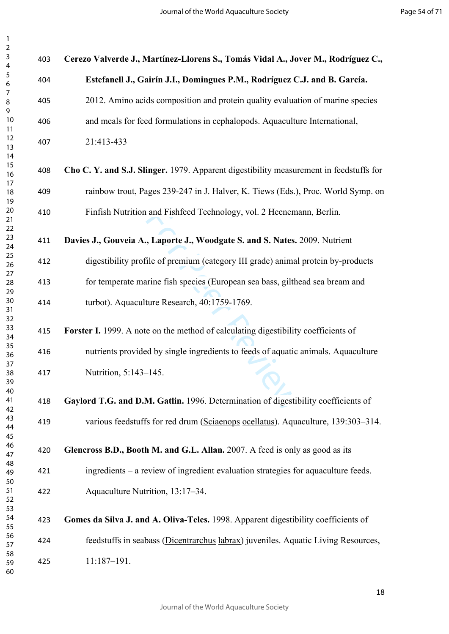| $\mathsf{3}$<br>$\overline{\mathbf{4}}$ | 403 | Cerezo Valverde J., Martínez-Llorens S., Tomás Vidal A., Jover M., Rodríguez C.,       |
|-----------------------------------------|-----|----------------------------------------------------------------------------------------|
| 5<br>$\boldsymbol{6}$                   | 404 | Estefanell J., Gairín J.I., Domingues P.M., Rodríguez C.J. and B. García.              |
| 7<br>$\,8\,$<br>9                       | 405 | 2012. Amino acids composition and protein quality evaluation of marine species         |
| 10<br>11                                | 406 | and meals for feed formulations in cephalopods. Aquaculture International,             |
| 12<br>13<br>14                          | 407 | 21:413-433                                                                             |
| 15<br>16                                | 408 | Cho C. Y. and S.J. Slinger. 1979. Apparent digestibility measurement in feedstuffs for |
| 17<br>18<br>19                          | 409 | rainbow trout, Pages 239-247 in J. Halver, K. Tiews (Eds.), Proc. World Symp. on       |
| 20<br>21                                | 410 | Finfish Nutrition and Fishfeed Technology, vol. 2 Heenemann, Berlin.                   |
| 22<br>23<br>24                          | 411 | Davies J., Gouveia A., Laporte J., Woodgate S. and S. Nates. 2009. Nutrient            |
| 25<br>26                                | 412 | digestibility profile of premium (category III grade) animal protein by-products       |
| 27<br>28<br>29                          | 413 | for temperate marine fish species (European sea bass, gilthead sea bream and           |
| 30<br>31<br>32                          | 414 | turbot). Aquaculture Research, 40:1759-1769.                                           |
| 33<br>34                                | 415 | Forster I. 1999. A note on the method of calculating digestibility coefficients of     |
| 35<br>36                                | 416 | nutrients provided by single ingredients to feeds of aquatic animals. Aquaculture      |
| 37<br>38<br>39<br>40                    | 417 | Nutrition, 5:143-145.                                                                  |
| 41<br>42                                | 418 | Gaylord T.G. and D.M. Gatlin. 1996. Determination of digestibility coefficients of     |
| 43<br>44<br>45                          | 419 | various feedstuffs for red drum (Sciaenops ocellatus). Aquaculture, 139:303-314.       |
| 46<br>47                                | 420 | Glencross B.D., Booth M. and G.L. Allan. 2007. A feed is only as good as its           |
| 48<br>49<br>50                          | 421 | ingredients – a review of ingredient evaluation strategies for aquaculture feeds.      |
| 51<br>52<br>53                          | 422 | Aquaculture Nutrition, 13:17-34.                                                       |
| 54<br>55                                | 423 | Gomes da Silva J. and A. Oliva-Teles. 1998. Apparent digestibility coefficients of     |
| 56<br>57                                | 424 | feedstuffs in seabass (Dicentrarchus labrax) juveniles. Aquatic Living Resources,      |
| 58<br>59<br>60                          | 425 | $11:187 - 191.$                                                                        |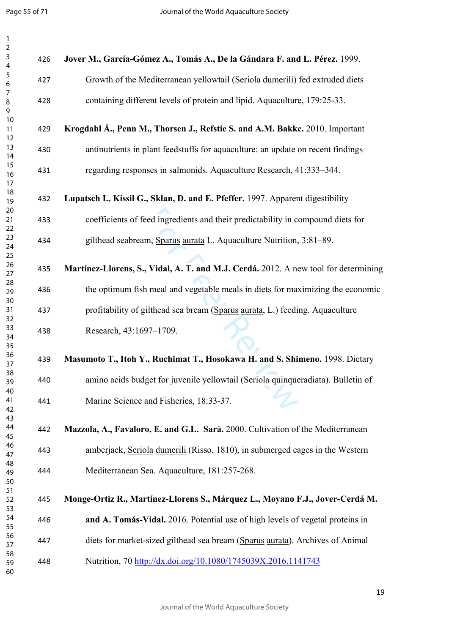| $\mathbf{1}$                                               |     |                                                                                     |
|------------------------------------------------------------|-----|-------------------------------------------------------------------------------------|
| $\overline{2}$<br>$\mathsf{3}$<br>$\overline{\mathcal{A}}$ | 426 | Jover M., García-Gómez A., Tomás A., De la Gándara F. and L. Pérez. 1999.           |
| $\sqrt{5}$<br>$\boldsymbol{6}$                             | 427 | Growth of the Mediterranean yellowtail (Seriola dumerili) fed extruded diets        |
| 7<br>8<br>9                                                | 428 | containing different levels of protein and lipid. Aquaculture, 179:25-33.           |
| 10<br>11<br>12                                             | 429 | Krogdahl Å., Penn M., Thorsen J., Refstie S. and A.M. Bakke. 2010. Important        |
| 13<br>14                                                   | 430 | antinutrients in plant feedstuffs for aquaculture: an update on recent findings     |
| 15<br>16<br>17                                             | 431 | regarding responses in salmonids. Aquaculture Research, 41:333-344.                 |
| 18<br>19                                                   | 432 | Lupatsch I., Kissil G., Sklan, D. and E. Pfeffer. 1997. Apparent digestibility      |
| 20<br>21<br>22                                             | 433 | coefficients of feed ingredients and their predictability in compound diets for     |
| 23<br>24<br>25                                             | 434 | gilthead seabream, Sparus aurata L. Aquaculture Nutrition, 3:81-89.                 |
| 26<br>27                                                   | 435 | Martínez-Llorens, S., Vidal, A. T. and M.J. Cerdá. 2012. A new tool for determining |
| 28<br>29                                                   | 436 | the optimum fish meal and vegetable meals in diets for maximizing the economic      |
| 30<br>31<br>32                                             | 437 | profitability of gilthead sea bream (Sparus aurata, L.) feeding. Aquaculture        |
| 33<br>34<br>35                                             | 438 | Research, 43:1697-1709.                                                             |
| 36<br>37                                                   | 439 | Masumoto T., Itoh Y., Ruchimat T., Hosokawa H. and S. Shimeno. 1998. Dietary        |
| 38<br>39                                                   | 440 | amino acids budget for juvenile yellowtail (Seriola quinqueradiata). Bulletin of    |
| 40<br>41<br>42                                             | 441 | Marine Science and Fisheries, 18:33-37.                                             |
| 43<br>44<br>45                                             | 442 | Mazzola, A., Favaloro, E. and G.L. Sarà. 2000. Cultivation of the Mediterranean     |
| 46<br>47                                                   | 443 | amberjack, Seriola dumerili (Risso, 1810), in submerged cages in the Western        |
| 48<br>49<br>50                                             | 444 | Mediterranean Sea. Aquaculture, 181:257-268.                                        |
| 51<br>52<br>53                                             | 445 | Monge-Ortiz R., Martínez-Llorens S., Márquez L., Moyano F.J., Jover-Cerdá M.        |
| 54<br>55                                                   | 446 | and A. Tomás-Vidal. 2016. Potential use of high levels of vegetal proteins in       |
| 56<br>57                                                   | 447 | diets for market-sized gilthead sea bream (Sparus aurata). Archives of Animal       |
| 58<br>59<br>60                                             | 448 | Nutrition, 70 http://dx.doi.org/10.1080/1745039X.2016.1141743                       |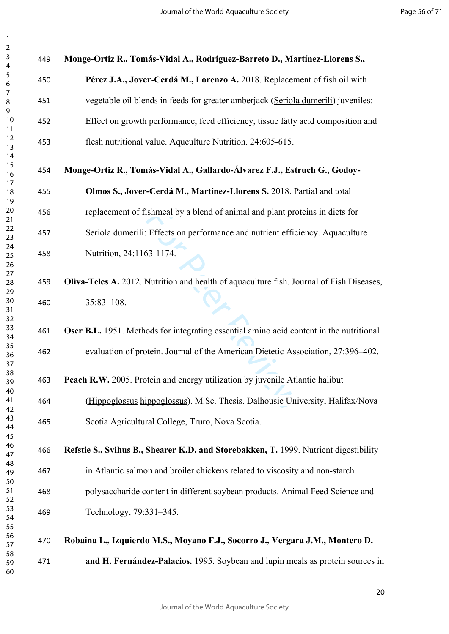| 3<br>4         | 449 | Monge-Ortiz R., Tomás-Vidal A., Rodriguez-Barreto D., Martínez-Llorens S.,               |
|----------------|-----|------------------------------------------------------------------------------------------|
| 5<br>6         | 450 | Pérez J.A., Jover-Cerdá M., Lorenzo A. 2018. Replacement of fish oil with                |
| 7<br>8<br>9    | 451 | vegetable oil blends in feeds for greater amberjack (Seriola dumerili) juveniles:        |
| 10<br>11       | 452 | Effect on growth performance, feed efficiency, tissue fatty acid composition and         |
| 12<br>13<br>14 | 453 | flesh nutritional value. Aquculture Nutrition. 24:605-615.                               |
| 15<br>16       | 454 | Monge-Ortiz R., Tomás-Vidal A., Gallardo-Álvarez F.J., Estruch G., Godoy-                |
| 17<br>18<br>19 | 455 | Olmos S., Jover-Cerdá M., Martínez-Llorens S. 2018. Partial and total                    |
| 20<br>21       | 456 | replacement of fishmeal by a blend of animal and plant proteins in diets for             |
| 22<br>23       | 457 | Seriola dumerili: Effects on performance and nutrient efficiency. Aquaculture            |
| 24<br>25<br>26 | 458 | Nutrition, 24:1163-1174.                                                                 |
| 27<br>28<br>29 | 459 | Oliva-Teles A. 2012. Nutrition and health of aquaculture fish. Journal of Fish Diseases, |
| 30<br>31<br>32 | 460 | $35:83 - 108$ .                                                                          |
| 33<br>34       | 461 | Oser B.L. 1951. Methods for integrating essential amino acid content in the nutritional  |
| 35<br>36<br>37 | 462 | evaluation of protein. Journal of the American Dietetic Association, 27:396-402.         |
| 38<br>39<br>40 | 463 | Peach R.W. 2005. Protein and energy utilization by juvenile Atlantic halibut             |
| 41<br>42       | 464 | (Hippoglossus hippoglossus). M.Sc. Thesis. Dalhousie University, Halifax/Nova            |
| 43<br>44<br>45 | 465 | Scotia Agricultural College, Truro, Nova Scotia.                                         |
| 46<br>47       | 466 | Refstie S., Svihus B., Shearer K.D. and Storebakken, T. 1999. Nutrient digestibility     |
| 48<br>49<br>50 | 467 | in Atlantic salmon and broiler chickens related to viscosity and non-starch              |
| 51<br>52       | 468 | polysaccharide content in different soybean products. Animal Feed Science and            |
| 53<br>54<br>55 | 469 | Technology, 79:331-345.                                                                  |
| 56<br>57       | 470 | Robaina L., Izquierdo M.S., Moyano F.J., Socorro J., Vergara J.M., Montero D.            |
| 58<br>59<br>60 | 471 | and H. Fernández-Palacios. 1995. Soybean and lupin meals as protein sources in           |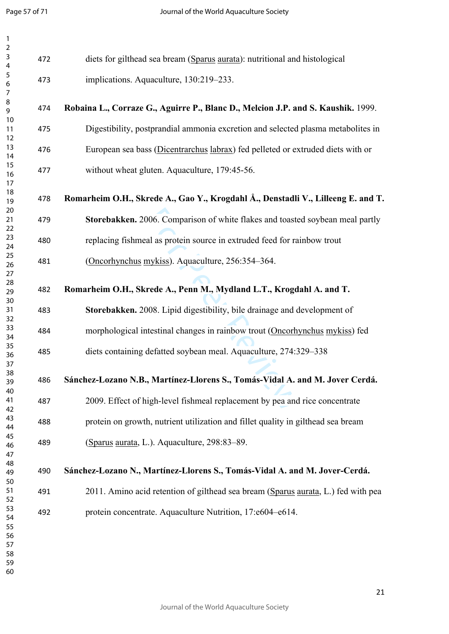$\mathbf{1}$ 

| $\mathbf{1}$                                 |     |                                                                                   |
|----------------------------------------------|-----|-----------------------------------------------------------------------------------|
| $\overline{2}$<br>3<br>4                     | 472 | diets for gilthead sea bream (Sparus aurata): nutritional and histological        |
| 5<br>6<br>$\overline{7}$                     | 473 | implications. Aquaculture, 130:219-233.                                           |
| 8<br>9                                       | 474 | Robaina L., Corraze G., Aguirre P., Blanc D., Melcion J.P. and S. Kaushik. 1999.  |
| 10<br>11<br>12                               | 475 | Digestibility, postprandial ammonia excretion and selected plasma metabolites in  |
| 13<br>14                                     | 476 | European sea bass (Dicentrarchus labrax) fed pelleted or extruded diets with or   |
| 15<br>16<br>17                               | 477 | without wheat gluten. Aquaculture, 179:45-56.                                     |
| 18<br>19                                     | 478 | Romarheim O.H., Skrede A., Gao Y., Krogdahl Å., Denstadli V., Lilleeng E. and T.  |
| 20<br>21<br>22                               | 479 | Storebakken. 2006. Comparison of white flakes and toasted soybean meal partly     |
| 23<br>24                                     | 480 | replacing fishmeal as protein source in extruded feed for rainbow trout           |
| 25<br>26<br>27                               | 481 | (Oncorhynchus mykiss). Aquaculture, 256:354-364.                                  |
| 28<br>29<br>30                               | 482 | Romarheim O.H., Skrede A., Penn M., Mydland L.T., Krogdahl A. and T.              |
| 31<br>32                                     | 483 | Storebakken. 2008. Lipid digestibility, bile drainage and development of          |
| 33<br>34                                     | 484 | morphological intestinal changes in rainbow trout (Oncorhynchus mykiss) fed       |
| 35<br>36<br>37                               | 485 | diets containing defatted soybean meal. Aquaculture, 274:329–338                  |
| 38<br>39                                     | 486 | Sánchez-Lozano N.B., Martínez-Llorens S., Tomás-Vidal A. and M. Jover Cerdá.      |
| 40<br>41<br>42                               | 487 | 2009. Effect of high-level fishmeal replacement by pea and rice concentrate       |
| 43<br>44                                     | 488 | protein on growth, nutrient utilization and fillet quality in gilthead sea bream  |
| 45<br>46<br>47                               | 489 | (Sparus aurata, L.). Aquaculture, 298:83-89.                                      |
| 48<br>49<br>50                               | 490 | Sánchez-Lozano N., Martínez-Llorens S., Tomás-Vidal A. and M. Jover-Cerdá.        |
| 51<br>52                                     | 491 | 2011. Amino acid retention of gilthead sea bream (Sparus aurata, L.) fed with pea |
| 53<br>54<br>55<br>56<br>57<br>58<br>59<br>60 | 492 | protein concentrate. Aquaculture Nutrition, 17:e604-e614.                         |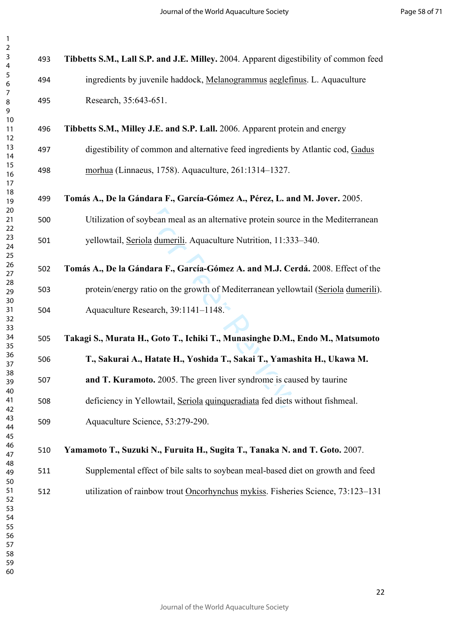| 3<br>4                                                   | 493 | Tibbetts S.M., Lall S.P. and J.E. Milley. 2004. Apparent digestibility of common feed |
|----------------------------------------------------------|-----|---------------------------------------------------------------------------------------|
| 5<br>$\boldsymbol{6}$                                    | 494 | ingredients by juvenile haddock, Melanogrammus aeglefinus. L. Aquaculture             |
| $\boldsymbol{7}$<br>$\bf 8$<br>9                         | 495 | Research, 35:643-651.                                                                 |
| 10<br>11<br>12                                           | 496 | Tibbetts S.M., Milley J.E. and S.P. Lall. 2006. Apparent protein and energy           |
| 13<br>14                                                 | 497 | digestibility of common and alternative feed ingredients by Atlantic cod, Gadus       |
| 15<br>16<br>17                                           | 498 | morhua (Linnaeus, 1758). Aquaculture, 261:1314-1327.                                  |
| 18<br>19<br>20                                           | 499 | Tomás A., De la Gándara F., García-Gómez A., Pérez, L. and M. Jover. 2005.            |
| 21<br>22                                                 | 500 | Utilization of soybean meal as an alternative protein source in the Mediterranean     |
| 23<br>24<br>25                                           | 501 | yellowtail, Seriola dumerili. Aquaculture Nutrition, 11:333-340.                      |
| 26<br>27                                                 | 502 | Tomás A., De la Gándara F., García-Gómez A. and M.J. Cerdá. 2008. Effect of the       |
| 28<br>29                                                 | 503 | protein/energy ratio on the growth of Mediterranean yellowtail (Seriola dumerili).    |
| 30<br>31<br>32                                           | 504 | Aquaculture Research, 39:1141-1148.                                                   |
| 33<br>34<br>35                                           | 505 | Takagi S., Murata H., Goto T., Ichiki T., Munasinghe D.M., Endo M., Matsumoto         |
| 36                                                       |     | T., Sakurai A., Hatate H., Yoshida T., Sakai T., Yamashita H., Ukawa M.               |
| 37                                                       | 506 |                                                                                       |
| 38<br>39                                                 | 507 | and T. Kuramoto. 2005. The green liver syndrome is caused by taurine                  |
| 40<br>41                                                 | 508 | deficiency in Yellowtail, Seriola quinqueradiata fed diets without fishmeal.          |
| 42<br>43<br>44                                           | 509 | Aquaculture Science, 53:279-290.                                                      |
| 45<br>46<br>47                                           | 510 | Yamamoto T., Suzuki N., Furuita H., Sugita T., Tanaka N. and T. Goto. 2007.           |
| 48<br>49                                                 | 511 | Supplemental effect of bile salts to soybean meal-based diet on growth and feed       |
| 50<br>51<br>52<br>53<br>54<br>55<br>56<br>57<br>58<br>59 | 512 | utilization of rainbow trout Oncorhynchus mykiss. Fisheries Science, 73:123-131       |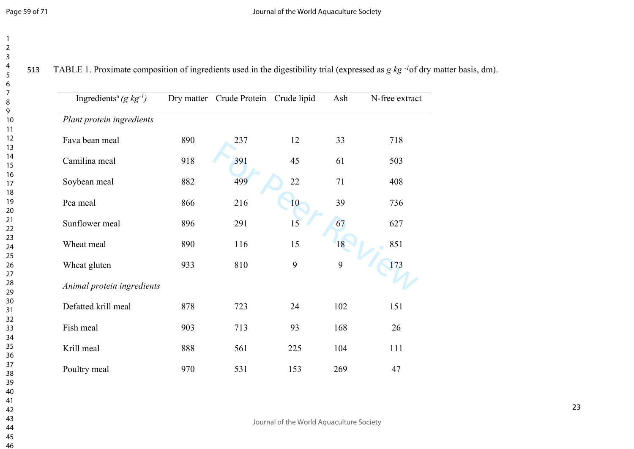TABLE 1. Proximate composition of ingredients used in the digestibility trial (expressed as *g kg -1*of dry matter basis, dm).

| Ingredients <sup>a</sup> (g $kg^{-1}$ ) |     | Dry matter Crude Protein Crude lipid |     | Ash | N-free extract |
|-----------------------------------------|-----|--------------------------------------|-----|-----|----------------|
| Plant protein ingredients               |     |                                      |     |     |                |
| Fava bean meal                          | 890 | 237                                  | 12  | 33  | 718            |
| Camilina meal                           | 918 | 391                                  | 45  | 61  | 503            |
| Soybean meal                            | 882 | 499                                  | 22  | 71  | 408            |
| Pea meal                                | 866 | 216                                  | 10  | 39  | 736            |
| Sunflower meal                          | 896 | 291                                  | 15  | 67  | 627            |
| Wheat meal                              | 890 | 116                                  | 15  | 18  | 851            |
| Wheat gluten                            | 933 | 810                                  | 9   | 9   | 173            |
| Animal protein ingredients              |     |                                      |     |     |                |
| Defatted krill meal                     | 878 | 723                                  | 24  | 102 | 151            |
| Fish meal                               | 903 | 713                                  | 93  | 168 | 26             |
| Krill meal                              | 888 | 561                                  | 225 | 104 | 111            |
| Poultry meal                            | 970 | 531                                  | 153 | 269 | 47             |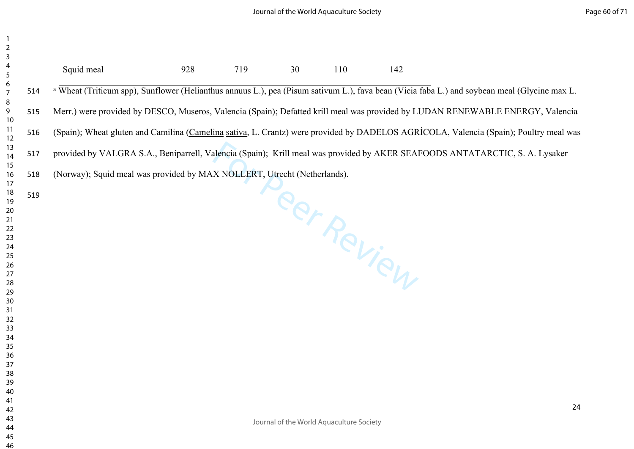| $\begin{array}{c} 2 \\ 3 \end{array}$<br>$\overline{\mathbf{r}}$<br>5                                                |     | Squid meal                                                                                                                                              | 928 | 719 | 30 | 110                                      | 142         |    |
|----------------------------------------------------------------------------------------------------------------------|-----|---------------------------------------------------------------------------------------------------------------------------------------------------------|-----|-----|----|------------------------------------------|-------------|----|
| $\begin{array}{c} 6 \\ 7 \end{array}$                                                                                | 514 | <sup>a</sup> Wheat (Triticum spp), Sunflower (Helianthus annuus L.), pea (Pisum sativum L.), fava bean (Vicia faba L.) and soybean meal (Glycine max L. |     |     |    |                                          |             |    |
| 8<br>9<br>10                                                                                                         | 515 | Merr.) were provided by DESCO, Museros, Valencia (Spain); Defatted krill meal was provided by LUDAN RENEWABLE ENERGY, Valencia                          |     |     |    |                                          |             |    |
| 11<br>12                                                                                                             | 516 | (Spain); Wheat gluten and Camilina (Camelina sativa, L. Crantz) were provided by DADELOS AGRÍCOLA, Valencia (Spain); Poultry meal was                   |     |     |    |                                          |             |    |
| 13<br>14                                                                                                             | 517 | provided by VALGRA S.A., Beniparrell, Valencia (Spain); Krill meal was provided by AKER SEAFOODS ANTATARCTIC, S. A. Lysaker                             |     |     |    |                                          |             |    |
| 15<br>16<br>17                                                                                                       | 518 | (Norway); Squid meal was provided by MAX NOLLERT, Utrecht (Netherlands).                                                                                |     |     |    |                                          |             |    |
| 18<br>19<br>20<br>21<br>22<br>23<br>24<br>25<br>26<br>27<br>28<br>29<br>30<br>31<br>32<br>33<br>34<br>35<br>36<br>37 | 519 |                                                                                                                                                         |     |     |    |                                          | Peer Review |    |
| 38<br>39<br>40<br>41<br>42<br>43<br>44<br>45                                                                         |     |                                                                                                                                                         |     |     |    | Journal of the World Aquaculture Society |             | 24 |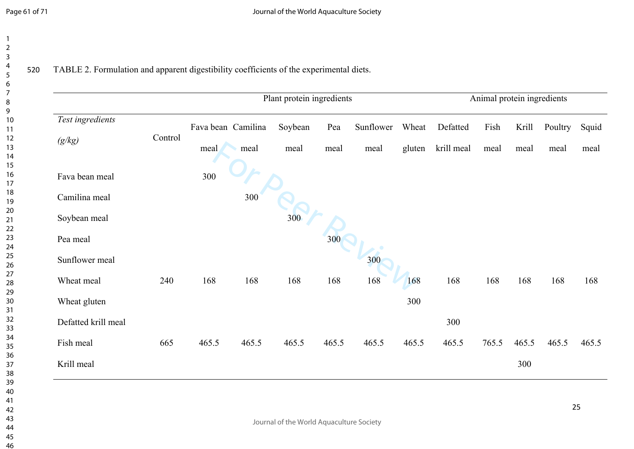520 TABLE 2. Formulation and apparent digestibility coefficients of the experimental diets.

| Test ingredients    |         |       | Fava bean Camilina | Soybean | Pea   | Sunflower | Wheat  | Defatted   | Fish  | Krill | Poultry | Squid |
|---------------------|---------|-------|--------------------|---------|-------|-----------|--------|------------|-------|-------|---------|-------|
| (g/kg)              | Control | meal  | meal               | meal    | meal  | meal      | gluten | krill meal | meal  | meal  | meal    | meal  |
| Fava bean meal      |         | 300   |                    |         |       |           |        |            |       |       |         |       |
| Camilina meal       |         |       | 300                |         |       |           |        |            |       |       |         |       |
| Soybean meal        |         |       |                    | 300     |       |           |        |            |       |       |         |       |
| Pea meal            |         |       |                    |         | 300   |           |        |            |       |       |         |       |
| Sunflower meal      |         |       |                    |         |       | 300       |        |            |       |       |         |       |
| Wheat meal          | 240     | 168   | 168                | 168     | 168   | 168       | 168    | 168        | 168   | 168   | 168     | 168   |
| Wheat gluten        |         |       |                    |         |       |           | 300    |            |       |       |         |       |
| Defatted krill meal |         |       |                    |         |       |           |        | 300        |       |       |         |       |
| Fish meal           | 665     | 465.5 | 465.5              | 465.5   | 465.5 | 465.5     | 465.5  | 465.5      | 765.5 | 465.5 | 465.5   | 465.5 |
| Krill meal          |         |       |                    |         |       |           |        |            |       | 300   |         |       |
|                     |         |       |                    |         |       |           |        |            |       |       |         |       |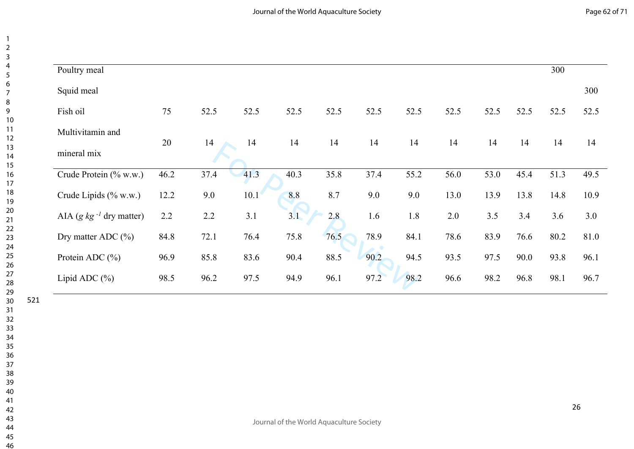| Poultry meal                 |      |      |      |      |      |      |      |      |      |      | 300  |      |
|------------------------------|------|------|------|------|------|------|------|------|------|------|------|------|
| Squid meal                   |      |      |      |      |      |      |      |      |      |      |      | 300  |
| Fish oil                     | 75   | 52.5 | 52.5 | 52.5 | 52.5 | 52.5 | 52.5 | 52.5 | 52.5 | 52.5 | 52.5 | 52.5 |
| Multivitamin and             |      |      |      |      |      |      |      |      |      |      |      |      |
| mineral mix                  | 20   | 14   | 14   | 14   | 14   | 14   | 14   | 14   | 14   | 14   | 14   | 14   |
| Crude Protein (% w.w.)       | 46.2 | 37.4 | 41.3 | 40.3 | 35.8 | 37.4 | 55.2 | 56.0 | 53.0 | 45.4 | 51.3 | 49.5 |
| Crude Lipids (% w.w.)        | 12.2 | 9.0  | 10.1 | 8.8  | 8.7  | 9.0  | 9.0  | 13.0 | 13.9 | 13.8 | 14.8 | 10.9 |
| AIA (g $kg^{-1}$ dry matter) | 2.2  | 2.2  | 3.1  | 3.1  | 2.8  | 1.6  | 1.8  | 2.0  | 3.5  | 3.4  | 3.6  | 3.0  |
| Dry matter ADC $(\% )$       | 84.8 | 72.1 | 76.4 | 75.8 | 76.5 | 78.9 | 84.1 | 78.6 | 83.9 | 76.6 | 80.2 | 81.0 |
| Protein ADC $(\% )$          | 96.9 | 85.8 | 83.6 | 90.4 | 88.5 | 90.2 | 94.5 | 93.5 | 97.5 | 90.0 | 93.8 | 96.1 |
| Lipid ADC $(\% )$            | 98.5 | 96.2 | 97.5 | 94.9 | 96.1 | 97.2 | 98.2 | 96.6 | 98.2 | 96.8 | 98.1 | 96.7 |
|                              |      |      |      |      |      |      |      |      |      |      |      |      |

 $\overline{4}$  $\overline{5}$  $\overline{7}$  $\overline{9}$ 

 $\overline{1}$  $\overline{2}$  $\overline{\mathbf{3}}$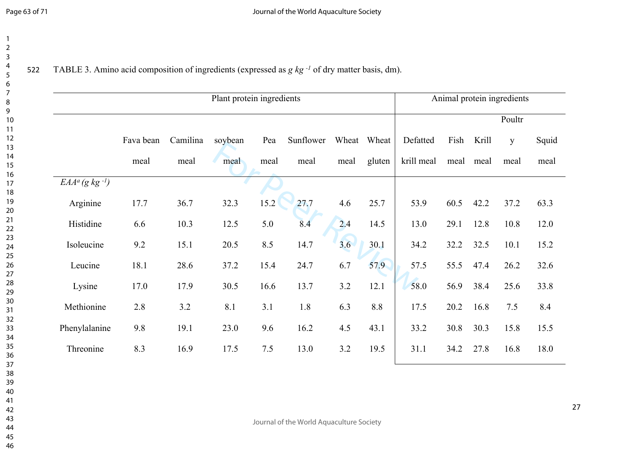522 TABLE 3. Amino acid composition of ingredients (expressed as *g kg -1* of dry matter basis, dm).

|                               |           |          | Plant protein ingredients |      |           |      |             |            |      |       | Animal protein ingredients |       |
|-------------------------------|-----------|----------|---------------------------|------|-----------|------|-------------|------------|------|-------|----------------------------|-------|
|                               |           |          |                           |      |           |      |             |            |      |       | Poultr                     |       |
|                               | Fava bean | Camilina | soybean                   | Pea  | Sunflower |      | Wheat Wheat | Defatted   | Fish | Krill | y                          | Squid |
|                               | meal      | meal     | meal                      | meal | meal      | meal | gluten      | krill meal | meal | meal  | meal                       | meal  |
| $EAA^a$ (g kg <sup>-1</sup> ) |           |          |                           |      |           |      |             |            |      |       |                            |       |
| Arginine                      | 17.7      | 36.7     | 32.3                      | 15.2 | 27.7      | 4.6  | 25.7        | 53.9       | 60.5 | 42.2  | 37.2                       | 63.3  |
| Histidine                     | 6.6       | 10.3     | 12.5                      | 5.0  | 8.4       | 2.4  | 14.5        | 13.0       | 29.1 | 12.8  | 10.8                       | 12.0  |
| Isoleucine                    | 9.2       | 15.1     | 20.5                      | 8.5  | 14.7      | 3.6  | 30.1        | 34.2       | 32.2 | 32.5  | 10.1                       | 15.2  |
| Leucine                       | 18.1      | 28.6     | 37.2                      | 15.4 | 24.7      | 6.7  | 57.9        | 57.5       | 55.5 | 47.4  | 26.2                       | 32.6  |
| Lysine                        | 17.0      | 17.9     | 30.5                      | 16.6 | 13.7      | 3.2  | 12.1        | 58.0       | 56.9 | 38.4  | 25.6                       | 33.8  |
| Methionine                    | 2.8       | 3.2      | 8.1                       | 3.1  | 1.8       | 6.3  | 8.8         | 17.5       | 20.2 | 16.8  | 7.5                        | 8.4   |
| Phenylalanine                 | 9.8       | 19.1     | 23.0                      | 9.6  | 16.2      | 4.5  | 43.1        | 33.2       | 30.8 | 30.3  | 15.8                       | 15.5  |
| Threonine                     | 8.3       | 16.9     | 17.5                      | 7.5  | 13.0      | 3.2  | 19.5        | 31.1       | 34.2 | 27.8  | 16.8                       | 18.0  |
|                               |           |          |                           |      |           |      |             |            |      |       |                            |       |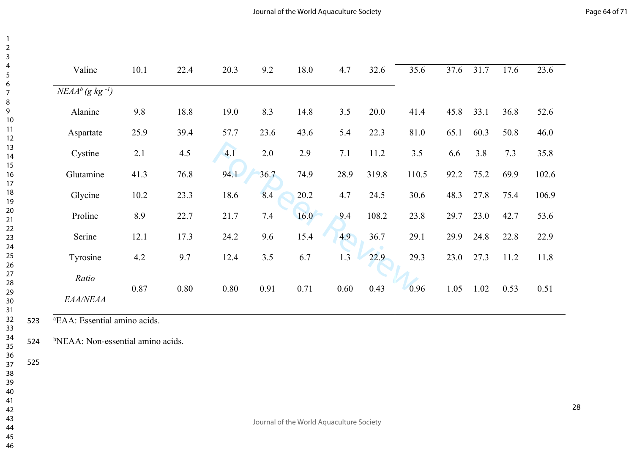| Valine                           | 10.1          | 22.4 | 20.3 | 9.2  | 18.0 | 4.7  | 32.6  | 35.6  | 37.6 | 31.7 | 17.6 | 23.6  |
|----------------------------------|---------------|------|------|------|------|------|-------|-------|------|------|------|-------|
| $NEAA^{b}$ (g kg <sup>-1</sup> ) |               |      |      |      |      |      |       |       |      |      |      |       |
| Alanine                          | 9.8           | 18.8 | 19.0 | 8.3  | 14.8 | 3.5  | 20.0  | 41.4  | 45.8 | 33.1 | 36.8 | 52.6  |
| Aspartate                        | 25.9          | 39.4 | 57.7 | 23.6 | 43.6 | 5.4  | 22.3  | 81.0  | 65.1 | 60.3 | 50.8 | 46.0  |
| Cystine                          | 2.1           | 4.5  | 4.1  | 2.0  | 2.9  | 7.1  | 11.2  | 3.5   | 6.6  | 3.8  | 7.3  | 35.8  |
| Glutamine                        | 41.3          | 76.8 | 94.1 | 36.7 | 74.9 | 28.9 | 319.8 | 110.5 | 92.2 | 75.2 | 69.9 | 102.6 |
| Glycine                          | 10.2          | 23.3 | 18.6 | 8.4  | 20.2 | 4.7  | 24.5  | 30.6  | 48.3 | 27.8 | 75.4 | 106.9 |
| Proline                          | 8.9           | 22.7 | 21.7 | 7.4  | 16.0 | 9.4  | 108.2 | 23.8  | 29.7 | 23.0 | 42.7 | 53.6  |
| Serine                           | 12.1          | 17.3 | 24.2 | 9.6  | 15.4 | 4.9  | 36.7  | 29.1  | 29.9 | 24.8 | 22.8 | 22.9  |
| Tyrosine                         | 4.2           | 9.7  | 12.4 | 3.5  | 6.7  | 1.3  | 22.9  | 29.3  | 23.0 | 27.3 | 11.2 | 11.8  |
| Ratio                            | 0.87          | 0.80 | 0.80 | 0.91 | 0.71 | 0.60 | 0.43  | 0.96  | 1.05 | 1.02 | 0.53 | 0.51  |
| EAA/NEAA                         |               |      |      |      |      |      |       |       |      |      |      |       |
|                                  | $\sim$ $\sim$ |      |      |      |      |      |       |       |      |      |      |       |

<sup>a</sup>EAA: Essential amino acids.

<sup>b</sup>NEAA: Non-essential amino acids.

 

- 
-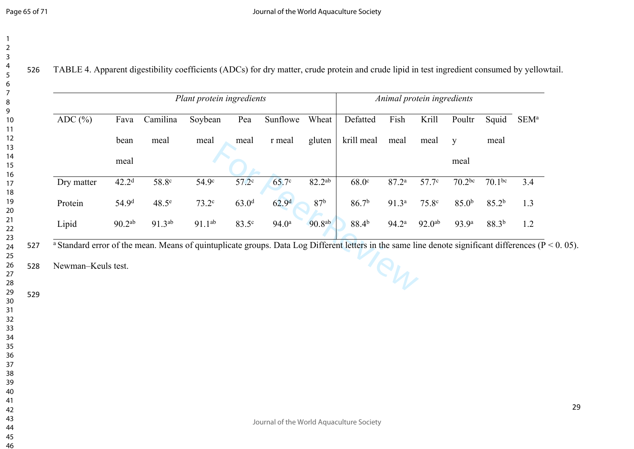TABLE 4. Apparent digestibility coefficients (ADCs) for dry matter, crude protein and crude lipid in test ingredient consumed by yellowtail.

|                                                                                                                                                                    |                    |                   | Plant protein ingredients |                     |                   |                    |                   |                   | Animal protein ingredients |                    |                   |                  |
|--------------------------------------------------------------------------------------------------------------------------------------------------------------------|--------------------|-------------------|---------------------------|---------------------|-------------------|--------------------|-------------------|-------------------|----------------------------|--------------------|-------------------|------------------|
| ADC $(\% )$                                                                                                                                                        | Fava               | Camilina          | Soybean                   | Pea                 | Sunflowe          | Wheat              | Defatted          | Fish              | Krill                      | Poultr             | Squid             | SEM <sup>a</sup> |
|                                                                                                                                                                    | bean               | meal              | meal                      | meal                | r meal            | gluten             | krill meal        | meal              | meal                       | y                  | meal              |                  |
|                                                                                                                                                                    | meal               |                   |                           |                     |                   |                    |                   |                   |                            | meal               |                   |                  |
| Dry matter                                                                                                                                                         | 42.2 <sup>d</sup>  | 58.8 <sup>c</sup> | 54.9 <sup>c</sup>         | $57.2$ <sup>c</sup> | 65.7c             | 82.2 <sup>ab</sup> | 68.0 <sup>c</sup> | 87.2 <sup>a</sup> | 57.7 <sup>c</sup>          | 70.2 <sup>bc</sup> | $70.1^{bc}$       | 3.4              |
| Protein                                                                                                                                                            | 54.9 <sup>d</sup>  | $48.5^e$          | 73.2 <sup>c</sup>         | 63.0 <sup>d</sup>   | 62.9 <sup>d</sup> | 87 <sup>b</sup>    | 86.7 <sup>b</sup> | 91.3 <sup>a</sup> | 75.8 <sup>c</sup>          | 85.0 <sup>b</sup>  | 85.2 <sup>b</sup> | 1.3              |
| Lipid                                                                                                                                                              | 90.2 <sup>ab</sup> | 91.3ab            | $91.1^{ab}$               | 83.5 <sup>c</sup>   | 94.0 <sup>a</sup> | 90.8ab             | 88.4 <sup>b</sup> | $94.2^{\rm a}$    | 92.0 <sup>ab</sup>         | 93.9 <sup>a</sup>  | $88.3^{b}$        | 1.2              |
| <sup>a</sup> Standard error of the mean. Means of quintuplicate groups. Data Log Different letters in the same line denote significant differences ( $P < 0.05$ ). |                    |                   |                           |                     |                   |                    |                   |                   |                            |                    |                   |                  |
| Newman-Keuls test.                                                                                                                                                 |                    |                   |                           |                     |                   |                    |                   |                   |                            |                    |                   |                  |
|                                                                                                                                                                    |                    |                   |                           |                     |                   |                    |                   |                   |                            |                    |                   |                  |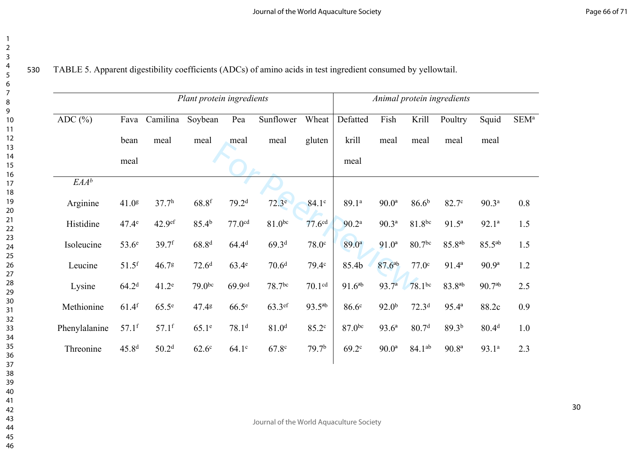|               |                     |                   | Plant protein ingredients |                    |                   |                    |                    |                    |                    | Animal protein ingredients |                   |                  |
|---------------|---------------------|-------------------|---------------------------|--------------------|-------------------|--------------------|--------------------|--------------------|--------------------|----------------------------|-------------------|------------------|
| ADC $(\% )$   | Fava                | Camilina          | Soybean                   | Pea                | Sunflower         | Wheat              | Defatted           | Fish               | Krill              | Poultry                    | Squid             | SEM <sup>a</sup> |
|               | bean                | meal              | meal                      | meal               | meal              | gluten             | krill              | meal               | meal               | meal                       | meal              |                  |
|               | meal                |                   |                           |                    |                   |                    | meal               |                    |                    |                            |                   |                  |
| $EAA^b$       |                     |                   |                           |                    |                   |                    |                    |                    |                    |                            |                   |                  |
| Arginine      | 41.0 <sup>g</sup>   | 37.7 <sup>h</sup> | $68.8$ <sup>f</sup>       | 79.2 <sup>d</sup>  | 72.3 <sup>e</sup> | 84.1 <sup>c</sup>  | 89.1ª              | 90.0 <sup>a</sup>  | 86.6 <sup>b</sup>  | 82.7 <sup>c</sup>          | 90.3 <sup>a</sup> | 0.8              |
| Histidine     | 47.4 <sup>e</sup>   | 42.9ef            | 85.4 <sup>b</sup>         | 77.0 <sup>cd</sup> | $81.0^{bc}$       | 77.6 <sup>cd</sup> | 90.2 <sup>a</sup>  | $90.3^{a}$         | 81.8bc             | $91.5^a$                   | $92.1^a$          | 1.5              |
| Isoleucine    | 53.6 <sup>e</sup>   | $39.7$ f          | 68.8 <sup>d</sup>         | 64.4 <sup>d</sup>  | 69.3 <sup>d</sup> | 78.0 <sup>c</sup>  | $89.0^{a}$         | $91.0^a$           | 80.7bc             | 85.8 <sup>ab</sup>         | $85.5^{ab}$       | 1.5              |
| Leucine       | $51.5$ <sup>f</sup> | 46.78             | 72.6 <sup>d</sup>         | 63.4 <sup>e</sup>  | 70.6 <sup>d</sup> | 79.4c              | 85.4b              | 87.6 <sup>ab</sup> | 77.0 <sup>c</sup>  | $91.4^a$                   | 90.9 <sup>a</sup> | 1.2              |
| Lysine        | 64.2 <sup>d</sup>   | 41.2 <sup>e</sup> | 79.0 <sup>bc</sup>        | 69.9 <sup>cd</sup> | 78.7bc            | 70.1 <sup>cd</sup> | $91.6^{ab}$        | $93.7^{a}$         | $78.1^{bc}$        | $83.8^{ab}$                | $90.7^{ab}$       | 2.5              |
| Methionine    | $61.4$ f            | 65.5 <sup>e</sup> | 47.48                     | 66.5 <sup>e</sup>  | 63.3ef            | $93.5^{ab}$        | 86.6 <sup>c</sup>  | 92.0 <sup>b</sup>  | 72.3 <sup>d</sup>  | $95.4^{a}$                 | 88.2c             | 0.9              |
| Phenylalanine | $57.1$ f            | $57.1$ f          | $65.1^\circ$              | 78.1 <sup>d</sup>  | 81.0 <sup>d</sup> | 85.2c              | 87.0 <sup>bc</sup> | $93.6^a$           | 80.7 <sup>d</sup>  | 89.3 <sup>b</sup>          | 80.4 <sup>d</sup> | 1.0              |
| Threonine     | 45.8 <sup>d</sup>   | 50.2 <sup>d</sup> | 62.6 <sup>c</sup>         | 64.1 <sup>c</sup>  | 67.8c             | 79.7 <sup>b</sup>  | 69.2c              | $90.0^{\rm a}$     | 84.1 <sup>ab</sup> | 90.8 <sup>a</sup>          | 93.1ª             | 2.3              |
|               |                     |                   |                           |                    |                   |                    |                    |                    |                    |                            |                   |                  |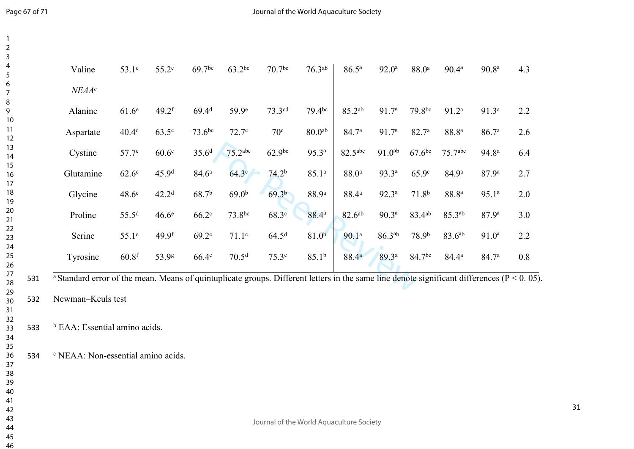| Valine            | 53.1 <sup>c</sup> | 55.2 <sup>c</sup>   | $69.7$ bc         | $63.2^{bc}$       | 70.7 <sup>bc</sup> | 76.3 <sup>ab</sup> | $86.5^{\circ}$     | $92.0^{\rm a}$    | 88.0 <sup>a</sup> | $90.4^{\rm a}$      | 90.8 <sup>a</sup> |
|-------------------|-------------------|---------------------|-------------------|-------------------|--------------------|--------------------|--------------------|-------------------|-------------------|---------------------|-------------------|
| NEAA <sup>c</sup> |                   |                     |                   |                   |                    |                    |                    |                   |                   |                     |                   |
| Alanine           | 61.6 <sup>e</sup> | $49.2$ <sup>f</sup> | 69.4 <sup>d</sup> | 59.9e             | 73.3cd             | $79.4^{bc}$        | 85.2ab             | 91.7 <sup>a</sup> | 79.8bc            | 91.2 <sup>a</sup>   | 91.3 <sup>a</sup> |
| Aspartate         | 40.4 <sup>d</sup> | $63.5^\circ$        | $73.6^{bc}$       | 72.7 <sup>c</sup> | 70 <sup>c</sup>    | 80.0 <sup>ab</sup> | 84.7ª              | 91.7 <sup>a</sup> | 82.7 <sup>a</sup> | 88.8 <sup>a</sup>   | 86.7 <sup>a</sup> |
| Cystine           | 57.7c             | 60.6 <sup>c</sup>   | 35.6 <sup>d</sup> | 75.2abc           | 62.9 <sup>bc</sup> | $95.3^{a}$         | 82.5abc            | $91.0^{ab}$       | $67.6$ bc         | 75.7 <sup>abc</sup> | 94.8 <sup>a</sup> |
| Glutamine         | $62.6^\circ$      | 45.9 <sup>d</sup>   | 84.6 <sup>a</sup> | $64.3^\circ$      | 74.2 <sup>b</sup>  | 85.1 <sup>a</sup>  | 88.0 <sup>a</sup>  | $93.3^{a}$        | 65.9 <sup>c</sup> | 84.9 <sup>a</sup>   | 87.9 <sup>a</sup> |
| Glycine           | 48.6c             | 42.2 <sup>d</sup>   | 68.7 <sup>b</sup> | 69.0 <sup>b</sup> | 69.3 <sup>b</sup>  | 88.9ª              | 88.4ª              | $92.3^{a}$        | 71.8 <sup>b</sup> | 88.8 <sup>a</sup>   | $95.1^a$          |
| Proline           | 55.5 <sup>d</sup> | 46.6 <sup>e</sup>   | 66.2 <sup>c</sup> | 73.8bc            | 68.3c              | 88.4 <sup>a</sup>  | 82.6 <sup>ab</sup> | $90.3^{a}$        | 83.4ab            | $85.3^{ab}$         | 87.9 <sup>a</sup> |
| Serine            | $55.1^\circ$      | 49.9 <sup>f</sup>   | 69.2 <sup>c</sup> | 71.1 <sup>c</sup> | 64.5 <sup>d</sup>  | 81.0 <sup>b</sup>  | 90.1 <sup>a</sup>  | $86.3^{ab}$       | 78.9 <sup>b</sup> | $83.6^{ab}$         | $91.0^a$          |
| Tyrosine          | $60.8$ f          | 53.9g               | $66.4^e$          | 70.5 <sup>d</sup> | 75.3c              | 85.1 <sup>b</sup>  | 88.4 <sup>a</sup>  | 89.3ª             | 84.7bc            | 84.4 <sup>a</sup>   | 84.7ª             |

Newman–Keuls test

 <sup>b</sup> EAA: Essential amino acids.

NEAA: Non-essential amino acids.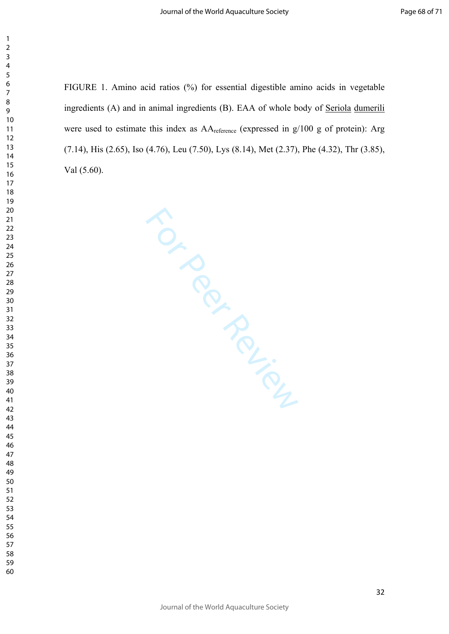FIGURE 1. Amino acid ratios (%) for essential digestible amino acids in vegetable ingredients (A) and in animal ingredients (B). EAA of whole body of Seriola dumerili were used to estimate this index as AA<sub>reference</sub> (expressed in g/100 g of protein): Arg (7.14), His (2.65), Iso (4.76), Leu (7.50), Lys (8.14), Met (2.37), Phe (4.32), Thr (3.85), Val (5.60).

For Per Review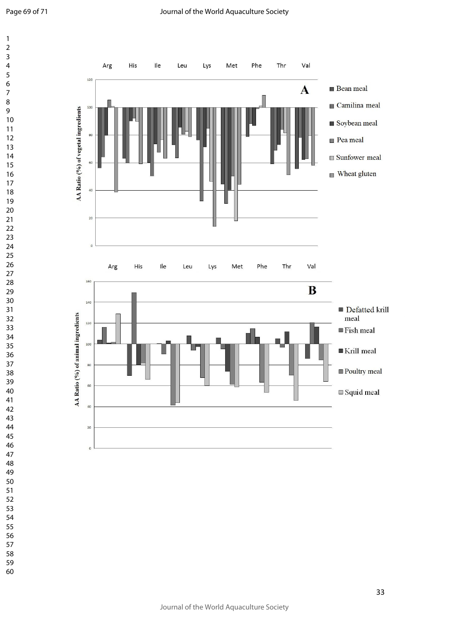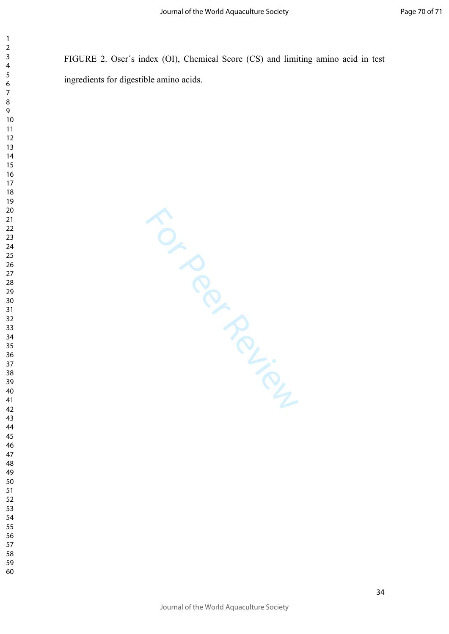FIGURE 2. Oser´s index (OI), Chemical Score (CS) and limiting amino acid in test ingredients for digestible amino acids.

For Per Review

- 
-